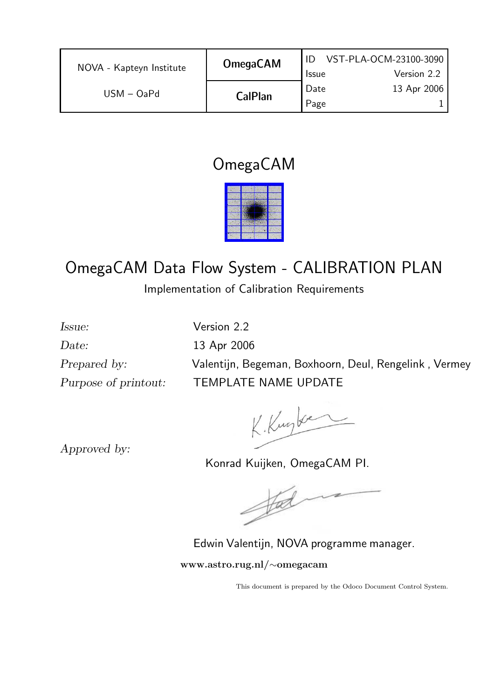| NOVA - Kapteyn Institute | <b>OmegaCAM</b> |              | VST-PLA-OCM-23100-3090 |
|--------------------------|-----------------|--------------|------------------------|
|                          |                 | <b>Issue</b> | Version 2.2            |
| $USM - OaPd$             | <b>CalPlan</b>  | Date         | 13 Apr 2006            |
|                          |                 | Page         |                        |

## OmegaCAM

# OmegaCAM Data Flow System - CALIBRATION PLAN

Implementation of Calibration Requirements

Date: 13 Apr 2006 Purpose of printout: TEMPLATE NAME UPDATE

Issue: Version 2.2 Prepared by: Valentijn, Begeman, Boxhoorn, Deul, Rengelink , Vermey

K. Kugber

Approved by:

Konrad Kuijken, OmegaCAM PI.

 $\frac{1}{2}$ 

Edwin Valentijn, NOVA programme manager. www.astro.rug.nl/∼omegacam

This document is prepared by the Odoco Document Control System.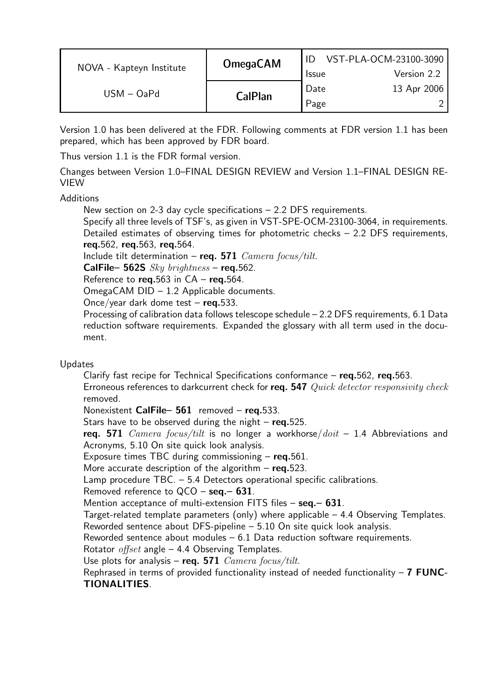| NOVA - Kapteyn Institute | <b>OmegaCAM</b> | <b>Issue</b> | VST-PLA-OCM-23100-3090<br>Version 2.2 |
|--------------------------|-----------------|--------------|---------------------------------------|
| $USM - OaPd$             | <b>CalPlan</b>  | Date<br>Page | 13 Apr 2006                           |

Version 1.0 has been delivered at the FDR. Following comments at FDR version 1.1 has been prepared, which has been approved by FDR board.

Thus version 1.1 is the FDR formal version.

Changes between Version 1.0–FINAL DESIGN REVIEW and Version 1.1–FINAL DESIGN RE-VIEW

#### **Additions**

New section on 2-3 day cycle specifications – 2.2 DFS requirements.

Specify all three levels of TSF's, as given in VST-SPE-OCM-23100-3064, in requirements. Detailed estimates of observing times for photometric checks – 2.2 DFS requirements, req.562, req.563, req.564.

Include tilt determination – req. 571  $\emph{Camera}$  focus/tilt.

CalFile– 562S  $Sky$  brightness – req.562.

Reference to  $req.563$  in  $CA - req.564$ .

OmegaCAM DID – 1.2 Applicable documents.

Once/year dark dome test -  $req.533$ .

Processing of calibration data follows telescope schedule – 2.2 DFS requirements, 6.1 Data reduction software requirements. Expanded the glossary with all term used in the document.

#### Updates

Clarify fast recipe for Technical Specifications conformance  $-$  req.562, req.563. Erroneous references to darkcurrent check for req. 547 Quick detector responsivity check removed.

Nonexistent CalFile- 561 removed - req.533.

Stars have to be observed during the night  $-$  req.525.

req. 571  $Camera$  focus/tilt is no longer a workhorse/ $doit - 1.4$  Abbreviations and Acronyms, 5.10 On site quick look analysis.

Exposure times TBC during commissioning  $-$  req.561.

More accurate description of the algorithm  $-$  reg.523.

Lamp procedure TBC. – 5.4 Detectors operational specific calibrations.

Removed reference to  $QCO -$ **seq.** - 631.

Mention acceptance of multi-extension FITS files  $-$  seq. $-$  631.

Target-related template parameters (only) where applicable  $-4.4$  Observing Templates. Reworded sentence about DFS-pipeline – 5.10 On site quick look analysis.

Reworded sentence about modules – 6.1 Data reduction software requirements.

Rotator  $offset$  angle – 4.4 Observing Templates.

Use plots for analysis – req. 571  $Camera$  focus/tilt.

Rephrased in terms of provided functionality instead of needed functionality  $-7$  FUNC-TIONALITIES.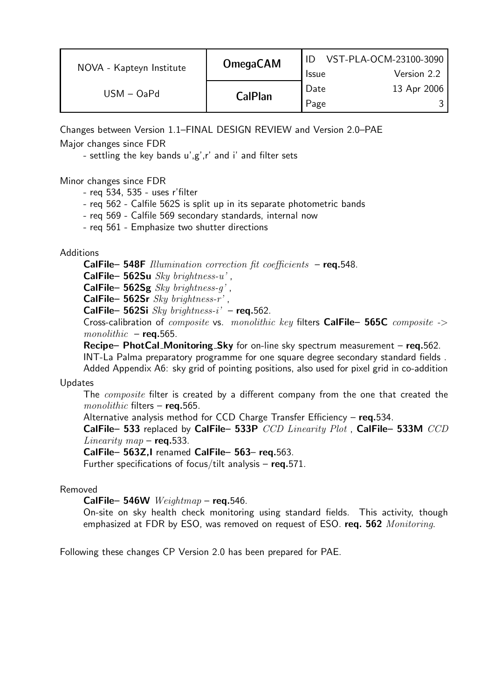| NOVA - Kapteyn Institute | <b>OmegaCAM</b> | <b>Issue</b> | VST-PLA-OCM-23100-3090<br>Version 2.2 |
|--------------------------|-----------------|--------------|---------------------------------------|
| $USM - OaPd$             | <b>CalPlan</b>  | Date<br>Page | 13 Apr 2006                           |

Changes between Version 1.1–FINAL DESIGN REVIEW and Version 2.0–PAE Major changes since FDR

- settling the key bands u',g',r' and i' and filter sets

#### Minor changes since FDR

- req 534, 535 uses r'filter
- req 562 Calfile 562S is split up in its separate photometric bands
- req 569 Calfile 569 secondary standards, internal now
- req 561 Emphasize two shutter directions

#### **Additions**

**CalFile– 548F** Illumination correction fit coefficients  $-$  req.548.

CalFile– 562Su  $Sky~brightness-u'$ ,

CalFile–  $562Sg$  Sky brightness-q',

CalFile– 562Sr  $Sky~brightness-r'$ ,

CalFile– 562Si  $Sky$  brightness-i' – req.562.

Cross-calibration of composite vs. monolithic key filters CalFile– 565C composite ->  $monolithic - **req.565**$ .

Recipe– PhotCal\_Monitoring\_Sky for on-line sky spectrum measurement – req.562.

INT-La Palma preparatory programme for one square degree secondary standard fields .

Added Appendix A6: sky grid of pointing positions, also used for pixel grid in co-addition

#### Updates

The *composite* filter is created by a different company from the one that created the  $monolithic$  filters - req.565.

Alternative analysis method for CCD Charge Transfer Efficiency  $-$  req.534.

CalFile– 533 replaced by CalFile– 533P CCD Linearity Plot , CalFile– 533M CCD Linearity map  $-$  reg.533.

CalFile– 563Z,I renamed CalFile– 563– req.563.

Further specifications of focus/tilt analysis – req.571.

#### Removed

CalFile– 546W  $Weightmap$  – req.546.

On-site on sky health check monitoring using standard fields. This activity, though emphasized at FDR by ESO, was removed on request of ESO. req. 562 Monitoring.

Following these changes CP Version 2.0 has been prepared for PAE.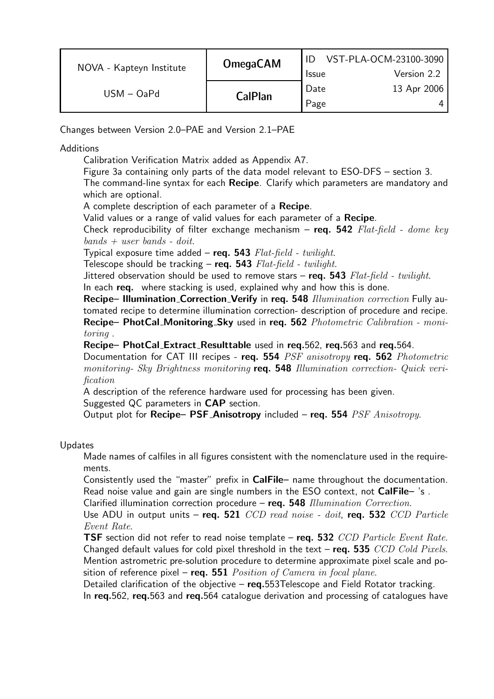| NOVA - Kapteyn Institute | <b>OmegaCAM</b> | <b>Issue</b> | VST-PLA-OCM-23100-3090<br>Version 2.2 |
|--------------------------|-----------------|--------------|---------------------------------------|
| $USM - OaPd$             | <b>CalPlan</b>  | Date<br>Page | 13 Apr 2006                           |

Changes between Version 2.0–PAE and Version 2.1–PAE

**Additions** 

Calibration Verification Matrix added as Appendix A7.

Figure 3a containing only parts of the data model relevant to ESO-DFS – section 3. The command-line syntax for each **Recipe**. Clarify which parameters are mandatory and which are optional.

A complete description of each parameter of a Recipe.

Valid values or a range of valid values for each parameter of a Recipe.

Check reproducibility of filter exchange mechanism – req. 542  $Flat-field$  - dome key  $bands + user bands - doit.$ 

Typical exposure time added – req. 543  $Flat-field$  - twilight.

Telescope should be tracking – req. 543  $Flat-field$  - twilight.

Jittered observation should be used to remove stars  $-$  req. 543 Flat-field - twilight.

In each req. where stacking is used, explained why and how this is done.

Recipe– Illumination\_Correction\_Verify in req. 548 Illumination correction Fully automated recipe to determine illumination correction- description of procedure and recipe. Recipe– PhotCal\_Monitoring\_Sky used in req. 562 Photometric Calibration - monitoring .

Recipe– PhotCal Extract Resulttable used in req.562, req.563 and req.564.

Documentation for CAT III recipes - req. 554 PSF anisotropy req. 562 Photometric monitoring- Sky Brightness monitoring req. 548 Illumination correction- Quick verification

A description of the reference hardware used for processing has been given. Suggested QC parameters in CAP section.

Output plot for Recipe- PSF\_Anisotropy included - req. 554 PSF Anisotropy.

#### Updates

Made names of calfiles in all figures consistent with the nomenclature used in the requirements.

Consistently used the "master" prefix in CalFile– name throughout the documentation. Read noise value and gain are single numbers in the ESO context, not CalFile-'s.

Clarified illumination correction procedure - req. 548 Illumination Correction.

Use ADU in output units – req. 521  $CCD$  read noise - doit, req. 532  $CCD$  Particle Event Rate.

**TSF** section did not refer to read noise template – req. 532  $CCD$  Particle Event Rate. Changed default values for cold pixel threshold in the text – req. 535  $CCD$  Cold Pixels. Mention astrometric pre-solution procedure to determine approximate pixel scale and position of reference pixel – req. 551  $Position of \,Camera \,in \, focal \, plane.$ 

Detailed clarification of the objective –  $req.553$ Telescope and Field Rotator tracking. In req.562, req.563 and req.564 catalogue derivation and processing of catalogues have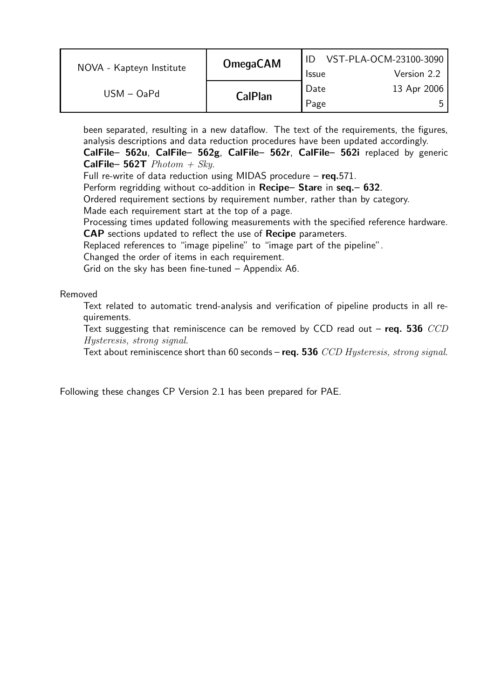| NOVA - Kapteyn Institute | <b>OmegaCAM</b> | <b>Issue</b> | VST-PLA-OCM-23100-3090<br>Version 2.2 |
|--------------------------|-----------------|--------------|---------------------------------------|
| $USM - OaPd$             | <b>CalPlan</b>  | Date<br>Page | 13 Apr 2006<br>ь.                     |

been separated, resulting in a new dataflow. The text of the requirements, the figures, analysis descriptions and data reduction procedures have been updated accordingly.

CalFile– 562u, CalFile– 562g, CalFile– 562r, CalFile– 562i replaced by generic **CalFile– 562T**  $Photon + Sky$ .

Full re-write of data reduction using MIDAS procedure - req.571.

Perform regridding without co-addition in Recipe– Stare in seq. - 632.

Ordered requirement sections by requirement number, rather than by category.

Made each requirement start at the top of a page.

Processing times updated following measurements with the specified reference hardware. CAP sections updated to reflect the use of Recipe parameters.

Replaced references to "image pipeline" to "image part of the pipeline".

Changed the order of items in each requirement.

Grid on the sky has been fine-tuned – Appendix A6.

#### Removed

Text related to automatic trend-analysis and verification of pipeline products in all requirements.

Text suggesting that reminiscence can be removed by CCD read out – req. 536  $CCD$ Hysteresis, strong signal.

Text about reminiscence short than 60 seconds – req. 536  $CCD$  Hysteresis, strong signal.

Following these changes CP Version 2.1 has been prepared for PAE.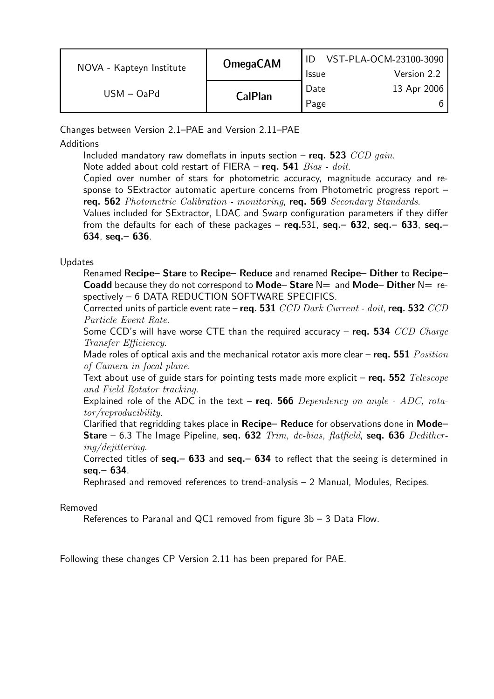| NOVA - Kapteyn Institute | <b>OmegaCAM</b> | <b>Issue</b> | VST-PLA-OCM-23100-3090<br>Version 2.2 |
|--------------------------|-----------------|--------------|---------------------------------------|
| $USM - OaPd$             | <b>CalPlan</b>  | Date<br>Page | 13 Apr 2006                           |

Changes between Version 2.1–PAE and Version 2.11–PAE

**Additions** 

Included mandatory raw domeflats in inputs section – req. 523  $CCD$  gain.

Note added about cold restart of FIERA – req. 541  $Bias - doit$ .

Copied over number of stars for photometric accuracy, magnitude accuracy and response to SExtractor automatic aperture concerns from Photometric progress report – req. 562 Photometric Calibration - monitoring, req. 569 Secondary Standards.

Values included for SExtractor, LDAC and Swarp configuration parameters if they differ from the defaults for each of these packages –  $req.531$ ,  $seq.– 632$ ,  $seq.– 633$ ,  $seq.–$ 634, seq.– 636.

#### Updates

Renamed Recipe– Stare to Recipe– Reduce and renamed Recipe– Dither to Recipe– **Coadd** because they do not correspond to **Mode– Stare**  $N=$  and **Mode– Dither**  $N=$  respectively – 6 DATA REDUCTION SOFTWARE SPECIFICS.

Corrected units of particle event rate – req.  $531$  CCD Dark Current - doit, req.  $532$  CCD Particle Event Rate.

Some CCD's will have worse CTE than the required accuracy – req. 534  $CCD$  Charge Transfer Efficiency.

Made roles of optical axis and the mechanical rotator axis more clear – req. 551  $Position$ of Camera in focal plane.

Text about use of guide stars for pointing tests made more explicit – req.  $552$  Telescope and Field Rotator tracking.

Explained role of the ADC in the text – req. 566  $Dependency$  on angle - ADC, rotator/reproducibility.

Clarified that regridding takes place in Recipe– Reduce for observations done in Mode– **Stare** – 6.3 The Image Pipeline, seq. 632  $Trim$ , de-bias, flatfield, seq. 636 Dedithering/dejittering.

Corrected titles of  $seq. – 633$  and  $seq. – 634$  to reflect that the seeing is determined in seq.– 634.

Rephrased and removed references to trend-analysis – 2 Manual, Modules, Recipes.

#### Removed

References to Paranal and QC1 removed from figure 3b – 3 Data Flow.

Following these changes CP Version 2.11 has been prepared for PAE.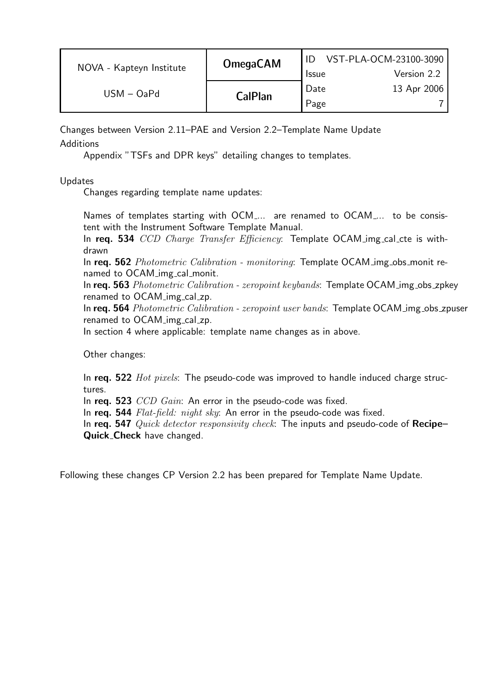| NOVA - Kapteyn Institute | <b>OmegaCAM</b> | <b>Issue</b> | VST-PLA-OCM-23100-3090<br>Version 2.2 |
|--------------------------|-----------------|--------------|---------------------------------------|
| $USM - OaPd$             | <b>CalPlan</b>  | Date<br>Page | 13 Apr 2006                           |

Changes between Version 2.11–PAE and Version 2.2–Template Name Update **Additions** 

Appendix "TSFs and DPR keys" detailing changes to templates.

Updates

Changes regarding template name updates:

Names of templates starting with OCM<sub>1</sub>... are renamed to OCAM<sub>1</sub>... to be consistent with the Instrument Software Template Manual.

In req. 534 CCD Charge Transfer Efficiency: Template OCAM img cal cte is withdrawn

In req. 562 Photometric Calibration - monitoring: Template OCAM img obs monit renamed to OCAM img cal monit.

In req. 563 Photometric Calibration - zeropoint keybands: Template OCAM img obs zpkey renamed to OCAM img cal zp.

In req. 564 Photometric Calibration - zeropoint user bands: Template OCAM img obs zpuser renamed to OCAM img cal zp.

In section 4 where applicable: template name changes as in above.

Other changes:

In req.  $522$  *Hot pixels*: The pseudo-code was improved to handle induced charge structures.

In req. 523 CCD Gain: An error in the pseudo-code was fixed.

In req. 544 Flat-field: night sky: An error in the pseudo-code was fixed.

In req. 547  $Quick detector responsibility check:$  The inputs and pseudo-code of  $Recipe-$ Quick Check have changed.

Following these changes CP Version 2.2 has been prepared for Template Name Update.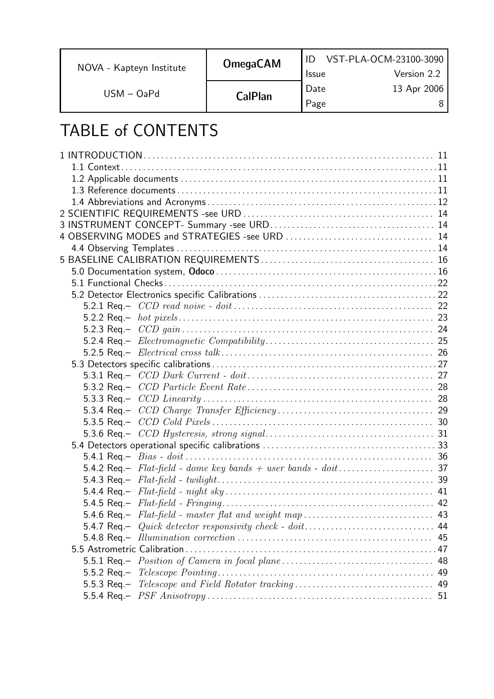NOVA - Kapteyn Institute

USM – OaPd

CalPlan

# TABLE of CONTENTS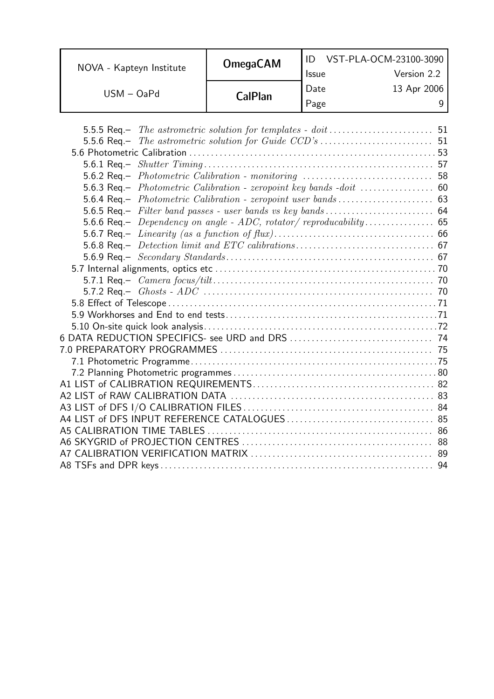| NOVA - Kapteyn Institute | <b>OmegaCAM</b> | <b>Issue</b> | VST-PLA-OCM-23100-3090<br>Version 2.2 |
|--------------------------|-----------------|--------------|---------------------------------------|
| $USM - OaPd$             | <b>CalPlan</b>  | Date<br>Page | 13 Apr 2006                           |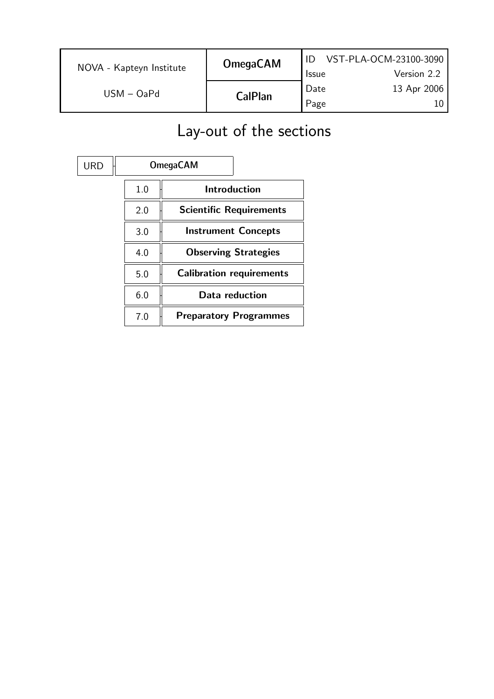| NOVA - Kapteyn Institute | <b>OmegaCAM</b> | <b>Issue</b> | VST-PLA-OCM-23100-3090<br>Version 2.2 |
|--------------------------|-----------------|--------------|---------------------------------------|
| $USM - OaPd$             | <b>CalPlan</b>  | Date<br>Page | 13 Apr 2006                           |

# Lay-out of the sections

| <b>URD</b> |     | <b>OmegaCAM</b>                 |
|------------|-----|---------------------------------|
|            | 1.0 | Introduction                    |
|            | 2.0 | <b>Scientific Requirements</b>  |
|            | 3.0 | <b>Instrument Concepts</b>      |
|            | 4.0 | <b>Observing Strategies</b>     |
|            | 5.0 | <b>Calibration requirements</b> |
|            | 6.0 | Data reduction                  |
|            | 7.0 | <b>Preparatory Programmes</b>   |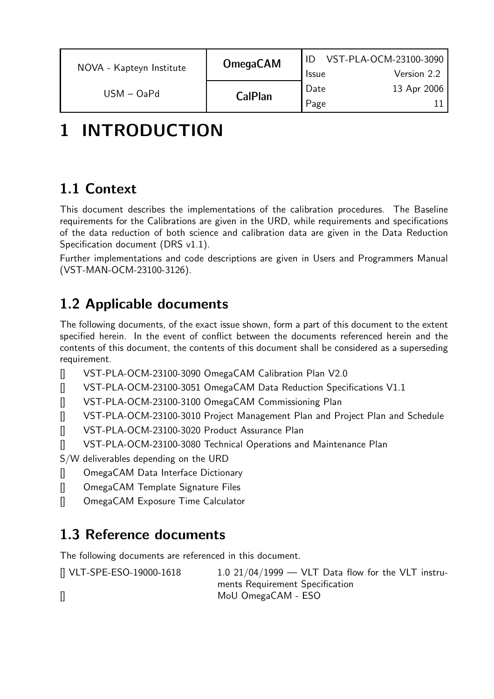| NOVA - Kapteyn Institute | <b>OmegaCAM</b> | <b>Issue</b> | VST-PLA-OCM-23100-3090<br>Version 2.2 |
|--------------------------|-----------------|--------------|---------------------------------------|
| $USM - OaPd$             | <b>CalPlan</b>  | Date<br>Page | 13 Apr 2006                           |

# 1 INTRODUCTION

## 1.1 Context

This document describes the implementations of the calibration procedures. The Baseline requirements for the Calibrations are given in the URD, while requirements and specifications of the data reduction of both science and calibration data are given in the Data Reduction Specification document (DRS v1.1).

Further implementations and code descriptions are given in Users and Programmers Manual (VST-MAN-OCM-23100-3126).

## 1.2 Applicable documents

The following documents, of the exact issue shown, form a part of this document to the extent specified herein. In the event of conflict between the documents referenced herein and the contents of this document, the contents of this document shall be considered as a superseding requirement.

- [] VST-PLA-OCM-23100-3090 OmegaCAM Calibration Plan V2.0
- [] VST-PLA-OCM-23100-3051 OmegaCAM Data Reduction Specifications V1.1
- [] VST-PLA-OCM-23100-3100 OmegaCAM Commissioning Plan
- [] VST-PLA-OCM-23100-3010 Project Management Plan and Project Plan and Schedule
- [] VST-PLA-OCM-23100-3020 Product Assurance Plan
- [] VST-PLA-OCM-23100-3080 Technical Operations and Maintenance Plan
- S/W deliverables depending on the URD
- [] OmegaCAM Data Interface Dictionary
- [] OmegaCAM Template Signature Files
- [] OmegaCAM Exposure Time Calculator

### 1.3 Reference documents

The following documents are referenced in this document.

 $[]$  VLT-SPE-ESO-19000-1618 1.0 21/04/1999 - VLT Data flow for the VLT instruments Requirement Specification [] MoU OmegaCAM - ESO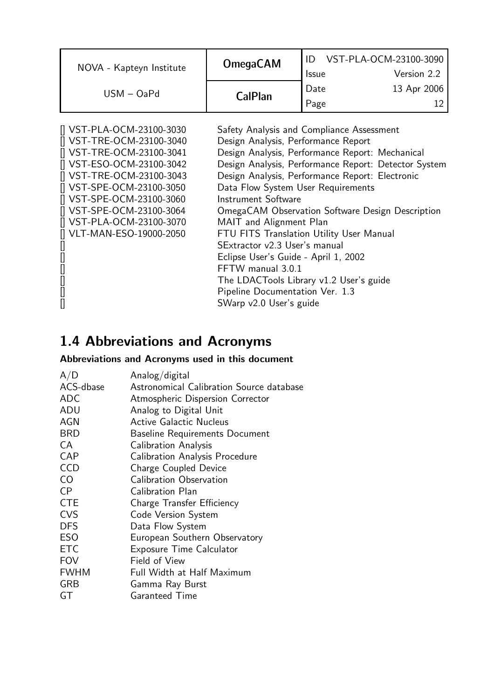| NOVA - Kapteyn Institute | <b>OmegaCAM</b> | <b>Issue</b>        | VST-PLA-OCM-23100-3090<br>Version 2.2 |
|--------------------------|-----------------|---------------------|---------------------------------------|
| $USM - OaPd$             | <b>CalPlan</b>  | <b>Date</b><br>Page | 13 Apr 2006                           |

| [] VST-PLA-OCM-23100-3030 | Safety Analysis and Compliance Assessment            |
|---------------------------|------------------------------------------------------|
| [] VST-TRE-OCM-23100-3040 | Design Analysis, Performance Report                  |
| [] VST-TRE-OCM-23100-3041 | Design Analysis, Performance Report: Mechanical      |
| [] VST-ESO-OCM-23100-3042 | Design Analysis, Performance Report: Detector System |
| [] VST-TRE-OCM-23100-3043 | Design Analysis, Performance Report: Electronic      |
| [] VST-SPE-OCM-23100-3050 | Data Flow System User Requirements                   |
| [] VST-SPE-OCM-23100-3060 | Instrument Software                                  |
| [] VST-SPE-OCM-23100-3064 | OmegaCAM Observation Software Design Description     |
| [] VST-PLA-OCM-23100-3070 | MAIT and Alignment Plan                              |
| [] VLT-MAN-ESO-19000-2050 | FTU FITS Translation Utility User Manual             |
|                           | SExtractor v2.3 User's manual                        |
|                           | Eclipse User's Guide - April 1, 2002                 |
|                           | FFTW manual 3.0.1                                    |
|                           | The LDACTools Library v1.2 User's guide              |
| 0                         | Pipeline Documentation Ver. 1.3                      |
|                           | SWarp v2.0 User's guide                              |

## 1.4 Abbreviations and Acronyms

#### Abbreviations and Acronyms used in this document

| A/D         | Analog/digital                           |
|-------------|------------------------------------------|
| ACS-dbase   | Astronomical Calibration Source database |
| <b>ADC</b>  | Atmospheric Dispersion Corrector         |
| ADU         | Analog to Digital Unit                   |
| AGN         | <b>Active Galactic Nucleus</b>           |
| <b>BRD</b>  | <b>Baseline Requirements Document</b>    |
| <b>CA</b>   | <b>Calibration Analysis</b>              |
| CAP         | <b>Calibration Analysis Procedure</b>    |
| <b>CCD</b>  | <b>Charge Coupled Device</b>             |
| CO          | <b>Calibration Observation</b>           |
| <b>CP</b>   | <b>Calibration Plan</b>                  |
| <b>CTE</b>  | Charge Transfer Efficiency               |
| <b>CVS</b>  | <b>Code Version System</b>               |
| <b>DFS</b>  | Data Flow System                         |
| <b>ESO</b>  | European Southern Observatory            |
| <b>ETC</b>  | <b>Exposure Time Calculator</b>          |
| <b>FOV</b>  | Field of View                            |
| <b>FWHM</b> | <b>Full Width at Half Maximum</b>        |
| <b>GRB</b>  | Gamma Ray Burst                          |
| GT          | Garanteed Time                           |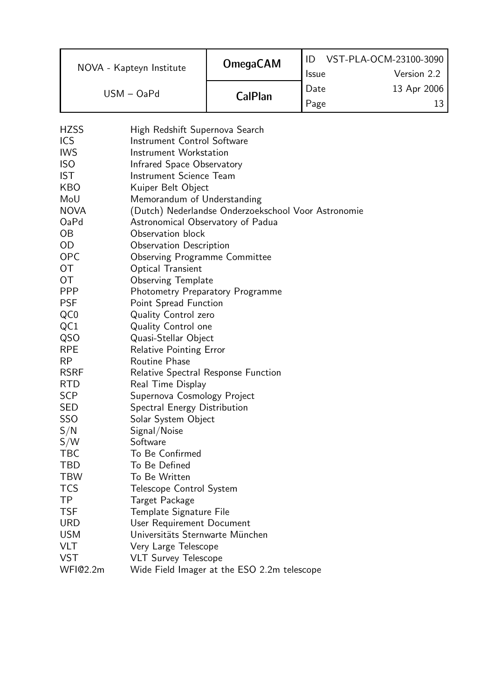|                          | <b>OmegaCAM</b> |              | VST-PLA-OCM-23100-3090 |
|--------------------------|-----------------|--------------|------------------------|
| NOVA - Kapteyn Institute |                 | <b>Issue</b> | Version 2.2            |
| $USM - OaPd$             | <b>CalPlan</b>  | Date         | 13 Apr 2006            |
|                          |                 | Page         |                        |

| <b>HZSS</b> | High Redshift Supernova Search                      |
|-------------|-----------------------------------------------------|
| <b>ICS</b>  | <b>Instrument Control Software</b>                  |
| <b>IWS</b>  | Instrument Workstation                              |
| <b>ISO</b>  | Infrared Space Observatory                          |
| <b>IST</b>  | Instrument Science Team                             |
| KBO         | Kuiper Belt Object                                  |
| MoU         | Memorandum of Understanding                         |
| <b>NOVA</b> | (Dutch) Nederlandse Onderzoekschool Voor Astronomie |
| OaPd        | Astronomical Observatory of Padua                   |
| ОB          | Observation block                                   |
| OD          | Observation Description                             |
| <b>OPC</b>  | <b>Observing Programme Committee</b>                |
| ОT          | Optical Transient                                   |
| ОT          | <b>Observing Template</b>                           |
| <b>PPP</b>  | <b>Photometry Preparatory Programme</b>             |
| <b>PSF</b>  | Point Spread Function                               |
| QC0         | <b>Quality Control zero</b>                         |
| QC1         | <b>Quality Control one</b>                          |
| QSO         | Quasi-Stellar Object                                |
| <b>RPE</b>  | <b>Relative Pointing Error</b>                      |
| RP          | <b>Routine Phase</b>                                |
| <b>RSRF</b> | Relative Spectral Response Function                 |
| RTD         | Real Time Display                                   |
| SCP         | Supernova Cosmology Project                         |
| SED         | Spectral Energy Distribution                        |
| <b>SSO</b>  | Solar System Object                                 |
| S/N         | Signal/Noise                                        |
| S/W         | Software                                            |
| TBC         | To Be Confirmed                                     |
| TBD         | To Be Defined                                       |
| <b>TBW</b>  | To Be Written                                       |
| <b>TCS</b>  | Telescope Control System                            |
| TP          | Target Package                                      |
| <b>TSF</b>  | Template Signature File                             |
| <b>URD</b>  | User Requirement Document                           |
| <b>USM</b>  | Universitäts Sternwarte München                     |
| <b>VLT</b>  | Very Large Telescope                                |
| VST         | <b>VLT Survey Telescope</b>                         |
| WFI@2.2m    | Wide Field Imager at the ESO 2.2m telescope         |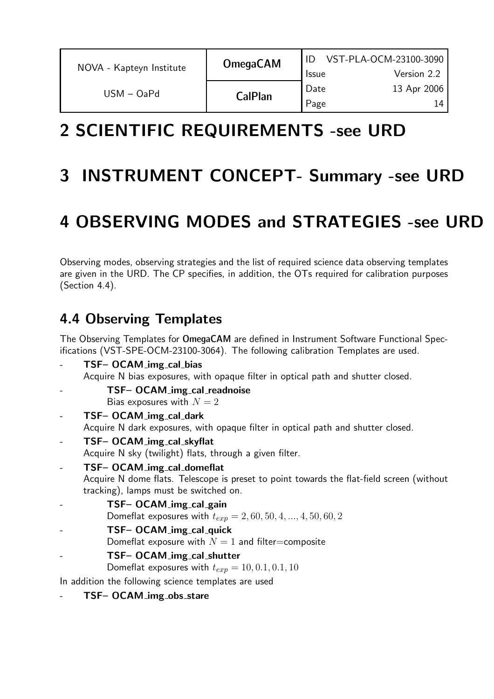| NOVA - Kapteyn Institute | <b>OmegaCAM</b> | VST-PLA-OCM-23100-3090<br>Version 2.2<br><b>Issue</b> |  |
|--------------------------|-----------------|-------------------------------------------------------|--|
| USM – OaPd               | <b>CalPlan</b>  | Date<br>13 Apr 2006<br>Page                           |  |

# 2 SCIENTIFIC REQUIREMENTS -see URD

## 3 INSTRUMENT CONCEPT- Summary -see URD

# 4 OBSERVING MODES and STRATEGIES -see URD

Observing modes, observing strategies and the list of required science data observing templates are given in the URD. The CP specifies, in addition, the OTs required for calibration purposes (Section 4.4).

## 4.4 Observing Templates

The Observing Templates for OmegaCAM are defined in Instrument Software Functional Specifications (VST-SPE-OCM-23100-3064). The following calibration Templates are used.

- TSF- OCAM\_img\_cal\_bias Acquire N bias exposures, with opaque filter in optical path and shutter closed.
	- TSF– OCAM\_img\_cal\_readnoise Bias exposures with  $N = 2$
- TSF- OCAM\_img\_cal\_dark Acquire N dark exposures, with opaque filter in optical path and shutter closed.
- TSF- OCAM\_img\_cal\_skyflat Acquire N sky (twilight) flats, through a given filter.
- TSF- OCAM\_img\_cal\_domeflat Acquire N dome flats. Telescope is preset to point towards the flat-field screen (without tracking), lamps must be switched on.
- TSF– OCAM\_img\_cal\_gain
	- Domeflat exposures with  $t_{exp} = 2, 60, 50, 4, ..., 4, 50, 60, 2$
- TSF- OCAM\_img\_cal\_quick
	- Domeflat exposure with  $N = 1$  and filter=composite
- TSF- OCAM\_img\_cal\_shutter
	- Domeflat exposures with  $t_{exp} = 10, 0.1, 0.1, 10$
- In addition the following science templates are used
	- TSF- OCAM\_img\_obs\_stare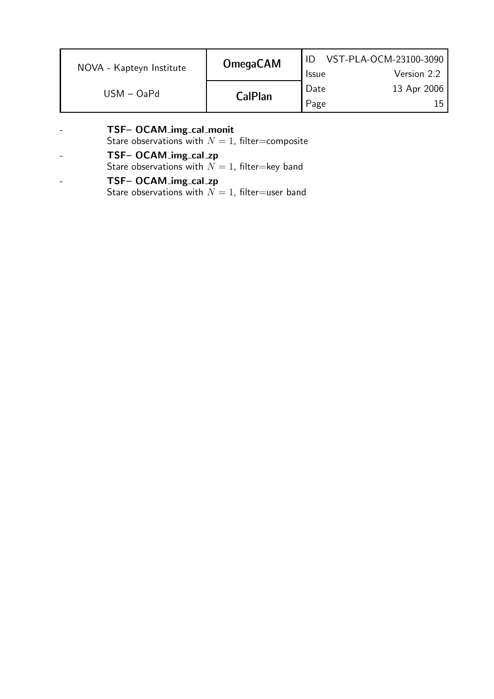| NOVA - Kapteyn Institute | <b>OmegaCAM</b> | <b>Issue</b> | VST-PLA-OCM-23100-3090<br>Version 2.2 |
|--------------------------|-----------------|--------------|---------------------------------------|
| $USM - OaPd$             | <b>CalPlan</b>  | Date<br>Page | 13 Apr 2006                           |

| $\equiv$                 | TSF- OCAM_img_cal_monit                            |  |
|--------------------------|----------------------------------------------------|--|
|                          | Stare observations with $N = 1$ , filter=composite |  |
| $\blacksquare$           | TSF- OCAM_img_cal_zp                               |  |
|                          | Stare observations with $N = 1$ , filter=key band  |  |
| $\overline{\phantom{0}}$ | TSF- OCAM_img_cal_zp                               |  |
|                          | Stare observations with $N = 1$ , filter=user band |  |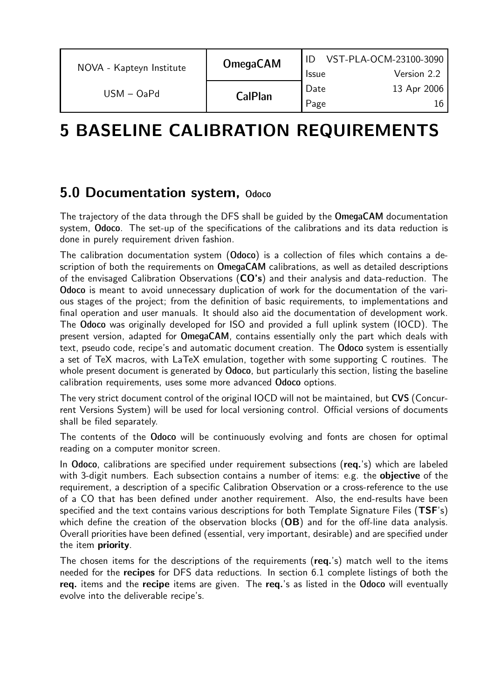| NOVA - Kapteyn Institute | <b>OmegaCAM</b> |                      | VST-PLA-OCM-23100-3090     |
|--------------------------|-----------------|----------------------|----------------------------|
|                          |                 | <b>Issue</b><br>Date | Version 2.2<br>13 Apr 2006 |
| $USM - OaPd$             | <b>CalPlan</b>  | Page                 |                            |

# 5 BASELINE CALIBRATION REQUIREMENTS

### 5.0 Documentation system, Odoco

The trajectory of the data through the DFS shall be guided by the OmegaCAM documentation system, Odoco. The set-up of the specifications of the calibrations and its data reduction is done in purely requirement driven fashion.

The calibration documentation system (Odoco) is a collection of files which contains a description of both the requirements on OmegaCAM calibrations, as well as detailed descriptions of the envisaged Calibration Observations (CO's) and their analysis and data-reduction. The Odoco is meant to avoid unnecessary duplication of work for the documentation of the various stages of the project; from the definition of basic requirements, to implementations and final operation and user manuals. It should also aid the documentation of development work. The Odoco was originally developed for ISO and provided a full uplink system (IOCD). The present version, adapted for OmegaCAM, contains essentially only the part which deals with text, pseudo code, recipe's and automatic document creation. The Odoco system is essentially a set of TeX macros, with LaTeX emulation, together with some supporting C routines. The whole present document is generated by Odoco, but particularly this section, listing the baseline calibration requirements, uses some more advanced Odoco options.

The very strict document control of the original IOCD will not be maintained, but CVS (Concurrent Versions System) will be used for local versioning control. Official versions of documents shall be filed separately.

The contents of the Odoco will be continuously evolving and fonts are chosen for optimal reading on a computer monitor screen.

In Odoco, calibrations are specified under requirement subsections (req.'s) which are labeled with 3-digit numbers. Each subsection contains a number of items: e.g. the **objective** of the requirement, a description of a specific Calibration Observation or a cross-reference to the use of a CO that has been defined under another requirement. Also, the end-results have been specified and the text contains various descriptions for both Template Signature Files (TSF's) which define the creation of the observation blocks (OB) and for the off-line data analysis. Overall priorities have been defined (essential, very important, desirable) and are specified under the item priority.

The chosen items for the descriptions of the requirements (req.'s) match well to the items needed for the recipes for DFS data reductions. In section 6.1 complete listings of both the req. items and the recipe items are given. The req.'s as listed in the Odoco will eventually evolve into the deliverable recipe's.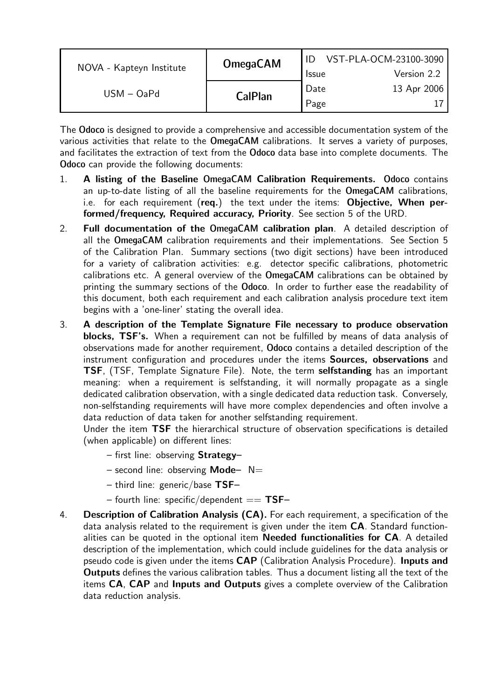|                          | <b>OmegaCAM</b> | VST-PLA-OCM-23100-3090 |             |  |
|--------------------------|-----------------|------------------------|-------------|--|
| NOVA - Kapteyn Institute |                 | <b>Issue</b>           | Version 2.2 |  |
| $USM - OaPd$             |                 | Date                   | 13 Apr 2006 |  |
|                          | <b>CalPlan</b>  | Page                   |             |  |

The Odoco is designed to provide a comprehensive and accessible documentation system of the various activities that relate to the OmegaCAM calibrations. It serves a variety of purposes, and facilitates the extraction of text from the Odoco data base into complete documents. The Odoco can provide the following documents:

- 1. A listing of the Baseline OmegaCAM Calibration Requirements. Odoco contains an up-to-date listing of all the baseline requirements for the OmegaCAM calibrations, i.e. for each requirement (req.) the text under the items: Objective, When performed/frequency, Required accuracy, Priority. See section 5 of the URD.
- 2. Full documentation of the OmegaCAM calibration plan. A detailed description of all the OmegaCAM calibration requirements and their implementations. See Section 5 of the Calibration Plan. Summary sections (two digit sections) have been introduced for a variety of calibration activities: e.g. detector specific calibrations, photometric calibrations etc. A general overview of the OmegaCAM calibrations can be obtained by printing the summary sections of the Odoco. In order to further ease the readability of this document, both each requirement and each calibration analysis procedure text item begins with a 'one-liner' stating the overall idea.
- 3. A description of the Template Signature File necessary to produce observation blocks, TSF's. When a requirement can not be fulfilled by means of data analysis of observations made for another requirement, Odoco contains a detailed description of the instrument configuration and procedures under the items Sources, observations and TSF, (TSF, Template Signature File). Note, the term selfstanding has an important meaning: when a requirement is selfstanding, it will normally propagate as a single dedicated calibration observation, with a single dedicated data reduction task. Conversely, non-selfstanding requirements will have more complex dependencies and often involve a data reduction of data taken for another selfstanding requirement.

Under the item TSF the hierarchical structure of observation specifications is detailed (when applicable) on different lines:

- first line: observing Strategy–
- second line: observing **Mode**  $N=$
- $-$  third line: generic/base TSF-
- fourth line: specific/dependent  $==$  TSF–
- 4. **Description of Calibration Analysis (CA).** For each requirement, a specification of the data analysis related to the requirement is given under the item CA. Standard functionalities can be quoted in the optional item **Needed functionalities for**  $CA$ . A detailed description of the implementation, which could include guidelines for the data analysis or pseudo code is given under the items CAP (Calibration Analysis Procedure). Inputs and Outputs defines the various calibration tables. Thus a document listing all the text of the items CA, CAP and Inputs and Outputs gives a complete overview of the Calibration data reduction analysis.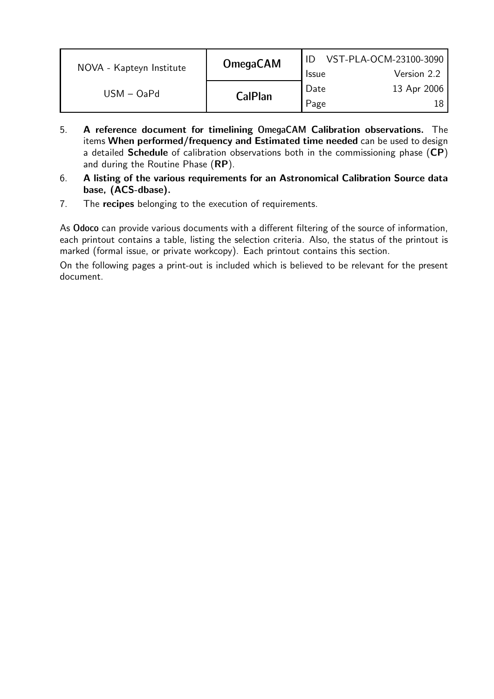| <b>OmegaCAM</b><br>NOVA - Kapteyn Institute |                | VST-PLA-OCM-23100-3090 |             |
|---------------------------------------------|----------------|------------------------|-------------|
|                                             |                | <b>Issue</b>           | Version 2.2 |
| $USM - OaPd$                                | <b>CalPlan</b> | Date                   | 13 Apr 2006 |
|                                             |                | Page                   |             |

- 5. A reference document for timelining OmegaCAM Calibration observations. The items When performed/frequency and Estimated time needed can be used to design a detailed **Schedule** of calibration observations both in the commissioning phase (CP) and during the Routine Phase (RP).
- 6. A listing of the various requirements for an Astronomical Calibration Source data base, (ACS-dbase).
- 7. The recipes belonging to the execution of requirements.

As Odoco can provide various documents with a different filtering of the source of information, each printout contains a table, listing the selection criteria. Also, the status of the printout is marked (formal issue, or private workcopy). Each printout contains this section.

On the following pages a print-out is included which is believed to be relevant for the present document.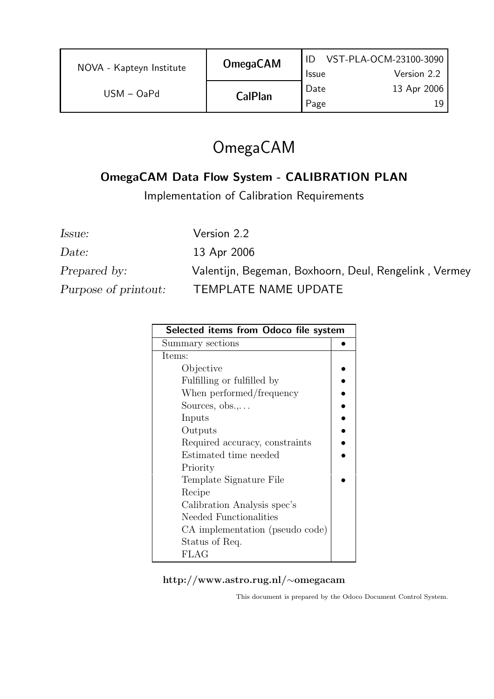| NOVA - Kapteyn Institute | <b>OmegaCAM</b> | <b>Issue</b> | VST-PLA-OCM-23100-3090<br>Version 2.2 |
|--------------------------|-----------------|--------------|---------------------------------------|
| $USM - OaPd$             | <b>CalPlan</b>  | Date<br>Page | 13 Apr 2006<br>19.                    |

## OmegaCAM

### OmegaCAM Data Flow System - CALIBRATION PLAN

Implementation of Calibration Requirements

Issue: Version 2.2 Prepared by: Valentijn, Begeman, Boxhoorn, Deul, Rengelink, Vermey

Date: 13 Apr 2006

Purpose of printout: TEMPLATE NAME UPDATE

| Selected items from Odoco file system |  |  |
|---------------------------------------|--|--|
| Summary sections                      |  |  |
| Items:                                |  |  |
| Objective                             |  |  |
| Fulfilling or fulfilled by            |  |  |
| When performed/frequency              |  |  |
| Sources, $obs$ .                      |  |  |
| Inputs                                |  |  |
| Outputs                               |  |  |
| Required accuracy, constraints        |  |  |
| Estimated time needed                 |  |  |
| Priority                              |  |  |
| Template Signature File               |  |  |
| Recipe                                |  |  |
| Calibration Analysis spec's           |  |  |
| Needed Functionalities                |  |  |
| CA implementation (pseudo code)       |  |  |
| Status of Req.                        |  |  |
| <b>FLAG</b>                           |  |  |

#### http://www.astro.rug.nl/∼omegacam

This document is prepared by the Odoco Document Control System.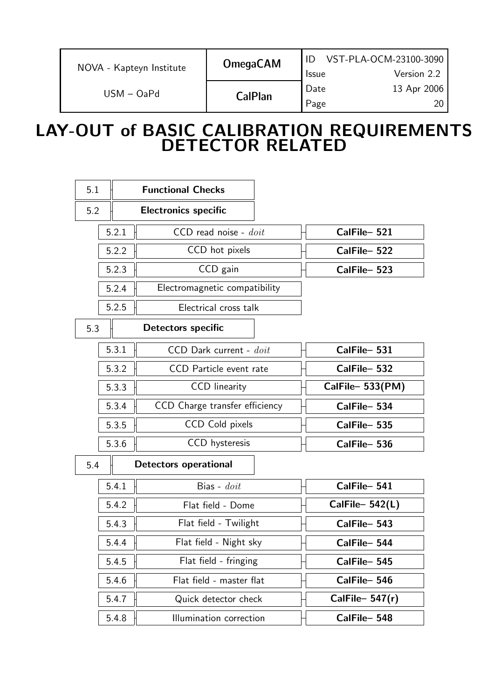| NOVA - Kapteyn Institute | <b>OmegaCAM</b> | <b>Issue</b> | VST-PLA-OCM-23100-3090<br>Version 2.2 |
|--------------------------|-----------------|--------------|---------------------------------------|
| $USM - OaPd$             | <b>CalPlan</b>  | Date<br>Page | 13 Apr 2006                           |

## LAY-OUT of BASIC CALIBRATION REQUIREMENTS DETECTOR RELATED

| 5.1 |       | <b>Functional Checks</b>       |                   |
|-----|-------|--------------------------------|-------------------|
| 5.2 |       | <b>Electronics specific</b>    |                   |
|     | 5.2.1 | $CCD$ read noise - $doit$      | CalFile-521       |
|     | 5.2.2 | CCD hot pixels                 | CalFile-522       |
|     | 5.2.3 | CCD gain                       | CalFile-523       |
|     | 5.2.4 | Electromagnetic compatibility  |                   |
|     | 5.2.5 | Electrical cross talk          |                   |
| 5.3 |       | <b>Detectors specific</b>      |                   |
|     | 5.3.1 | CCD Dark current - doit        | CalFile-531       |
|     | 5.3.2 | CCD Particle event rate        | CalFile-532       |
|     | 5.3.3 | <b>CCD</b> linearity           | CalFile-533(PM)   |
|     | 5.3.4 | CCD Charge transfer efficiency | CalFile-534       |
|     | 5.3.5 | CCD Cold pixels                | CalFile-535       |
|     | 5.3.6 | <b>CCD</b> hysteresis          | CalFile-536       |
| 5.4 |       | <b>Detectors operational</b>   |                   |
|     | 5.4.1 | Bias - $d$ oit                 | CalFile-541       |
|     | 5.4.2 | Flat field - Dome              | $CalFile- 542(L)$ |
|     | 5.4.3 | Flat field - Twilight          | CalFile-543       |
|     | 5.4.4 | Flat field - Night sky         | CalFile-544       |
|     | 5.4.5 | Flat field - fringing          | CalFile-545       |
|     | 5.4.6 | Flat field - master flat       | CalFile-546       |
|     | 5.4.7 | Quick detector check           | CalFile- $547(r)$ |
|     | 5.4.8 | Illumination correction        | CalFile-548       |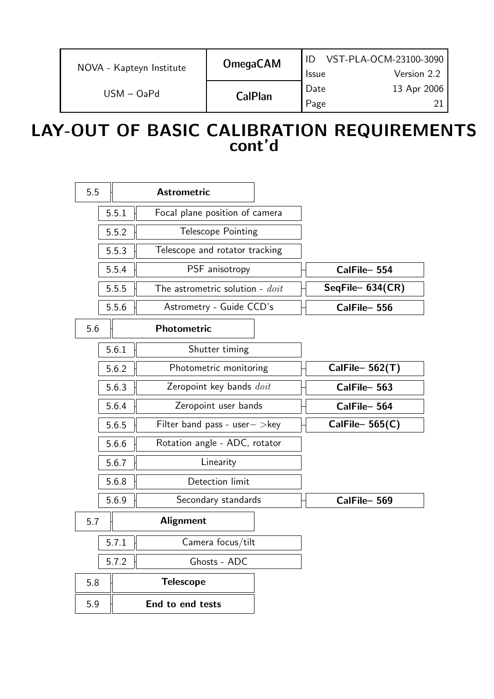|                          | <b>OmegaCAM</b> |              | VST-PLA-OCM-23100-3090 |
|--------------------------|-----------------|--------------|------------------------|
| NOVA - Kapteyn Institute |                 | <b>Issue</b> | Version 2.2            |
| $USM - OaPd$             |                 | Date         | 13 Apr 2006            |
|                          | <b>CalPlan</b>  | Page         | ′ገ                     |

## LAY-OUT OF BASIC CALIBRATION REQUIREMENTS cont'd

| 5.5 |       | <b>Astrometric</b>                         |                   |
|-----|-------|--------------------------------------------|-------------------|
|     | 5.5.1 | Focal plane position of camera             |                   |
|     | 5.5.2 | <b>Telescope Pointing</b>                  |                   |
|     | 5.5.3 | Telescope and rotator tracking             |                   |
|     | 5.5.4 | PSF anisotropy                             | CalFile-554       |
|     | 5.5.5 | The astrometric solution - $\textit{doit}$ | SeqFile-634(CR)   |
|     | 5.5.6 | Astrometry - Guide CCD's                   | CalFile-556       |
| 5.6 |       | <b>Photometric</b>                         |                   |
|     | 5.6.1 | Shutter timing                             |                   |
|     | 5.6.2 | Photometric monitoring                     | CalFile- $562(T)$ |
|     | 5.6.3 | Zeropoint key bands <i>doit</i>            | CalFile-563       |
|     | 5.6.4 | Zeropoint user bands                       | CalFile-564       |
|     | 5.6.5 | Filter band pass - user $-$ > key          | CalFile- $565(C)$ |
|     | 5.6.6 | Rotation angle - ADC, rotator              |                   |
|     | 5.6.7 | Linearity                                  |                   |
|     | 5.6.8 | Detection limit                            |                   |
|     | 5.6.9 | Secondary standards                        | CalFile-569       |
| 5.7 |       | <b>Alignment</b>                           |                   |
|     | 5.7.1 | Camera focus/tilt                          |                   |
|     | 5.7.2 | Ghosts - ADC                               |                   |
| 5.8 |       | <b>Telescope</b>                           |                   |
| 5.9 |       | End to end tests                           |                   |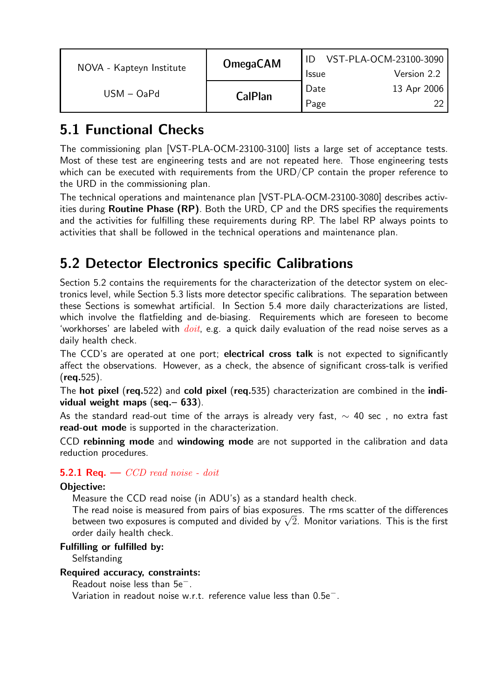| NOVA - Kapteyn Institute | <b>OmegaCAM</b> | VST-PLA-OCM-23100-3090 |             |
|--------------------------|-----------------|------------------------|-------------|
|                          |                 | <b>Issue</b>           | Version 2.2 |
| $USM - OaPd$             |                 | Date                   | 13 Apr 2006 |
|                          | <b>CalPlan</b>  | Page                   |             |

## 5.1 Functional Checks

The commissioning plan [VST-PLA-OCM-23100-3100] lists a large set of acceptance tests. Most of these test are engineering tests and are not repeated here. Those engineering tests which can be executed with requirements from the URD/CP contain the proper reference to the URD in the commissioning plan.

The technical operations and maintenance plan [VST-PLA-OCM-23100-3080] describes activities during **Routine Phase (RP)**. Both the URD, CP and the DRS specifies the requirements and the activities for fulfilling these requirements during RP. The label RP always points to activities that shall be followed in the technical operations and maintenance plan.

## 5.2 Detector Electronics specific Calibrations

Section 5.2 contains the requirements for the characterization of the detector system on electronics level, while Section 5.3 lists more detector specific calibrations. The separation between these Sections is somewhat artificial. In Section 5.4 more daily characterizations are listed, which involve the flatfielding and de-biasing. Requirements which are foreseen to become 'workhorses' are labeled with  $doit$ , e.g. a quick daily evaluation of the read noise serves as a daily health check.

The CCD's are operated at one port; electrical cross talk is not expected to significantly affect the observations. However, as a check, the absence of significant cross-talk is verified  $(rea.525).$ 

The hot pixel (req.522) and cold pixel (req.535) characterization are combined in the individual weight maps (seq.– 633).

As the standard read-out time of the arrays is already very fast,  $\sim$  40 sec, no extra fast read-out mode is supported in the characterization.

CCD rebinning mode and windowing mode are not supported in the calibration and data reduction procedures.

#### **5.2.1 Req.**  $\sim$  *CCD read noise - doit*

#### Objective:

Measure the CCD read noise (in ADU's) as a standard health check.

The read noise is measured from pairs of bias exposures. The rms scatter of the differences between two exposures is computed and divided by  $\sqrt{2}$ . Monitor variations. This is the first order daily health check.

#### Fulfilling or fulfilled by:

**Selfstanding** 

#### Required accuracy, constraints:

Readout noise less than 5e−.

Variation in readout noise w.r.t. reference value less than 0.5e−.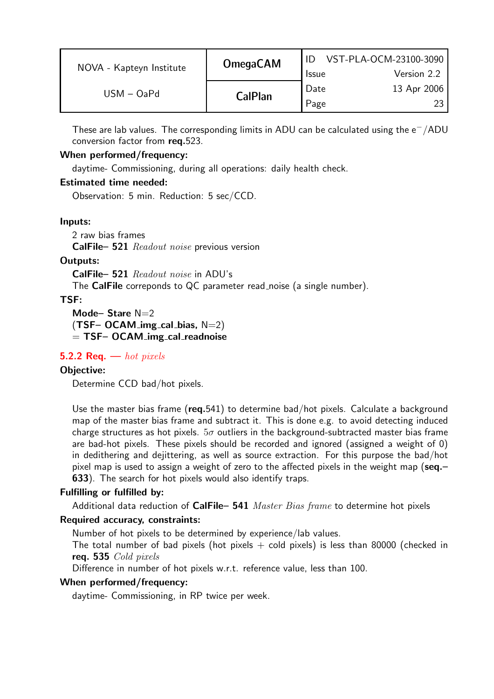| NOVA - Kapteyn Institute | <b>OmegaCAM</b> | ID<br><b>Issue</b> | VST-PLA-OCM-23100-3090<br>Version 2.2 |
|--------------------------|-----------------|--------------------|---------------------------------------|
| $USM - OaPd$             | <b>CalPlan</b>  | Date               | 13 Apr 2006<br>つく                     |
|                          |                 | Page               |                                       |

These are lab values. The corresponding limits in ADU can be calculated using the  $\rm e^-/ADU$ conversion factor from req.523.

#### When performed/frequency:

daytime- Commissioning, during all operations: daily health check.

#### Estimated time needed:

Observation: 5 min. Reduction: 5 sec/CCD.

#### Inputs:

2 raw bias frames

CalFile– 521 Readout noise previous version

#### Outputs:

CalFile– 521 Readout noise in ADU's The **CalFile** correponds to QC parameter read noise (a single number).

#### TSF:

Mode-Stare N=2  $(TSF-OCAM_img_cal_bias, N=2)$  $=$  TSF– OCAM img cal readnoise

#### **5.2.2 Req.** — hot pixels

#### Objective:

Determine CCD bad/hot pixels.

Use the master bias frame ( $req.541$ ) to determine bad/hot pixels. Calculate a background map of the master bias frame and subtract it. This is done e.g. to avoid detecting induced charge structures as hot pixels.  $5\sigma$  outliers in the background-subtracted master bias frame are bad-hot pixels. These pixels should be recorded and ignored (assigned a weight of 0) in dedithering and dejittering, as well as source extraction. For this purpose the bad/hot pixel map is used to assign a weight of zero to the affected pixels in the weight map (seq.-633). The search for hot pixels would also identify traps.

#### Fulfilling or fulfilled by:

Additional data reduction of  $CalFile- 541$  Master Bias frame to determine hot pixels

#### Required accuracy, constraints:

Number of hot pixels to be determined by experience/lab values.

The total number of bad pixels (hot pixels  $+$  cold pixels) is less than 80000 (checked in req. 535 Cold pixels

Difference in number of hot pixels w.r.t. reference value, less than 100.

#### When performed/frequency:

daytime- Commissioning, in RP twice per week.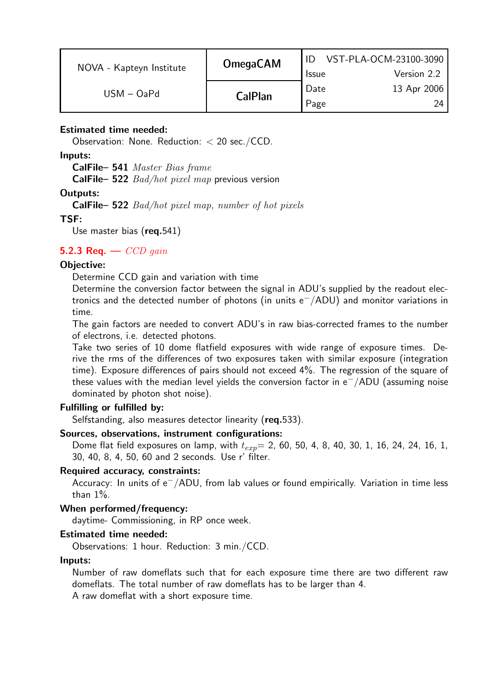| NOVA - Kapteyn Institute | <b>OmegaCAM</b> | <b>Issue</b> | VST-PLA-OCM-23100-3090<br>Version 2.2 |
|--------------------------|-----------------|--------------|---------------------------------------|
| $USM - OaPd$             | <b>CalPlan</b>  | Date<br>Page | 13 Apr 2006<br>9Δ                     |

#### Estimated time needed:

Observation: None. Reduction: < 20 sec./CCD.

#### Inputs:

CalFile– 541 Master Bias frame

**CalFile– 522**  $Bad/hot$  *pixel map* previous version

#### Outputs:

CalFile– 522 Bad/hot pixel map, number of hot pixels

#### TSF:

Use master bias (req.541)

#### 5.2.3 Req.  $\sim$  CCD gain

#### Objective:

Determine CCD gain and variation with time

Determine the conversion factor between the signal in ADU's supplied by the readout electronics and the detected number of photons (in units  $e^-/ADU$ ) and monitor variations in time.

The gain factors are needed to convert ADU's in raw bias-corrected frames to the number of electrons, i.e. detected photons.

Take two series of 10 dome flatfield exposures with wide range of exposure times. Derive the rms of the differences of two exposures taken with similar exposure (integration time). Exposure differences of pairs should not exceed 4%. The regression of the square of these values with the median level yields the conversion factor in  $e^{-}/$ ADU (assuming noise dominated by photon shot noise).

#### Fulfilling or fulfilled by:

Selfstanding, also measures detector linearity (req.533).

#### Sources, observations, instrument configurations:

Dome flat field exposures on lamp, with  $t_{exp}= 2$ , 60, 50, 4, 8, 40, 30, 1, 16, 24, 24, 16, 1, 30, 40, 8, 4, 50, 60 and 2 seconds. Use r' filter.

#### Required accuracy, constraints:

Accuracy: In units of e <sup>−</sup>/ADU, from lab values or found empirically. Variation in time less than 1%.

#### When performed/frequency:

daytime- Commissioning, in RP once week.

#### Estimated time needed:

Observations: 1 hour. Reduction: 3 min./CCD.

#### Inputs:

Number of raw domeflats such that for each exposure time there are two different raw domeflats. The total number of raw domeflats has to be larger than 4. A raw domeflat with a short exposure time.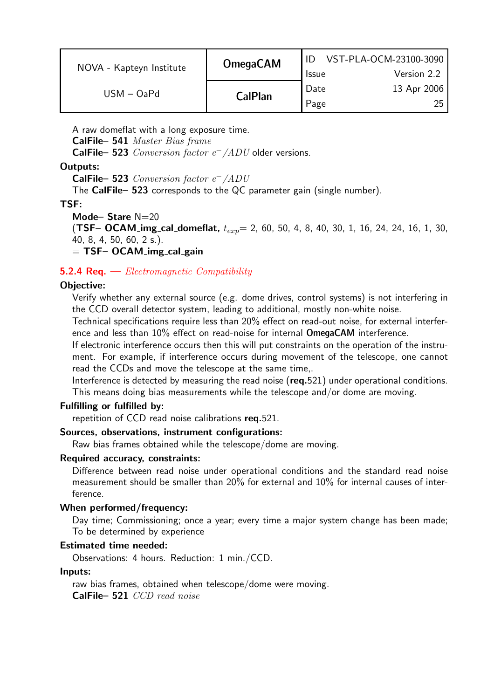| NOVA - Kapteyn Institute | <b>OmegaCAM</b> | <b>Issue</b> | VST-PLA-OCM-23100-3090<br>Version 2.2 |
|--------------------------|-----------------|--------------|---------------------------------------|
| $USM - OaPd$             | <b>CalPlan</b>  | Date<br>Page | 13 Apr 2006<br>25 <sub>1</sub>        |

A raw domeflat with a long exposure time.

CalFile– 541 Master Bias frame

**CalFile– 523** Conversion factor  $e^-$  /ADU older versions.

#### Outputs:

CalFile– 523 Conversion factor e <sup>−</sup>/ADU

The CalFile– 523 corresponds to the QC parameter gain (single number).

#### TSF:

Mode-Stare  $N=20$ 

**(TSF– OCAM img cal domeflat,**  $t_{exp}$  = 2, 60, 50, 4, 8, 40, 30, 1, 16, 24, 24, 16, 1, 30, 40, 8, 4, 50, 60, 2 s.).

 $=$  TSF– OCAM img cal gain

#### **5.2.4 Req.**  $\rightarrow$  *Electromagnetic Compatibility*

#### Objective:

Verify whether any external source (e.g. dome drives, control systems) is not interfering in the CCD overall detector system, leading to additional, mostly non-white noise.

Technical specifications require less than 20% effect on read-out noise, for external interference and less than 10% effect on read-noise for internal OmegaCAM interference.

If electronic interference occurs then this will put constraints on the operation of the instrument. For example, if interference occurs during movement of the telescope, one cannot read the CCDs and move the telescope at the same time,.

Interference is detected by measuring the read noise (req.521) under operational conditions. This means doing bias measurements while the telescope and/or dome are moving.

#### Fulfilling or fulfilled by:

repetition of CCD read noise calibrations req.521.

#### Sources, observations, instrument configurations:

Raw bias frames obtained while the telescope/dome are moving.

#### Required accuracy, constraints:

Difference between read noise under operational conditions and the standard read noise measurement should be smaller than 20% for external and 10% for internal causes of interference.

#### When performed/frequency:

Day time; Commissioning; once a year; every time a major system change has been made; To be determined by experience

#### Estimated time needed:

Observations: 4 hours. Reduction: 1 min./CCD.

#### Inputs:

raw bias frames, obtained when telescope/dome were moving. CalFile– 521 CCD read noise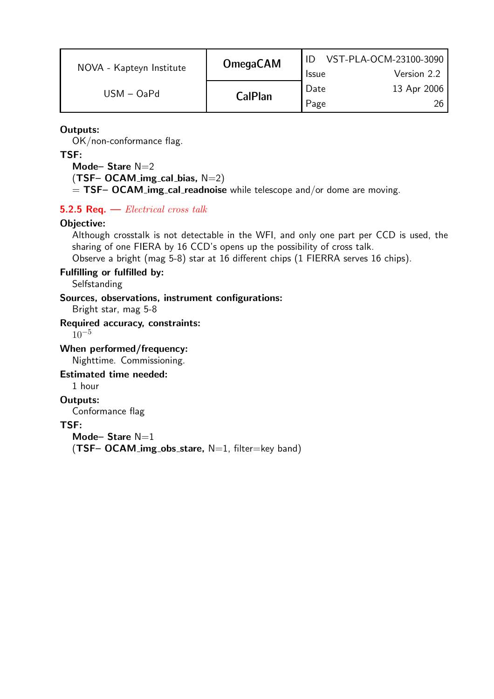| NOVA - Kapteyn Institute | <b>OmegaCAM</b> |              | VST-PLA-OCM-23100-3090 |
|--------------------------|-----------------|--------------|------------------------|
|                          |                 | <b>Issue</b> | Version 2.2            |
| $USM - OaPd$             | <b>CalPlan</b>  | Date         | 13 Apr 2006            |
|                          |                 | Page         |                        |

#### Outputs:

OK/non-conformance flag.

#### TSF:

Mode-Stare N=2  $(TSF-OCAM_img_cal_bias, N=2)$  $=$  TSF– OCAM img cal readnoise while telescope and/or dome are moving.

#### 5.2.5 Req.  $-$  *Electrical cross talk*

#### Objective:

Although crosstalk is not detectable in the WFI, and only one part per CCD is used, the sharing of one FIERA by 16 CCD's opens up the possibility of cross talk.

Observe a bright (mag 5-8) star at 16 different chips (1 FIERRA serves 16 chips).

#### Fulfilling or fulfilled by:

**Selfstanding** 

#### Sources, observations, instrument configurations:

Bright star, mag 5-8

#### Required accuracy, constraints:

 $10^{-5}$ 

#### When performed/frequency: Nighttime. Commissioning.

Estimated time needed:

1 hour

#### Outputs:

Conformance flag

#### TSF:

Mode-Stare  $N=1$  $(TSF-OCAM_-img\_obs\_stance, N=1, filter=key band)$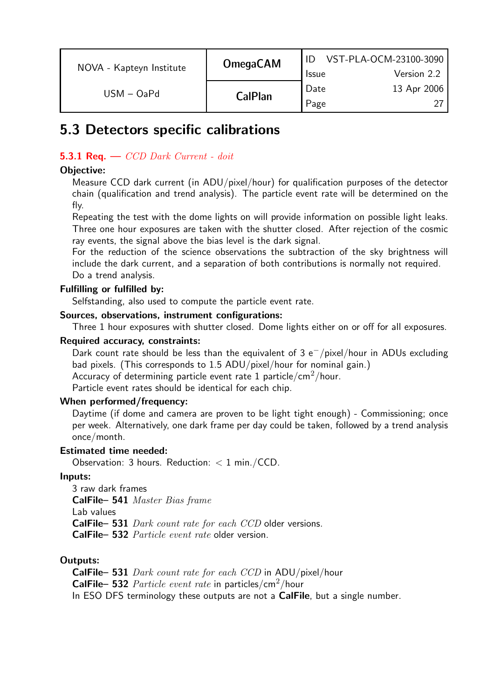| NOVA - Kapteyn Institute | <b>OmegaCAM</b> | <b>Issue</b> | VST-PLA-OCM-23100-3090<br>Version 2.2 |
|--------------------------|-----------------|--------------|---------------------------------------|
| $USM - OaPd$             | <b>CalPlan</b>  | Date         | 13 Apr 2006                           |
|                          |                 | Page         |                                       |

### 5.3 Detectors specific calibrations

#### **5.3.1 Req.**  $\longrightarrow$  *CCD Dark Current - doit*

#### Objective:

Measure CCD dark current (in ADU/pixel/hour) for qualification purposes of the detector chain (qualification and trend analysis). The particle event rate will be determined on the fly.

Repeating the test with the dome lights on will provide information on possible light leaks. Three one hour exposures are taken with the shutter closed. After rejection of the cosmic ray events, the signal above the bias level is the dark signal.

For the reduction of the science observations the subtraction of the sky brightness will include the dark current, and a separation of both contributions is normally not required. Do a trend analysis.

#### Fulfilling or fulfilled by:

Selfstanding, also used to compute the particle event rate.

#### Sources, observations, instrument configurations:

Three 1 hour exposures with shutter closed. Dome lights either on or off for all exposures.

#### Required accuracy, constraints:

Dark count rate should be less than the equivalent of 3 e <sup>−</sup>/pixel/hour in ADUs excluding bad pixels. (This corresponds to 1.5 ADU/pixel/hour for nominal gain.) Accuracy of determining particle event rate 1 particle/cm<sup>2</sup>/hour.

Particle event rates should be identical for each chip.

#### When performed/frequency:

Daytime (if dome and camera are proven to be light tight enough) - Commissioning; once per week. Alternatively, one dark frame per day could be taken, followed by a trend analysis once/month.

#### Estimated time needed:

Observation: 3 hours. Reduction: < 1 min./CCD.

#### Inputs:

3 raw dark frames CalFile– 541 Master Bias frame Lab values CalFile– 531 Dark count rate for each CCD older versions. CalFile– 532 Particle event rate older version.

#### Outputs:

CalFile– 531 *Dark count rate for each CCD* in ADU/pixel/hour **CalFile– 532** Particle event rate in particles/cm<sup>2</sup>/hour In ESO DFS terminology these outputs are not a **CalFile**, but a single number.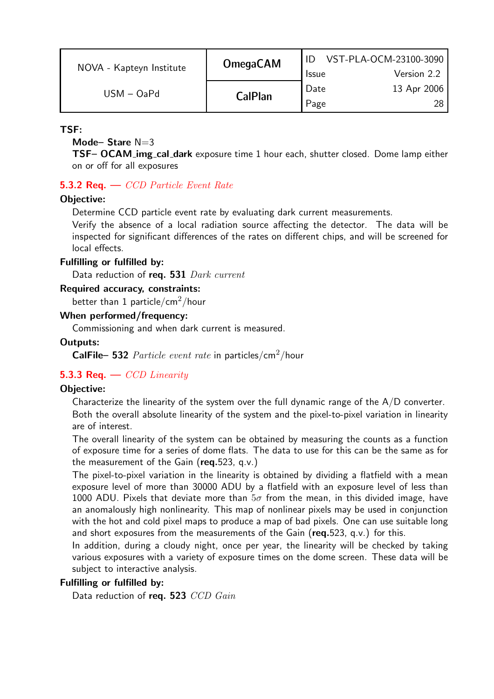| NOVA - Kapteyn Institute | <b>OmegaCAM</b> | <b>Issue</b> | VST-PLA-OCM-23100-3090<br>Version 2.2 |
|--------------------------|-----------------|--------------|---------------------------------------|
| $USM - OaPd$             | <b>CalPlan</b>  | Date<br>Page | 13 Apr 2006<br>28.                    |

TSF:

#### Mode-Stare  $N=3$

TSF- OCAM\_img\_cal\_dark exposure time 1 hour each, shutter closed. Dome lamp either on or off for all exposures

#### **5.3.2 Req.**  $\sim$  *CCD Particle Event Rate*

#### Objective:

Determine CCD particle event rate by evaluating dark current measurements.

Verify the absence of a local radiation source affecting the detector. The data will be inspected for significant differences of the rates on different chips, and will be screened for local effects.

#### Fulfilling or fulfilled by:

Data reduction of req. 531 Dark current

Required accuracy, constraints:

better than 1 particle/cm<sup>2</sup>/hour

#### When performed/frequency:

Commissioning and when dark current is measured.

#### Outputs:

**CalFile– 532** Particle event rate in particles/cm<sup>2</sup>/hour

#### **5.3.3 Req.** —  $CCD$  Linearity

#### Objective:

Characterize the linearity of the system over the full dynamic range of the  $A/D$  converter. Both the overall absolute linearity of the system and the pixel-to-pixel variation in linearity are of interest.

The overall linearity of the system can be obtained by measuring the counts as a function of exposure time for a series of dome flats. The data to use for this can be the same as for the measurement of the Gain ( $req.523$ , q.v.)

The pixel-to-pixel variation in the linearity is obtained by dividing a flatfield with a mean exposure level of more than 30000 ADU by a flatfield with an exposure level of less than 1000 ADU. Pixels that deviate more than  $5\sigma$  from the mean, in this divided image, have an anomalously high nonlinearity. This map of nonlinear pixels may be used in conjunction with the hot and cold pixel maps to produce a map of bad pixels. One can use suitable long and short exposures from the measurements of the Gain ( $req.523$ , q.v.) for this.

In addition, during a cloudy night, once per year, the linearity will be checked by taking various exposures with a variety of exposure times on the dome screen. These data will be subject to interactive analysis.

#### Fulfilling or fulfilled by:

Data reduction of req. 523 CCD Gain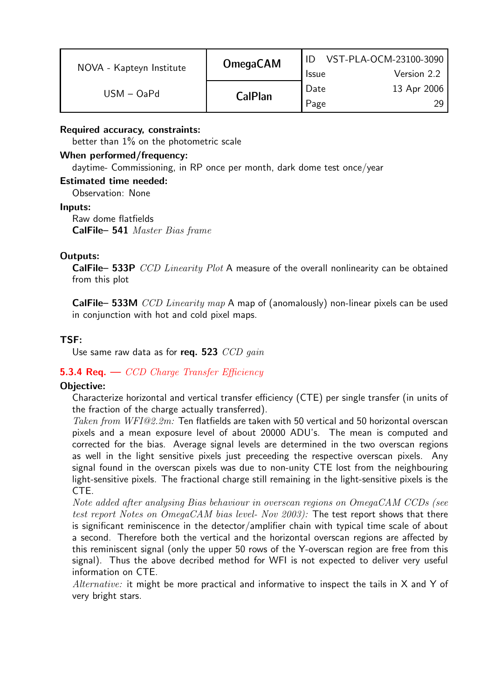| NOVA - Kapteyn Institute | <b>OmegaCAM</b> | <b>Issue</b> | VST-PLA-OCM-23100-3090<br>Version 2.2 |
|--------------------------|-----------------|--------------|---------------------------------------|
| $USM - OaPd$             | <b>CalPlan</b>  | Date<br>Page | 13 Apr 2006                           |

#### Required accuracy, constraints:

better than  $1\%$  on the photometric scale

#### When performed/frequency:

daytime- Commissioning, in RP once per month, dark dome test once/year

#### Estimated time needed:

Observation: None

#### Inputs:

Raw dome flatfields CalFile– 541 Master Bias frame

#### Outputs:

CalFile– 533P CCD Linearity Plot A measure of the overall nonlinearity can be obtained from this plot

**CalFile– 533M** CCD Linearity map A map of (anomalously) non-linear pixels can be used in conjunction with hot and cold pixel maps.

#### TSF:

Use same raw data as for req. 523  $CCD$  gain

#### **5.3.4 Req.**  $\leftarrow$  *CCD Charge Transfer Efficiency*

#### Objective:

Characterize horizontal and vertical transfer efficiency (CTE) per single transfer (in units of the fraction of the charge actually transferred).

Taken from WFI@2.2m: Ten flatfields are taken with 50 vertical and 50 horizontal overscan pixels and a mean exposure level of about 20000 ADU's. The mean is computed and corrected for the bias. Average signal levels are determined in the two overscan regions as well in the light sensitive pixels just preceeding the respective overscan pixels. Any signal found in the overscan pixels was due to non-unity CTE lost from the neighbouring light-sensitive pixels. The fractional charge still remaining in the light-sensitive pixels is the CTE.

Note added after analysing Bias behaviour in overscan regions on OmegaCAM CCDs (see test report Notes on  $OmegaCAM$  bias level- Nov 2003). The test report shows that there is significant reminiscence in the detector/amplifier chain with typical time scale of about a second. Therefore both the vertical and the horizontal overscan regions are affected by this reminiscent signal (only the upper 50 rows of the Y-overscan region are free from this signal). Thus the above decribed method for WFI is not expected to deliver very useful information on CTE.

*Alternative:* it might be more practical and informative to inspect the tails in  $X$  and Y of very bright stars.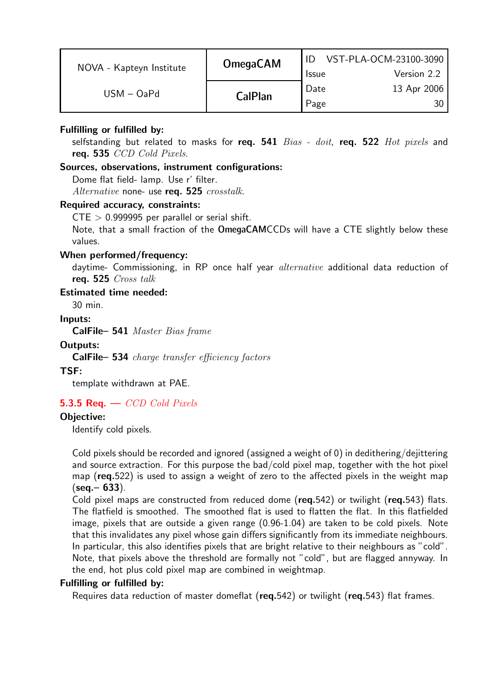| Date<br>13 Apr 2006<br>$USM - OaPd$<br><b>CalPlan</b> | NOVA - Kapteyn Institute | <b>OmegaCAM</b> | ID<br><b>Issue</b> | VST-PLA-OCM-23100-3090<br>Version 2.2 |
|-------------------------------------------------------|--------------------------|-----------------|--------------------|---------------------------------------|
|                                                       |                          |                 | Page               | 30.                                   |

#### Fulfilling or fulfilled by:

selfstanding but related to masks for req.  $541$   $Bias - doit$ , req.  $522$   $Hot$   $pixels$  and reg. 535 CCD Cold Pixels.

#### Sources, observations, instrument configurations:

Dome flat field- lamp. Use r' filter. Alternative none- use req. 525 crosstalk.

#### Required accuracy, constraints:

 $CTE > 0.999995$  per parallel or serial shift.

Note, that a small fraction of the OmegaCAMCCDs will have a CTE slightly below these values.

#### When performed/frequency:

daytime- Commissioning, in RP once half year *alternative* additional data reduction of req. 525 Cross talk

#### Estimated time needed:

30 min.

#### Inputs:

CalFile– 541 Master Bias frame

#### Outputs:

CalFile– 534 charge transfer efficiency factors

#### TSF:

template withdrawn at PAE.

#### 5.3.5 Req.  $\leftarrow$  CCD Cold Pixels

#### Objective:

Identify cold pixels.

Cold pixels should be recorded and ignored (assigned a weight of 0) in dedithering/dejittering and source extraction. For this purpose the bad/cold pixel map, together with the hot pixel map (req.522) is used to assign a weight of zero to the affected pixels in the weight map  $($ seq.– 633 $).$ 

Cold pixel maps are constructed from reduced dome ( $req.542$ ) or twilight ( $req.543$ ) flats. The flatfield is smoothed. The smoothed flat is used to flatten the flat. In this flatfielded image, pixels that are outside a given range (0.96-1.04) are taken to be cold pixels. Note that this invalidates any pixel whose gain differs significantly from its immediate neighbours. In particular, this also identifies pixels that are bright relative to their neighbours as "cold". Note, that pixels above the threshold are formally not "cold", but are flagged annyway. In the end, hot plus cold pixel map are combined in weightmap.

#### Fulfilling or fulfilled by:

Requires data reduction of master domeflat (req.542) or twilight (req.543) flat frames.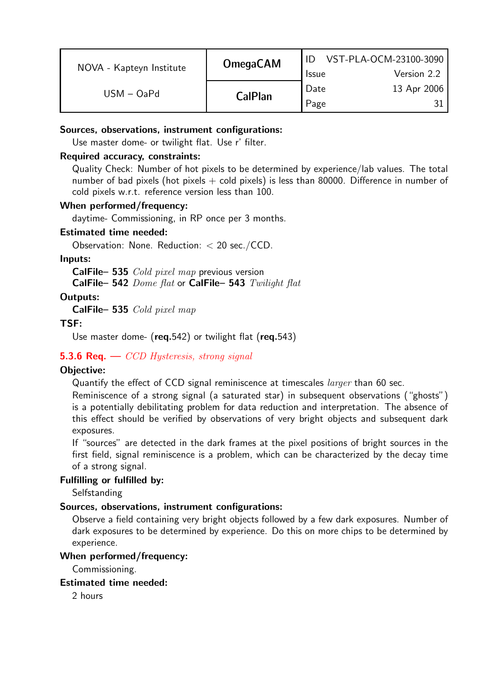| NOVA - Kapteyn Institute | <b>OmegaCAM</b> | <b>Issue</b> | VST-PLA-OCM-23100-3090<br>Version 2.2 |
|--------------------------|-----------------|--------------|---------------------------------------|
| $USM - OaPd$             | <b>CalPlan</b>  | Date<br>Page | 13 Apr 2006                           |

#### Sources, observations, instrument configurations:

Use master dome- or twilight flat. Use r' filter.

#### Required accuracy, constraints:

Quality Check: Number of hot pixels to be determined by experience/lab values. The total number of bad pixels (hot pixels  $+$  cold pixels) is less than 80000. Difference in number of cold pixels w.r.t. reference version less than 100.

#### When performed/frequency:

daytime- Commissioning, in RP once per 3 months.

#### Estimated time needed:

Observation: None. Reduction: < 20 sec./CCD.

#### Inputs:

CalFile– 535 *Cold pixel map* previous version CalFile– 542 Dome flat or CalFile– 543 Twilight flat

#### Outputs:

CalFile– 535 Cold pixel map

#### TSF:

Use master dome- (req.542) or twilight flat (req.543)

#### **5.3.6 Req.**  $\longrightarrow$  CCD Hysteresis, strong signal

#### Objective:

Quantify the effect of CCD signal reminiscence at timescales *larger* than 60 sec.

Reminiscence of a strong signal (a saturated star) in subsequent observations ("ghosts") is a potentially debilitating problem for data reduction and interpretation. The absence of this effect should be verified by observations of very bright objects and subsequent dark exposures.

If "sources" are detected in the dark frames at the pixel positions of bright sources in the first field, signal reminiscence is a problem, which can be characterized by the decay time of a strong signal.

#### Fulfilling or fulfilled by:

**Selfstanding** 

#### Sources, observations, instrument configurations:

Observe a field containing very bright objects followed by a few dark exposures. Number of dark exposures to be determined by experience. Do this on more chips to be determined by experience.

#### When performed/frequency:

Commissioning.

#### Estimated time needed:

2 hours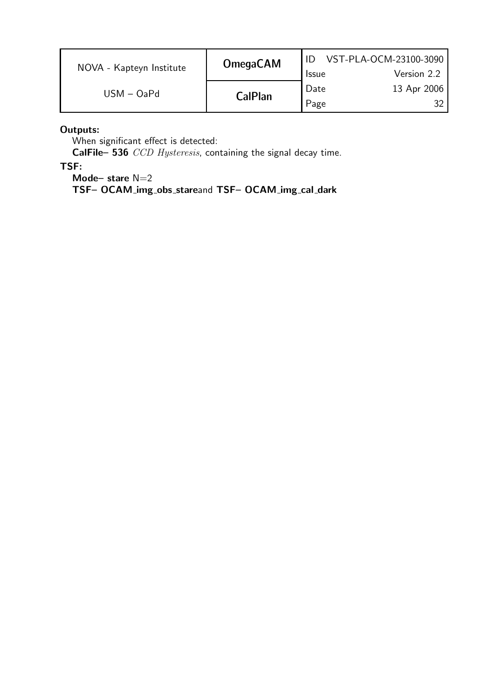| NOVA - Kapteyn Institute | <b>OmegaCAM</b> |              | VST-PLA-OCM-23100-3090 |
|--------------------------|-----------------|--------------|------------------------|
|                          |                 | <b>Issue</b> | Version 2.2            |
| $USM - OaPd$             | <b>CalPlan</b>  | Date         | 13 Apr 2006            |
|                          |                 | Page         |                        |

Outputs:

When significant effect is detected:

CalFile– 536 CCD Hysteresis, containing the signal decay time.

TSF:

Mode-stare N=2

TSF– OCAM img obs stareand TSF– OCAM img cal dark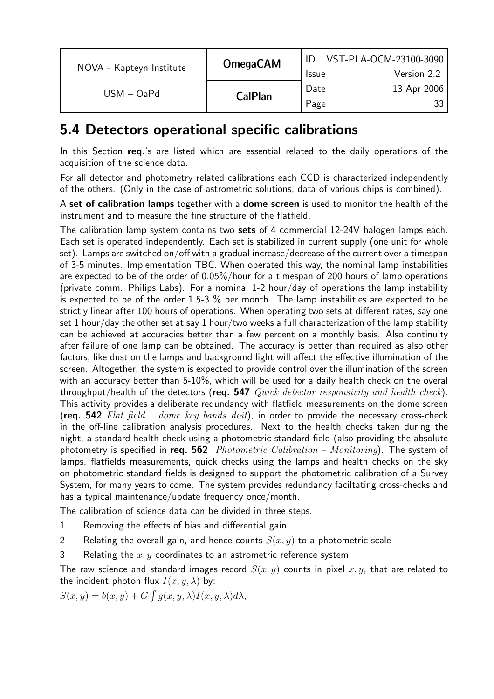| NOVA - Kapteyn Institute | <b>OmegaCAM</b> | <b>Issue</b> | VST-PLA-OCM-23100-3090<br>Version 2.2 |
|--------------------------|-----------------|--------------|---------------------------------------|
| $USM - OaPd$             | <b>CalPlan</b>  | Date<br>Page | 13 Apr 2006<br>33.                    |

### 5.4 Detectors operational specific calibrations

In this Section req.'s are listed which are essential related to the daily operations of the acquisition of the science data.

For all detector and photometry related calibrations each CCD is characterized independently of the others. (Only in the case of astrometric solutions, data of various chips is combined).

A set of calibration lamps together with a dome screen is used to monitor the health of the instrument and to measure the fine structure of the flatfield.

The calibration lamp system contains two **sets** of 4 commercial 12-24V halogen lamps each. Each set is operated independently. Each set is stabilized in current supply (one unit for whole set). Lamps are switched on/off with a gradual increase/decrease of the current over a timespan of 3-5 minutes. Implementation TBC. When operated this way, the nominal lamp instabilities are expected to be of the order of 0.05%/hour for a timespan of 200 hours of lamp operations (private comm. Philips Labs). For a nominal 1-2 hour/day of operations the lamp instability is expected to be of the order 1.5-3 % per month. The lamp instabilities are expected to be strictly linear after 100 hours of operations. When operating two sets at different rates, say one set 1 hour/day the other set at say 1 hour/two weeks a full characterization of the lamp stability can be achieved at accuracies better than a few percent on a monthly basis. Also continuity after failure of one lamp can be obtained. The accuracy is better than required as also other factors, like dust on the lamps and background light will affect the effective illumination of the screen. Altogether, the system is expected to provide control over the illumination of the screen with an accuracy better than 5-10%, which will be used for a daily health check on the overal throughput/health of the detectors (req. 547  $Quick \ detector \ responsibility \ and \ health \ check)$ . This activity provides a deliberate redundancy with flatfield measurements on the dome screen (req. 542 Flat field – dome key bands–doit), in order to provide the necessary cross-check in the off-line calibration analysis procedures. Next to the health checks taken during the night, a standard health check using a photometric standard field (also providing the absolute photometry is specified in req. 562 Photometric Calibration – Monitoring). The system of lamps, flatfields measurements, quick checks using the lamps and health checks on the sky on photometric standard fields is designed to support the photometric calibration of a Survey System, for many years to come. The system provides redundancy faciltating cross-checks and has a typical maintenance/update frequency once/month.

The calibration of science data can be divided in three steps.

1 Removing the effects of bias and differential gain.

2 Relating the overall gain, and hence counts  $S(x, y)$  to a photometric scale

3 Relating the  $x, y$  coordinates to an astrometric reference system.

The raw science and standard images record  $S(x, y)$  counts in pixel  $x, y$ , that are related to the incident photon flux  $I(x, y, \lambda)$  by:

 $S(x, y) = b(x, y) + G \int g(x, y, \lambda) I(x, y, \lambda) d\lambda$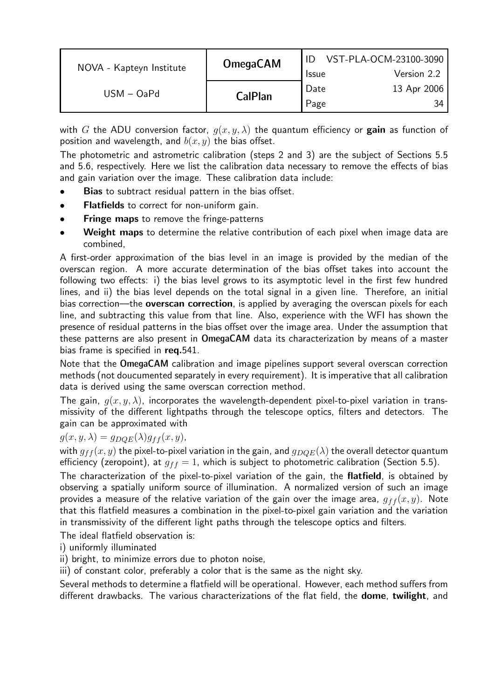|                          | <b>OmegaCAM</b> |              | VST-PLA-OCM-23100-3090 |
|--------------------------|-----------------|--------------|------------------------|
| NOVA - Kapteyn Institute |                 | <b>Issue</b> | Version 2.2            |
| $USM - OaPd$             |                 | Date         | 13 Apr 2006            |
|                          | <b>CalPlan</b>  | Page         | 34                     |

with G the ADU conversion factor,  $q(x, y, \lambda)$  the quantum efficiency or **gain** as function of position and wavelength, and  $b(x, y)$  the bias offset.

The photometric and astrometric calibration (steps 2 and 3) are the subject of Sections 5.5 and 5.6, respectively. Here we list the calibration data necessary to remove the effects of bias and gain variation over the image. These calibration data include:

- Bias to subtract residual pattern in the bias offset.
- Flatfields to correct for non-uniform gain.
- **Fringe maps** to remove the fringe-patterns
- Weight maps to determine the relative contribution of each pixel when image data are combined,

A first-order approximation of the bias level in an image is provided by the median of the overscan region. A more accurate determination of the bias offset takes into account the following two effects: i) the bias level grows to its asymptotic level in the first few hundred lines, and ii) the bias level depends on the total signal in a given line. Therefore, an initial bias correction—the **overscan correction**, is applied by averaging the overscan pixels for each line, and subtracting this value from that line. Also, experience with the WFI has shown the presence of residual patterns in the bias offset over the image area. Under the assumption that these patterns are also present in OmegaCAM data its characterization by means of a master bias frame is specified in req.541.

Note that the OmegaCAM calibration and image pipelines support several overscan correction methods (not doucumented separately in every requirement). It is imperative that all calibration data is derived using the same overscan correction method.

The gain,  $g(x, y, \lambda)$ , incorporates the wavelength-dependent pixel-to-pixel variation in transmissivity of the different lightpaths through the telescope optics, filters and detectors. The gain can be approximated with

#### $g(x, y, \lambda) = g_{DQE}(\lambda)g_{ff}(x, y),$

with  $g_{ff}(x, y)$  the pixel-to-pixel variation in the gain, and  $g_{DQE}(\lambda)$  the overall detector quantum efficiency (zeropoint), at  $g_{ff} = 1$ , which is subject to photometric calibration (Section 5.5).

The characterization of the pixel-to-pixel variation of the gain, the flatfield, is obtained by observing a spatially uniform source of illumination. A normalized version of such an image provides a measure of the relative variation of the gain over the image area,  $g_{ff}(x, y)$ . Note that this flatfield measures a combination in the pixel-to-pixel gain variation and the variation in transmissivity of the different light paths through the telescope optics and filters.

The ideal flatfield observation is:

i) uniformly illuminated

ii) bright, to minimize errors due to photon noise,

iii) of constant color, preferably a color that is the same as the night sky.

Several methods to determine a flatfield will be operational. However, each method suffers from different drawbacks. The various characterizations of the flat field, the dome, twilight, and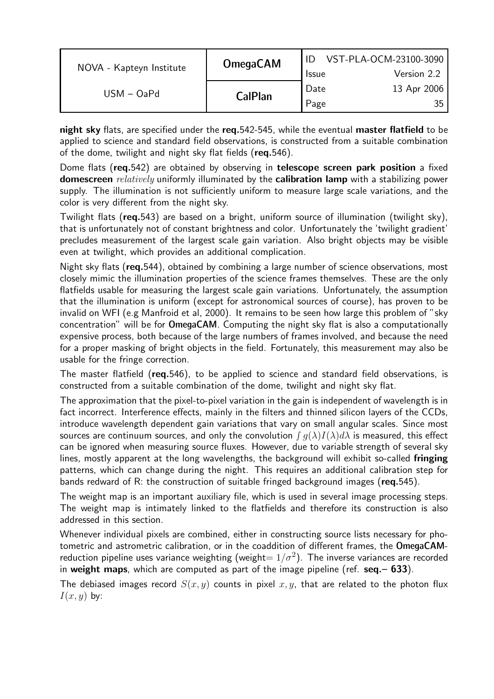|                          | <b>OmegaCAM</b> |              | VST-PLA-OCM-23100-3090 |
|--------------------------|-----------------|--------------|------------------------|
| NOVA - Kapteyn Institute |                 | <b>Issue</b> | Version 2.2            |
| $USM - OaPd$             |                 | Date         | 13 Apr 2006            |
|                          | <b>CalPlan</b>  | Page         |                        |

night sky flats, are specified under the req.542-545, while the eventual master flatfield to be applied to science and standard field observations, is constructed from a suitable combination of the dome, twilight and night sky flat fields (req.546).

Dome flats (req.542) are obtained by observing in telescope screen park position a fixed domescreen *relatively* uniformly illuminated by the **calibration lamp** with a stabilizing power supply. The illumination is not sufficiently uniform to measure large scale variations, and the color is very different from the night sky.

Twilight flats (req.543) are based on a bright, uniform source of illumination (twilight sky), that is unfortunately not of constant brightness and color. Unfortunately the 'twilight gradient' precludes measurement of the largest scale gain variation. Also bright objects may be visible even at twilight, which provides an additional complication.

Night sky flats (req.544), obtained by combining a large number of science observations, most closely mimic the illumination properties of the science frames themselves. These are the only flatfields usable for measuring the largest scale gain variations. Unfortunately, the assumption that the illumination is uniform (except for astronomical sources of course), has proven to be invalid on WFI (e.g Manfroid et al, 2000). It remains to be seen how large this problem of "sky concentration" will be for OmegaCAM. Computing the night sky flat is also a computationally expensive process, both because of the large numbers of frames involved, and because the need for a proper masking of bright objects in the field. Fortunately, this measurement may also be usable for the fringe correction.

The master flatfield (req.546), to be applied to science and standard field observations, is constructed from a suitable combination of the dome, twilight and night sky flat.

The approximation that the pixel-to-pixel variation in the gain is independent of wavelength is in fact incorrect. Interference effects, mainly in the filters and thinned silicon layers of the CCDs, introduce wavelength dependent gain variations that vary on small angular scales. Since most sources are continuum sources, and only the convolution  $\int q(\lambda)I(\lambda)d\lambda$  is measured, this effect can be ignored when measuring source fluxes. However, due to variable strength of several sky lines, mostly apparent at the long wavelengths, the background will exhibit so-called fringing patterns, which can change during the night. This requires an additional calibration step for bands redward of R: the construction of suitable fringed background images ( $req.545$ ).

The weight map is an important auxiliary file, which is used in several image processing steps. The weight map is intimately linked to the flatfields and therefore its construction is also addressed in this section.

Whenever individual pixels are combined, either in constructing source lists necessary for photometric and astrometric calibration, or in the coaddition of different frames, the OmegaCAMreduction pipeline uses variance weighting (weight=  $1/\sigma^2$ ). The inverse variances are recorded in weight maps, which are computed as part of the image pipeline (ref. seq.–  $633$ ).

The debiased images record  $S(x, y)$  counts in pixel x, y, that are related to the photon flux  $I(x, y)$  by: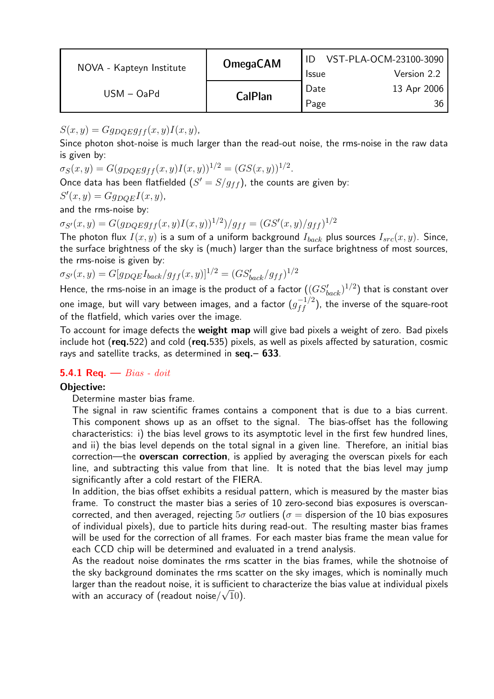|                          | <b>OmegaCAM</b> |              | VST-PLA-OCM-23100-3090 |
|--------------------------|-----------------|--------------|------------------------|
| NOVA - Kapteyn Institute |                 | <b>Issue</b> | Version 2.2            |
| $USM - OaPd$             | <b>CalPlan</b>  | Date         | 13 Apr 2006            |
|                          |                 | Page         | 36                     |

 $S(x, y) = Gg_{DQE}g_{ff}(x, y)I(x, y),$ 

Since photon shot-noise is much larger than the read-out noise, the rms-noise in the raw data is given by:

 $\sigma_S(x, y) = G(g_{DQE}g_{ff}(x, y)I(x, y))^{1/2} = (GS(x, y))^{1/2}.$ 

Once data has been flatfielded  $(S' = S/g_{ff})$ , the counts are given by:

$$
S'(x, y) = Gg_{DQE}I(x, y),
$$

and the rms-noise by:

 $\sigma_{S'}(x,y) = G(g_{DQE}g_{ff}(x,y)I(x,y))^{1/2})/g_{ff} = (GS'(x,y)/g_{ff})^{1/2}$ 

The photon flux  $I(x, y)$  is a sum of a uniform background  $I_{back}$  plus sources  $I_{src}(x, y)$ . Since, the surface brightness of the sky is (much) larger than the surface brightness of most sources, the rms-noise is given by:

 $\sigma_{S'}(x, y) = G[g_{DQE}I_{back}/g_{ff}(x, y)]^{1/2} = (GS'_{back}/g_{ff})^{1/2}$ 

Hence, the rms-noise in an image is the product of a factor  $((G S'_{back})^{1/2})$  that is constant over one image, but will vary between images, and a factor  $(g_{ff}^{-1/2})$  $f_f^{-(1/2)}$ ), the inverse of the square-root of the flatfield, which varies over the image.

To account for image defects the **weight map** will give bad pixels a weight of zero. Bad pixels include hot (req.522) and cold (req.535) pixels, as well as pixels affected by saturation, cosmic rays and satellite tracks, as determined in  $seq - 633$ .

#### 5.4.1 Req.  $-$  Bias - doit

#### Objective:

Determine master bias frame.

The signal in raw scientific frames contains a component that is due to a bias current. This component shows up as an offset to the signal. The bias-offset has the following characteristics: i) the bias level grows to its asymptotic level in the first few hundred lines, and ii) the bias level depends on the total signal in a given line. Therefore, an initial bias correction—the **overscan correction**, is applied by averaging the overscan pixels for each line, and subtracting this value from that line. It is noted that the bias level may jump significantly after a cold restart of the FIERA.

In addition, the bias offset exhibits a residual pattern, which is measured by the master bias frame. To construct the master bias a series of 10 zero-second bias exposures is overscancorrected, and then averaged, rejecting  $5\sigma$  outliers ( $\sigma$  = dispersion of the 10 bias exposures of individual pixels), due to particle hits during read-out. The resulting master bias frames will be used for the correction of all frames. For each master bias frame the mean value for each CCD chip will be determined and evaluated in a trend analysis.

As the readout noise dominates the rms scatter in the bias frames, while the shotnoise of the sky background dominates the rms scatter on the sky images, which is nominally much larger than the readout noise, it is sufficient to characterize the bias value at individual pixels with an accuracy of (readout noise/ $\sqrt{10}$ ).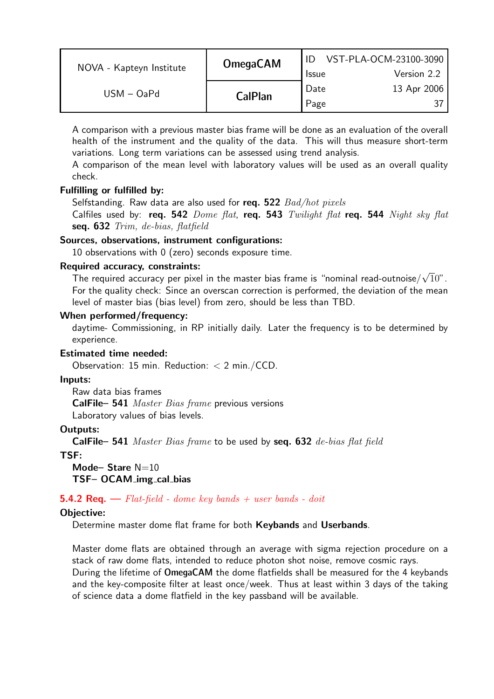| NOVA - Kapteyn Institute | <b>OmegaCAM</b> | <b>Issue</b> | VST-PLA-OCM-23100-3090<br>Version 2.2 |
|--------------------------|-----------------|--------------|---------------------------------------|
| $USM - OaPd$             | <b>CalPlan</b>  | Date<br>Page | 13 Apr 2006                           |

A comparison with a previous master bias frame will be done as an evaluation of the overall health of the instrument and the quality of the data. This will thus measure short-term variations. Long term variations can be assessed using trend analysis.

A comparison of the mean level with laboratory values will be used as an overall quality check.

## Fulfilling or fulfilled by:

Selfstanding. Raw data are also used for req.  $522$   $Bad/hot$  pixels

Calfiles used by: req. 542  $Dome$  flat, req. 543 Twilight flat req. 544 Night sky flat seq. 632 Trim, de-bias, flatfield

#### Sources, observations, instrument configurations:

10 observations with 0 (zero) seconds exposure time.

#### Required accuracy, constraints:

The required accuracy per pixel in the master bias frame is "nominal read-outnoise/ $\sqrt{10}$ ". For the quality check: Since an overscan correction is performed, the deviation of the mean level of master bias (bias level) from zero, should be less than TBD.

#### When performed/frequency:

daytime- Commissioning, in RP initially daily. Later the frequency is to be determined by experience.

## Estimated time needed:

Observation: 15 min. Reduction: < 2 min./CCD.

#### Inputs:

Raw data bias frames CalFile– 541 Master Bias frame previous versions Laboratory values of bias levels.

## Outputs:

**CalFile– 541** Master Bias frame to be used by  $seq. 632$  de-bias flat field

## TSF:

Mode-Stare  $N=10$ TSF- OCAM\_img\_cal\_bias

## **5.4.2 Req.**  $\rightarrow$  Flat-field - dome key bands + user bands - doit

## Objective:

Determine master dome flat frame for both Keybands and Userbands.

Master dome flats are obtained through an average with sigma rejection procedure on a stack of raw dome flats, intended to reduce photon shot noise, remove cosmic rays. During the lifetime of OmegaCAM the dome flatfields shall be measured for the 4 keybands and the key-composite filter at least once/week. Thus at least within 3 days of the taking of science data a dome flatfield in the key passband will be available.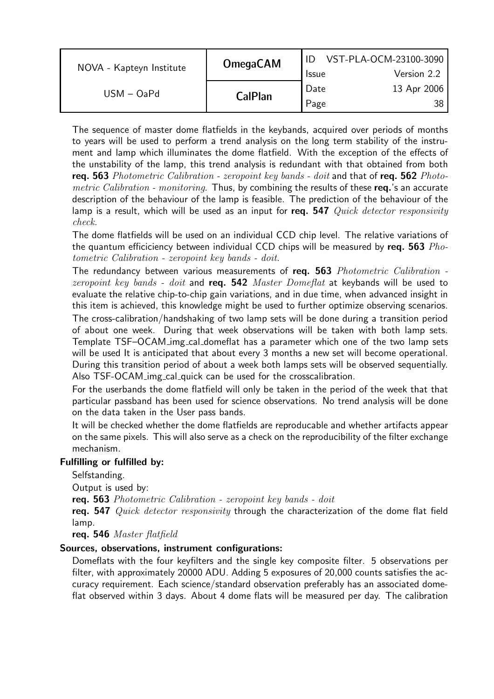| NOVA - Kapteyn Institute | <b>OmegaCAM</b> |                      | VST-PLA-OCM-23100-3090<br>Version 2.2 |
|--------------------------|-----------------|----------------------|---------------------------------------|
| $USM - OaPd$             |                 | <b>Issue</b><br>Date | 13 Apr 2006                           |
|                          | <b>CalPlan</b>  | Page                 | 38.                                   |

The sequence of master dome flatfields in the keybands, acquired over periods of months to years will be used to perform a trend analysis on the long term stability of the instrument and lamp which illuminates the dome flatfield. With the exception of the effects of the unstability of the lamp, this trend analysis is redundant with that obtained from both req. 563 Photometric Calibration - zeropoint key bands - doit and that of req. 562 Photometric Calibration - monitoring. Thus, by combining the results of these req.'s an accurate description of the behaviour of the lamp is feasible. The prediction of the behaviour of the lamp is a result, which will be used as an input for req. 547  $Quick \ detector \ responsibility$ check.

The dome flatfields will be used on an individual CCD chip level. The relative variations of the quantum efficiciency between individual CCD chips will be measured by req. 563  $Pho$ tometric Calibration - zeropoint key bands - doit.

The redundancy between various measurements of req. 563 Photometric Calibration zeropoint key bands - doit and req.  $542$  Master Domeflat at keybands will be used to evaluate the relative chip-to-chip gain variations, and in due time, when advanced insight in this item is achieved, this knowledge might be used to further optimize observing scenarios.

The cross-calibration/handshaking of two lamp sets will be done during a transition period of about one week. During that week observations will be taken with both lamp sets. Template TSF–OCAM img cal domeflat has a parameter which one of the two lamp sets will be used It is anticipated that about every 3 months a new set will become operational. During this transition period of about a week both lamps sets will be observed sequentially. Also TSF-OCAM img cal quick can be used for the crosscalibration.

For the userbands the dome flatfield will only be taken in the period of the week that that particular passband has been used for science observations. No trend analysis will be done on the data taken in the User pass bands.

It will be checked whether the dome flatfields are reproducable and whether artifacts appear on the same pixels. This will also serve as a check on the reproducibility of the filter exchange mechanism.

## Fulfilling or fulfilled by:

Selfstanding.

Output is used by:

req. 563 Photometric Calibration - zeropoint key bands - doit

req. 547 Quick detector responsivity through the characterization of the dome flat field lamp.

req. 546 Master flatfield

## Sources, observations, instrument configurations:

Domeflats with the four keyfilters and the single key composite filter. 5 observations per filter, with approximately 20000 ADU. Adding 5 exposures of 20,000 counts satisfies the accuracy requirement. Each science/standard observation preferably has an associated domeflat observed within 3 days. About 4 dome flats will be measured per day. The calibration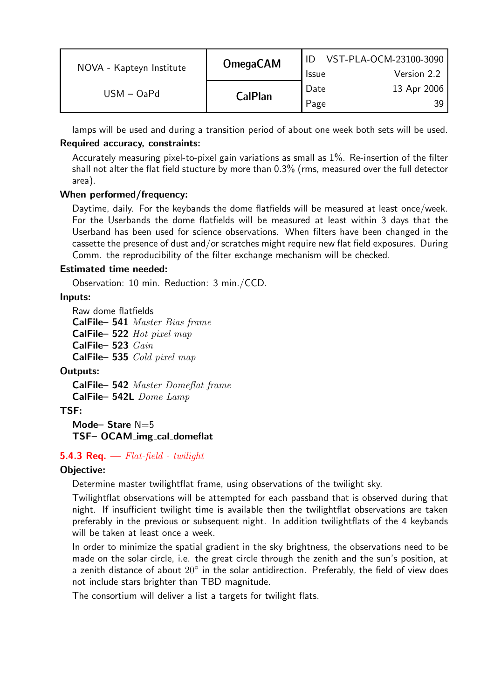| NOVA - Kapteyn Institute | <b>OmegaCAM</b> | <b>Issue</b> | VST-PLA-OCM-23100-3090<br>Version 2.2 |
|--------------------------|-----------------|--------------|---------------------------------------|
| $USM - OaPd$             | <b>CalPlan</b>  | Date<br>Page | 13 Apr 2006<br>39.                    |

lamps will be used and during a transition period of about one week both sets will be used.

## Required accuracy, constraints:

Accurately measuring pixel-to-pixel gain variations as small as 1%. Re-insertion of the filter shall not alter the flat field stucture by more than 0.3% (rms, measured over the full detector area).

## When performed/frequency:

Daytime, daily. For the keybands the dome flatfields will be measured at least once/week. For the Userbands the dome flatfields will be measured at least within 3 days that the Userband has been used for science observations. When filters have been changed in the cassette the presence of dust and/or scratches might require new flat field exposures. During Comm. the reproducibility of the filter exchange mechanism will be checked.

## Estimated time needed:

Observation: 10 min. Reduction: 3 min./CCD.

## Inputs:

Raw dome flatfields CalFile– 541 Master Bias frame CalFile– 522 Hot pixel map CalFile– 523 Gain CalFile– 535 Cold pixel map

## Outputs:

CalFile– 542 Master Domeflat frame CalFile– 542L Dome Lamp

## TSF:

Mode-Stare N=5 TSF– OCAM img cal domeflat

## **5.4.3 Req.**  $\rightarrow$  Flat-field - twilight

## Objective:

Determine master twilightflat frame, using observations of the twilight sky.

Twilightflat observations will be attempted for each passband that is observed during that night. If insufficient twilight time is available then the twilightflat observations are taken preferably in the previous or subsequent night. In addition twilightflats of the 4 keybands will be taken at least once a week.

In order to minimize the spatial gradient in the sky brightness, the observations need to be made on the solar circle, i.e. the great circle through the zenith and the sun's position, at a zenith distance of about 20° in the solar antidirection. Preferably, the field of view does not include stars brighter than TBD magnitude.

The consortium will deliver a list a targets for twilight flats.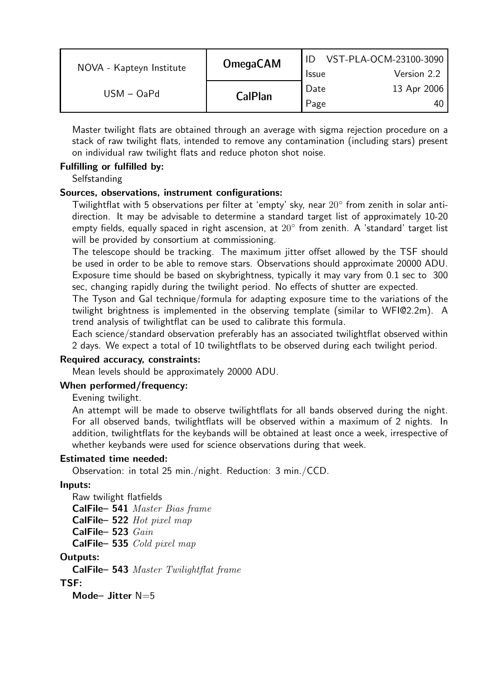| NOVA - Kapteyn Institute | <b>OmegaCAM</b> | <b>Issue</b> | VST-PLA-OCM-23100-3090<br>Version 2.2 |
|--------------------------|-----------------|--------------|---------------------------------------|
| $USM - OaPd$             | <b>CalPlan</b>  | Date<br>Page | 13 Apr 2006<br>40                     |

Master twilight flats are obtained through an average with sigma rejection procedure on a stack of raw twilight flats, intended to remove any contamination (including stars) present on individual raw twilight flats and reduce photon shot noise.

## Fulfilling or fulfilled by:

**Selfstanding** 

#### Sources, observations, instrument configurations:

Twilightflat with 5 observations per filter at 'empty' sky, near 20◦ from zenith in solar antidirection. It may be advisable to determine a standard target list of approximately 10-20 empty fields, equally spaced in right ascension, at 20◦ from zenith. A 'standard' target list will be provided by consortium at commissioning.

The telescope should be tracking. The maximum jitter offset allowed by the TSF should be used in order to be able to remove stars. Observations should approximate 20000 ADU. Exposure time should be based on skybrightness, typically it may vary from 0.1 sec to 300 sec, changing rapidly during the twilight period. No effects of shutter are expected.

The Tyson and Gal technique/formula for adapting exposure time to the variations of the twilight brightness is implemented in the observing template (similar to WFI@2.2m). A trend analysis of twilightflat can be used to calibrate this formula.

Each science/standard observation preferably has an associated twilightflat observed within 2 days. We expect a total of 10 twilightflats to be observed during each twilight period.

#### Required accuracy, constraints:

Mean levels should be approximately 20000 ADU.

#### When performed/frequency:

Evening twilight.

An attempt will be made to observe twilightflats for all bands observed during the night. For all observed bands, twilightflats will be observed within a maximum of 2 nights. In addition, twilightflats for the keybands will be obtained at least once a week, irrespective of whether keybands were used for science observations during that week.

#### Estimated time needed:

Observation: in total 25 min./night. Reduction: 3 min./CCD.

#### Inputs:

Raw twilight flatfields

CalFile– 541 Master Bias frame

CalFile– 522 Hot pixel map

CalFile– 523 Gain

CalFile– 535 Cold pixel map

#### Outputs:

CalFile– 543 Master Twilightflat frame

TSF:

Mode- Jitter N=5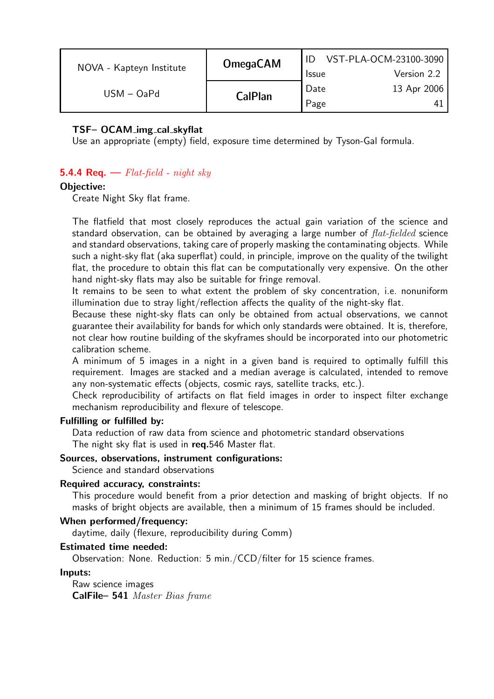| NOVA - Kapteyn Institute | <b>OmegaCAM</b> | <b>Issue</b> | VST-PLA-OCM-23100-3090<br>Version 2.2 |
|--------------------------|-----------------|--------------|---------------------------------------|
| $USM - OaPd$             | <b>CalPlan</b>  | Date<br>Page | 13 Apr 2006                           |

## TSF– OCAM img cal skyflat

Use an appropriate (empty) field, exposure time determined by Tyson-Gal formula.

## **5.4.4 Req.**  $\longrightarrow$  Flat-field - night sky

#### Objective:

Create Night Sky flat frame.

The flatfield that most closely reproduces the actual gain variation of the science and standard observation, can be obtained by averaging a large number of  $flat-fielded$  science and standard observations, taking care of properly masking the contaminating objects. While such a night-sky flat (aka superflat) could, in principle, improve on the quality of the twilight flat, the procedure to obtain this flat can be computationally very expensive. On the other hand night-sky flats may also be suitable for fringe removal.

It remains to be seen to what extent the problem of sky concentration, i.e. nonuniform illumination due to stray light/reflection affects the quality of the night-sky flat.

Because these night-sky flats can only be obtained from actual observations, we cannot guarantee their availability for bands for which only standards were obtained. It is, therefore, not clear how routine building of the skyframes should be incorporated into our photometric calibration scheme.

A minimum of 5 images in a night in a given band is required to optimally fulfill this requirement. Images are stacked and a median average is calculated, intended to remove any non-systematic effects (objects, cosmic rays, satellite tracks, etc.).

Check reproducibility of artifacts on flat field images in order to inspect filter exchange mechanism reproducibility and flexure of telescope.

#### Fulfilling or fulfilled by:

Data reduction of raw data from science and photometric standard observations The night sky flat is used in req.546 Master flat.

#### Sources, observations, instrument configurations:

Science and standard observations

#### Required accuracy, constraints:

This procedure would benefit from a prior detection and masking of bright objects. If no masks of bright objects are available, then a minimum of 15 frames should be included.

#### When performed/frequency:

daytime, daily (flexure, reproducibility during Comm)

#### Estimated time needed:

Observation: None. Reduction: 5 min./CCD/filter for 15 science frames.

#### Inputs:

Raw science images CalFile– 541 Master Bias frame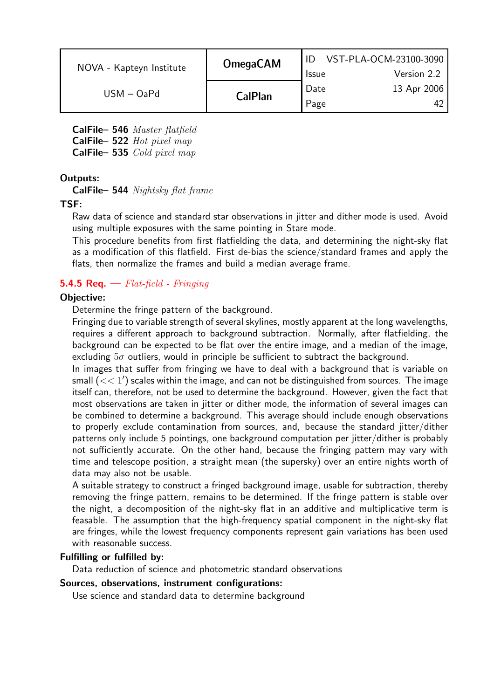| NOVA - Kapteyn Institute | <b>OmegaCAM</b> | <b>Issue</b> | VST-PLA-OCM-23100-3090<br>Version 2.2 |
|--------------------------|-----------------|--------------|---------------------------------------|
| $USM - OaPd$             | <b>CalPlan</b>  | Date<br>Page | 13 Apr 2006                           |

CalFile– 546 Master flatfield

CalFile– 522 Hot pixel map

CalFile– 535 Cold pixel map

## Outputs:

CalFile– 544 Nightsky flat frame

## TSF:

Raw data of science and standard star observations in jitter and dither mode is used. Avoid using multiple exposures with the same pointing in Stare mode.

This procedure benefits from first flatfielding the data, and determining the night-sky flat as a modification of this flatfield. First de-bias the science/standard frames and apply the flats, then normalize the frames and build a median average frame.

## **5.4.5 Req.**  $\rightarrow$  Flat-field - Fringing

## Objective:

Determine the fringe pattern of the background.

Fringing due to variable strength of several skylines, mostly apparent at the long wavelengths, requires a different approach to background subtraction. Normally, after flatfielding, the background can be expected to be flat over the entire image, and a median of the image, excluding  $5\sigma$  outliers, would in principle be sufficient to subtract the background.

In images that suffer from fringing we have to deal with a background that is variable on small  $\breve{(<}$   $<$  1 $^\prime$ ) scales within the image, and can not be distinguished from sources. The image itself can, therefore, not be used to determine the background. However, given the fact that most observations are taken in jitter or dither mode, the information of several images can be combined to determine a background. This average should include enough observations to properly exclude contamination from sources, and, because the standard jitter/dither patterns only include 5 pointings, one background computation per jitter/dither is probably not sufficiently accurate. On the other hand, because the fringing pattern may vary with time and telescope position, a straight mean (the supersky) over an entire nights worth of data may also not be usable.

A suitable strategy to construct a fringed background image, usable for subtraction, thereby removing the fringe pattern, remains to be determined. If the fringe pattern is stable over the night, a decomposition of the night-sky flat in an additive and multiplicative term is feasable. The assumption that the high-frequency spatial component in the night-sky flat are fringes, while the lowest frequency components represent gain variations has been used with reasonable success.

## Fulfilling or fulfilled by:

Data reduction of science and photometric standard observations

## Sources, observations, instrument configurations:

Use science and standard data to determine background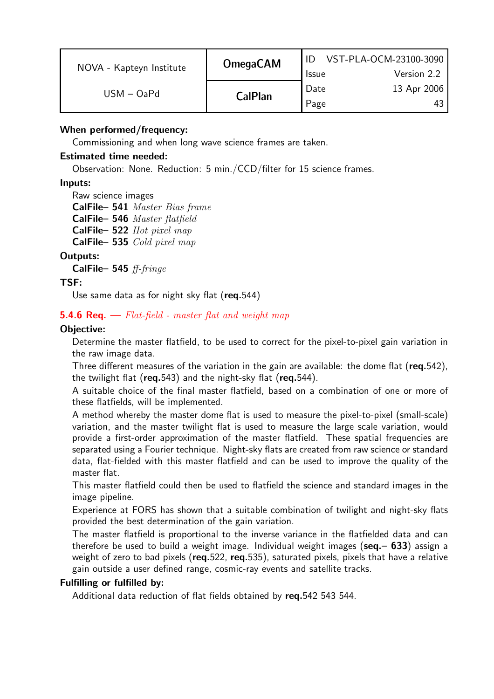| NOVA - Kapteyn Institute | <b>OmegaCAM</b> | <b>Issue</b> | VST-PLA-OCM-23100-3090<br>Version 2.2 |
|--------------------------|-----------------|--------------|---------------------------------------|
| $USM - OaPd$             | <b>CalPlan</b>  | Date<br>Page | 13 Apr 2006<br>43                     |

## When performed/frequency:

Commissioning and when long wave science frames are taken.

## Estimated time needed:

Observation: None. Reduction: 5 min./CCD/filter for 15 science frames.

## Inputs:

Raw science images CalFile– 541 Master Bias frame CalFile– 546 Master flatfield CalFile– 522 Hot pixel map CalFile– 535 Cold pixel map

## Outputs:

CalFile– 545 ff-fringe

## TSF:

Use same data as for night sky flat (req.544)

## **5.4.6 Req.**  $\rightarrow$  Flat-field - master flat and weight map

## Objective:

Determine the master flatfield, to be used to correct for the pixel-to-pixel gain variation in the raw image data.

Three different measures of the variation in the gain are available: the dome flat (req.542), the twilight flat ( $req.543$ ) and the night-sky flat ( $req.544$ ).

A suitable choice of the final master flatfield, based on a combination of one or more of these flatfields, will be implemented.

A method whereby the master dome flat is used to measure the pixel-to-pixel (small-scale) variation, and the master twilight flat is used to measure the large scale variation, would provide a first-order approximation of the master flatfield. These spatial frequencies are separated using a Fourier technique. Night-sky flats are created from raw science or standard data, flat-fielded with this master flatfield and can be used to improve the quality of the master flat.

This master flatfield could then be used to flatfield the science and standard images in the image pipeline.

Experience at FORS has shown that a suitable combination of twilight and night-sky flats provided the best determination of the gain variation.

The master flatfield is proportional to the inverse variance in the flatfielded data and can therefore be used to build a weight image. Individual weight images ( $seq - 633$ ) assign a weight of zero to bad pixels (req.522, req.535), saturated pixels, pixels that have a relative gain outside a user defined range, cosmic-ray events and satellite tracks.

## Fulfilling or fulfilled by:

Additional data reduction of flat fields obtained by req.542 543 544.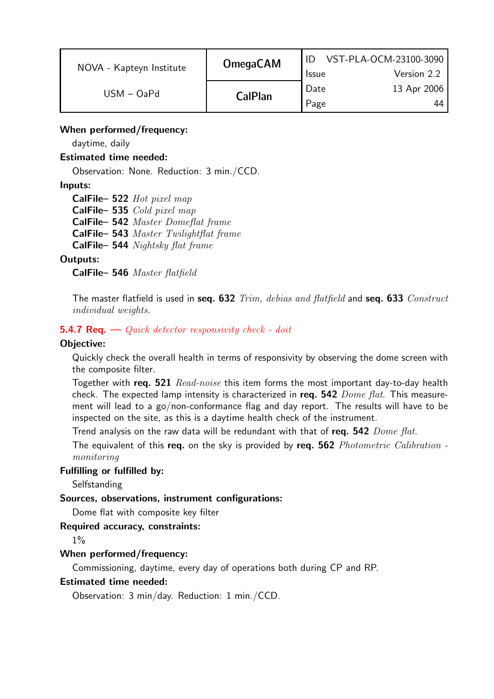| NOVA - Kapteyn Institute | <b>OmegaCAM</b> | <b>Issue</b> | VST-PLA-OCM-23100-3090<br>Version 2.2 |
|--------------------------|-----------------|--------------|---------------------------------------|
| $USM - OaPd$             | <b>CalPlan</b>  | Date<br>Page | 13 Apr 2006<br>44                     |

## When performed/frequency:

daytime, daily

## Estimated time needed:

Observation: None. Reduction: 3 min./CCD.

## Inputs:

CalFile– 522 Hot pixel map CalFile– 535 Cold pixel map CalFile– 542 Master Domeflat frame CalFile– 543 Master Twilightflat frame CalFile– 544 Nightsky flat frame

## Outputs:

CalFile– 546 Master flatfield

The master flatfield is used in seq. 632 Trim, debias and flatfield and seq. 633 Construct individual weights.

## **5.4.7 Req.** — Quick detector responsivity check - doit

#### Objective:

Quickly check the overall health in terms of responsivity by observing the dome screen with the composite filter.

Together with req. 521 Read-noise this item forms the most important day-to-day health check. The expected lamp intensity is characterized in req.  $542$   $Dome$   $flat$ . This measurement will lead to a go/non-conformance flag and day report. The results will have to be inspected on the site, as this is a daytime health check of the instrument.

Trend analysis on the raw data will be redundant with that of req. 542 Dome flat.

The equivalent of this req. on the sky is provided by req. 562 Photometric Calibration monitoring

#### Fulfilling or fulfilled by:

**Selfstanding** 

#### Sources, observations, instrument configurations:

Dome flat with composite key filter

#### Required accuracy, constraints:

1%

#### When performed/frequency:

Commissioning, daytime, every day of operations both during CP and RP.

#### Estimated time needed:

Observation: 3 min/day. Reduction: 1 min./CCD.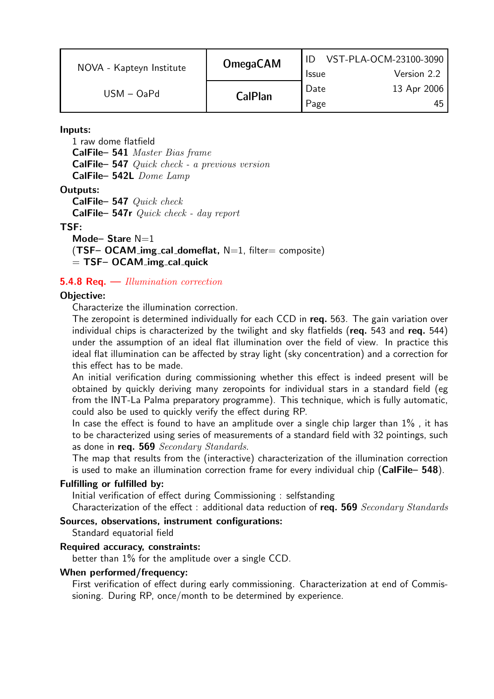| NOVA - Kapteyn Institute | <b>OmegaCAM</b> | <b>Issue</b> | VST-PLA-OCM-23100-3090<br>Version 2.2 |
|--------------------------|-----------------|--------------|---------------------------------------|
| $USM - OaPd$             | <b>CalPlan</b>  | Date<br>Page | 13 Apr 2006<br>45                     |

Inputs:

1 raw dome flatfield CalFile– 541 Master Bias frame CalFile– 547 Quick check - a previous version CalFile– 542L Dome Lamp

#### Outputs:

CalFile– 547 Quick check CalFile– 547r Quick check - day report

#### TSF:

Mode-Stare N=1  $(TSF– OCAM_-img\_cal\_domeflat, N=1, filter= composite)$  $=$  TSF– OCAM img cal quick

#### **5.4.8 Req.**  $\rightarrow$  *Illumination correction*

#### Objective:

Characterize the illumination correction.

The zeropoint is determined individually for each CCD in req. 563. The gain variation over individual chips is characterized by the twilight and sky flatfields (req. 543 and req. 544) under the assumption of an ideal flat illumination over the field of view. In practice this ideal flat illumination can be affected by stray light (sky concentration) and a correction for this effect has to be made.

An initial verification during commissioning whether this effect is indeed present will be obtained by quickly deriving many zeropoints for individual stars in a standard field (eg from the INT-La Palma preparatory programme). This technique, which is fully automatic, could also be used to quickly verify the effect during RP.

In case the effect is found to have an amplitude over a single chip larger than  $1\%$ , it has to be characterized using series of measurements of a standard field with 32 pointings, such as done in req. 569 Secondary Standards.

The map that results from the (interactive) characterization of the illumination correction is used to make an illumination correction frame for every individual chip  $(CaIFile- 548)$ .

#### Fulfilling or fulfilled by:

Initial verification of effect during Commissioning : selfstanding

Characterization of the effect : additional data reduction of req. 569  $Secondary Standards$ 

## Sources, observations, instrument configurations:

Standard equatorial field

#### Required accuracy, constraints:

better than 1% for the amplitude over a single CCD.

#### When performed/frequency:

First verification of effect during early commissioning. Characterization at end of Commissioning. During RP, once/month to be determined by experience.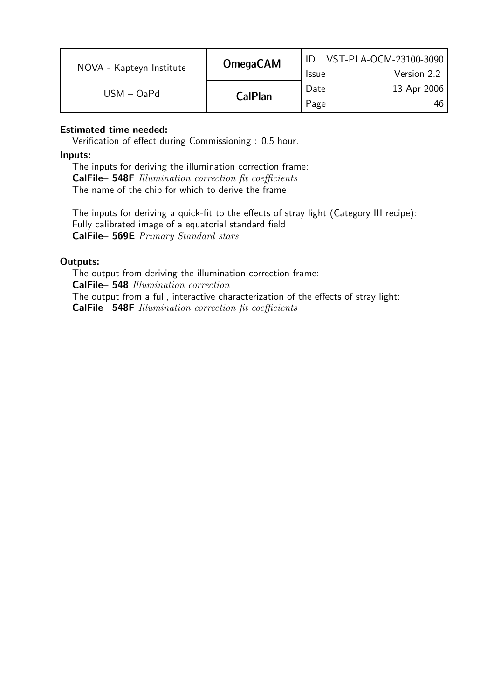| NOVA - Kapteyn Institute | <b>OmegaCAM</b> | <b>Issue</b> | VST-PLA-OCM-23100-3090<br>Version 2.2 |
|--------------------------|-----------------|--------------|---------------------------------------|
| $USM - OaPd$             | <b>CalPlan</b>  | Date<br>Page | 13 Apr 2006<br>46                     |

## Estimated time needed:

Verification of effect during Commissioning : 0.5 hour.

#### Inputs:

The inputs for deriving the illumination correction frame: CalFile– 548F Illumination correction fit coefficients The name of the chip for which to derive the frame

The inputs for deriving a quick-fit to the effects of stray light (Category III recipe): Fully calibrated image of a equatorial standard field CalFile– 569E Primary Standard stars

## Outputs:

The output from deriving the illumination correction frame: CalFile– 548 Illumination correction The output from a full, interactive characterization of the effects of stray light: CalFile– 548F Illumination correction fit coefficients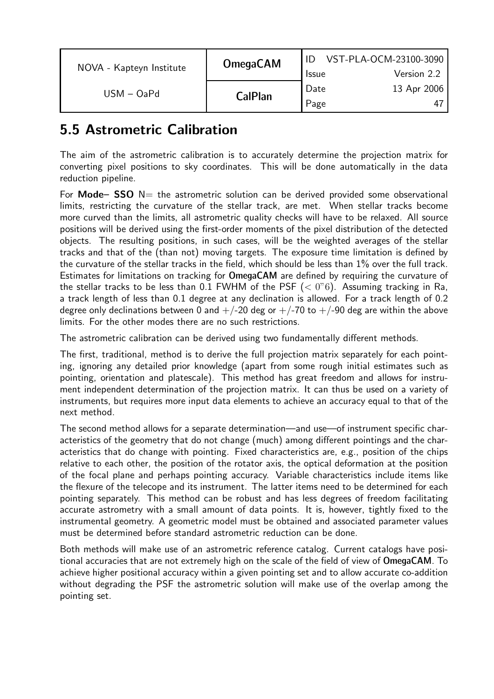| NOVA - Kapteyn Institute | <b>OmegaCAM</b> | VST-PLA-OCM-23100-3090 |             |
|--------------------------|-----------------|------------------------|-------------|
|                          |                 | <b>Issue</b>           | Version 2.2 |
| $USM - OaPd$             |                 | Date                   | 13 Apr 2006 |
|                          | <b>CalPlan</b>  | Page                   | 4           |

# 5.5 Astrometric Calibration

The aim of the astrometric calibration is to accurately determine the projection matrix for converting pixel positions to sky coordinates. This will be done automatically in the data reduction pipeline.

For Mode–  $SSO$  N= the astrometric solution can be derived provided some observational limits, restricting the curvature of the stellar track, are met. When stellar tracks become more curved than the limits, all astrometric quality checks will have to be relaxed. All source positions will be derived using the first-order moments of the pixel distribution of the detected objects. The resulting positions, in such cases, will be the weighted averages of the stellar tracks and that of the (than not) moving targets. The exposure time limitation is defined by the curvature of the stellar tracks in the field, which should be less than 1% over the full track. Estimates for limitations on tracking for OmegaCAM are defined by requiring the curvature of the stellar tracks to be less than 0.1 FWHM of the PSF  $( $0$ "6)$ . Assuming tracking in Ra, a track length of less than 0.1 degree at any declination is allowed. For a track length of 0.2 degree only declinations between 0 and  $+/-20$  deg or  $+/-70$  to  $+/-90$  deg are within the above limits. For the other modes there are no such restrictions.

The astrometric calibration can be derived using two fundamentally different methods.

The first, traditional, method is to derive the full projection matrix separately for each pointing, ignoring any detailed prior knowledge (apart from some rough initial estimates such as pointing, orientation and platescale). This method has great freedom and allows for instrument independent determination of the projection matrix. It can thus be used on a variety of instruments, but requires more input data elements to achieve an accuracy equal to that of the next method.

The second method allows for a separate determination—and use—of instrument specific characteristics of the geometry that do not change (much) among different pointings and the characteristics that do change with pointing. Fixed characteristics are, e.g., position of the chips relative to each other, the position of the rotator axis, the optical deformation at the position of the focal plane and perhaps pointing accuracy. Variable characteristics include items like the flexure of the telecope and its instrument. The latter items need to be determined for each pointing separately. This method can be robust and has less degrees of freedom facilitating accurate astrometry with a small amount of data points. It is, however, tightly fixed to the instrumental geometry. A geometric model must be obtained and associated parameter values must be determined before standard astrometric reduction can be done.

Both methods will make use of an astrometric reference catalog. Current catalogs have positional accuracies that are not extremely high on the scale of the field of view of OmegaCAM. To achieve higher positional accuracy within a given pointing set and to allow accurate co-addition without degrading the PSF the astrometric solution will make use of the overlap among the pointing set.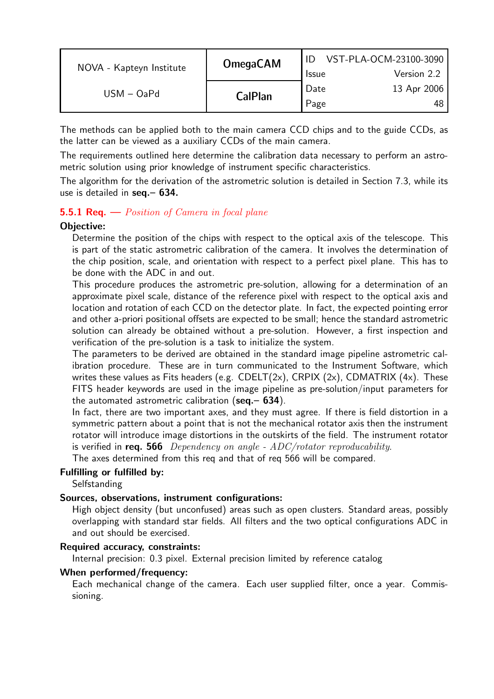| NOVA - Kapteyn Institute | <b>OmegaCAM</b> | <b>Issue</b> | VST-PLA-OCM-23100-3090<br>Version 2.2 |
|--------------------------|-----------------|--------------|---------------------------------------|
| $USM - OaPd$             | <b>CalPlan</b>  | Date<br>Page | 13 Apr 2006<br>-48                    |

The methods can be applied both to the main camera CCD chips and to the guide CCDs, as the latter can be viewed as a auxiliary CCDs of the main camera.

The requirements outlined here determine the calibration data necessary to perform an astrometric solution using prior knowledge of instrument specific characteristics.

The algorithm for the derivation of the astrometric solution is detailed in Section 7.3, while its use is detailed in seq.– 634.

## **5.5.1 Req.**  $\rightarrow$  *Position of Camera in focal plane*

#### Objective:

Determine the position of the chips with respect to the optical axis of the telescope. This is part of the static astrometric calibration of the camera. It involves the determination of the chip position, scale, and orientation with respect to a perfect pixel plane. This has to be done with the ADC in and out.

This procedure produces the astrometric pre-solution, allowing for a determination of an approximate pixel scale, distance of the reference pixel with respect to the optical axis and location and rotation of each CCD on the detector plate. In fact, the expected pointing error and other a-priori positional offsets are expected to be small; hence the standard astrometric solution can already be obtained without a pre-solution. However, a first inspection and verification of the pre-solution is a task to initialize the system.

The parameters to be derived are obtained in the standard image pipeline astrometric calibration procedure. These are in turn communicated to the Instrument Software, which writes these values as Fits headers (e.g.  $CDELT(2x)$ ,  $CRPIX(2x)$ ,  $CDMATRIX(4x)$ . These FITS header keywords are used in the image pipeline as pre-solution/input parameters for the automated astrometric calibration ( $seq. - 634$ ).

In fact, there are two important axes, and they must agree. If there is field distortion in a symmetric pattern about a point that is not the mechanical rotator axis then the instrument rotator will introduce image distortions in the outskirts of the field. The instrument rotator is verified in req. 566 Dependency on angle -  $ADC/rotator$  reproducability.

The axes determined from this req and that of req 566 will be compared.

#### Fulfilling or fulfilled by:

**Selfstanding** 

#### Sources, observations, instrument configurations:

High object density (but unconfused) areas such as open clusters. Standard areas, possibly overlapping with standard star fields. All filters and the two optical configurations ADC in and out should be exercised.

#### Required accuracy, constraints:

Internal precision: 0.3 pixel. External precision limited by reference catalog

#### When performed/frequency:

Each mechanical change of the camera. Each user supplied filter, once a year. Commissioning.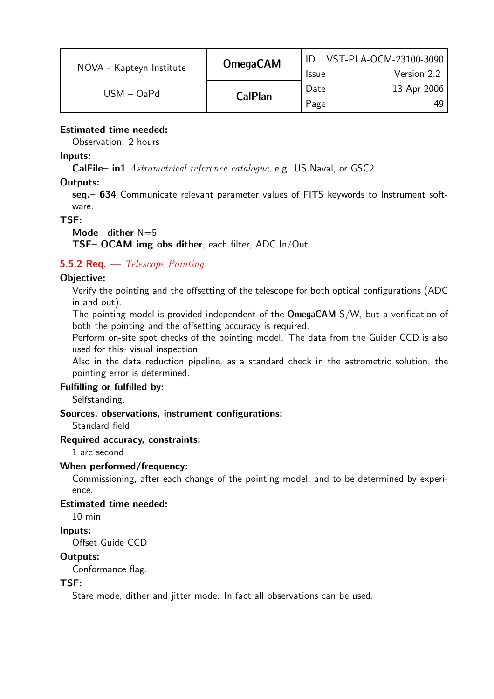| NOVA - Kapteyn Institute | <b>OmegaCAM</b> |              | VST-PLA-OCM-23100-3090 |
|--------------------------|-----------------|--------------|------------------------|
|                          |                 | <b>Issue</b> | Version 2.2            |
| $USM - OaPd$             | <b>CalPlan</b>  | Date         | 13 Apr 2006            |
|                          |                 | Page         | 49                     |

## Estimated time needed:

Observation: 2 hours

### Inputs:

CalFile– in1 Astrometrical reference catalogue, e.g. US Naval, or GSC2

## Outputs:

seq. - 634 Communicate relevant parameter values of FITS keywords to Instrument software.

## TSF:

## Mode- dither  $N=5$

TSF– OCAM img obs dither, each filter, ADC In/Out

## **5.5.2 Req.**  $\rightarrow$  *Telescope Pointing*

## Objective:

Verify the pointing and the offsetting of the telescope for both optical configurations (ADC in and out).

The pointing model is provided independent of the OmegaCAM S/W, but a verification of both the pointing and the offsetting accuracy is required.

Perform on-site spot checks of the pointing model. The data from the Guider CCD is also used for this- visual inspection.

Also in the data reduction pipeline, as a standard check in the astrometric solution, the pointing error is determined.

#### Fulfilling or fulfilled by:

Selfstanding.

#### Sources, observations, instrument configurations:

Standard field

#### Required accuracy, constraints:

1 arc second

#### When performed/frequency:

Commissioning, after each change of the pointing model, and to be determined by experience.

## Estimated time needed:

10 min

## Inputs:

Offset Guide CCD

## Outputs:

Conformance flag.

## TSF:

Stare mode, dither and jitter mode. In fact all observations can be used.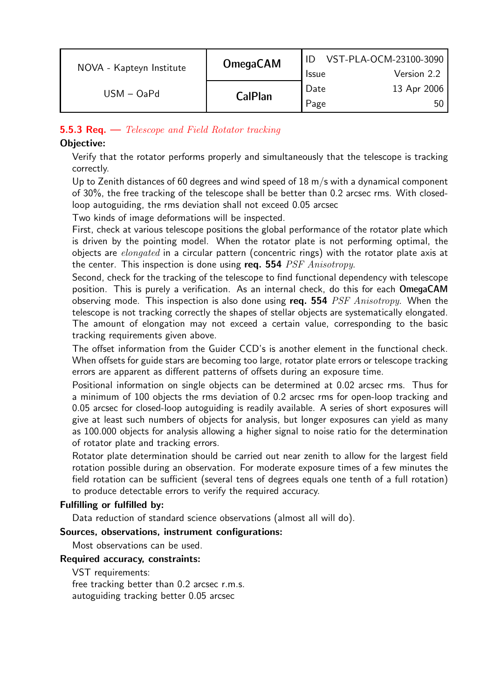| NOVA - Kapteyn Institute | <b>OmegaCAM</b> | <b>Issue</b> | VST-PLA-OCM-23100-3090<br>Version 2.2 |
|--------------------------|-----------------|--------------|---------------------------------------|
| $USM - OaPd$             | <b>CalPlan</b>  | Date<br>Page | 13 Apr 2006<br>50.                    |

## **5.5.3 Req.**  $\rightarrow$  Telescope and Field Rotator tracking

## Objective:

Verify that the rotator performs properly and simultaneously that the telescope is tracking correctly.

Up to Zenith distances of 60 degrees and wind speed of  $18 \text{ m/s}$  with a dynamical component of 30%, the free tracking of the telescope shall be better than 0.2 arcsec rms. With closedloop autoguiding, the rms deviation shall not exceed 0.05 arcsec

Two kinds of image deformations will be inspected.

First, check at various telescope positions the global performance of the rotator plate which is driven by the pointing model. When the rotator plate is not performing optimal, the objects are *elongated* in a circular pattern (concentric rings) with the rotator plate axis at the center. This inspection is done using req. 554  $PSF\ Anisotropy$ .

Second, check for the tracking of the telescope to find functional dependency with telescope position. This is purely a verification. As an internal check, do this for each OmegaCAM observing mode. This inspection is also done using req. 554  $PSF\ Anisotropy$ . When the telescope is not tracking correctly the shapes of stellar objects are systematically elongated. The amount of elongation may not exceed a certain value, corresponding to the basic tracking requirements given above.

The offset information from the Guider CCD's is another element in the functional check. When offsets for guide stars are becoming too large, rotator plate errors or telescope tracking errors are apparent as different patterns of offsets during an exposure time.

Positional information on single objects can be determined at 0.02 arcsec rms. Thus for a minimum of 100 objects the rms deviation of 0.2 arcsec rms for open-loop tracking and 0.05 arcsec for closed-loop autoguiding is readily available. A series of short exposures will give at least such numbers of objects for analysis, but longer exposures can yield as many as 100.000 objects for analysis allowing a higher signal to noise ratio for the determination of rotator plate and tracking errors.

Rotator plate determination should be carried out near zenith to allow for the largest field rotation possible during an observation. For moderate exposure times of a few minutes the field rotation can be sufficient (several tens of degrees equals one tenth of a full rotation) to produce detectable errors to verify the required accuracy.

#### Fulfilling or fulfilled by:

Data reduction of standard science observations (almost all will do).

#### Sources, observations, instrument configurations:

Most observations can be used.

#### Required accuracy, constraints:

VST requirements: free tracking better than 0.2 arcsec r.m.s. autoguiding tracking better 0.05 arcsec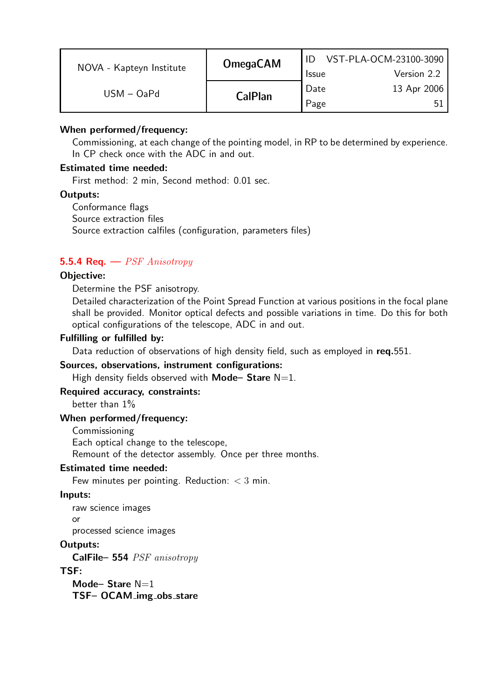| NOVA - Kapteyn Institute | <b>OmegaCAM</b> | <b>Issue</b> | VST-PLA-OCM-23100-3090<br>Version 2.2 |
|--------------------------|-----------------|--------------|---------------------------------------|
| $USM - OaPd$             | <b>CalPlan</b>  | Date<br>Page | 13 Apr 2006                           |

### When performed/frequency:

Commissioning, at each change of the pointing model, in RP to be determined by experience. In CP check once with the ADC in and out.

## Estimated time needed:

First method: 2 min, Second method: 0.01 sec.

#### Outputs:

Conformance flags Source extraction files Source extraction calfiles (configuration, parameters files)

## **5.5.4 Req.**  $\rightarrow$  *PSF Anisotropy*

## Objective:

#### Determine the PSF anisotropy.

Detailed characterization of the Point Spread Function at various positions in the focal plane shall be provided. Monitor optical defects and possible variations in time. Do this for both optical configurations of the telescope, ADC in and out.

#### Fulfilling or fulfilled by:

Data reduction of observations of high density field, such as employed in req.551.

#### Sources, observations, instrument configurations:

High density fields observed with **Mode– Stare**  $N=1$ .

## Required accuracy, constraints:

better than 1%

#### When performed/frequency:

Commissioning Each optical change to the telescope, Remount of the detector assembly. Once per three months.

#### Estimated time needed:

Few minutes per pointing. Reduction:  $<$  3 min.

#### Inputs:

raw science images or

processed science images

## Outputs:

CalFile– 554 PSF anisotropy

#### TSF:

Mode– Stare  $N=1$ TSF- OCAM\_img\_obs\_stare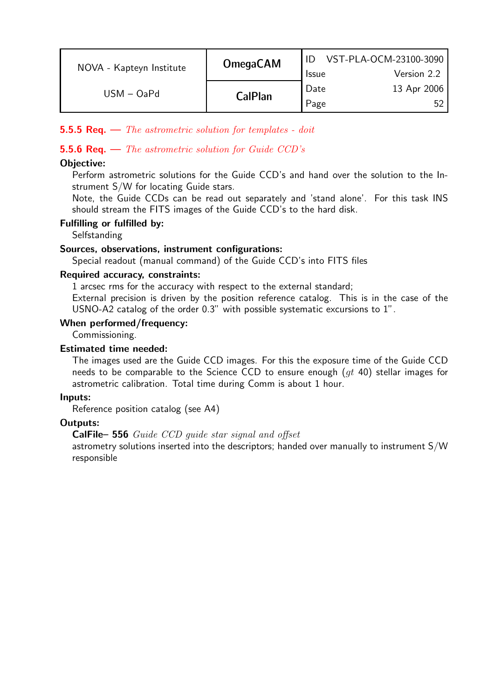| NOVA - Kapteyn Institute | <b>OmegaCAM</b> | <b>Issue</b> | VST-PLA-OCM-23100-3090<br>Version 2.2 |
|--------------------------|-----------------|--------------|---------------------------------------|
| $USM - OaPd$             | <b>CalPlan</b>  | Date<br>Page | 13 Apr 2006                           |

## **5.5.5 Req.**  $\rightarrow$  *The astrometric solution for templates - doit*

## **5.5.6 Req.**  $\rightarrow$  *The astrometric solution for Guide CCD's*

## Objective:

Perform astrometric solutions for the Guide CCD's and hand over the solution to the Instrument S/W for locating Guide stars.

Note, the Guide CCDs can be read out separately and 'stand alone'. For this task INS should stream the FITS images of the Guide CCD's to the hard disk.

#### Fulfilling or fulfilled by:

**Selfstanding** 

## Sources, observations, instrument configurations:

Special readout (manual command) of the Guide CCD's into FITS files

#### Required accuracy, constraints:

1 arcsec rms for the accuracy with respect to the external standard;

External precision is driven by the position reference catalog. This is in the case of the USNO-A2 catalog of the order 0.3" with possible systematic excursions to 1".

## When performed/frequency:

Commissioning.

## Estimated time needed:

The images used are the Guide CCD images. For this the exposure time of the Guide CCD needs to be comparable to the Science CCD to ensure enough  $(at 40)$  stellar images for astrometric calibration. Total time during Comm is about 1 hour.

#### Inputs:

Reference position catalog (see A4)

## Outputs:

## CalFile– 556 Guide CCD guide star signal and offset

astrometry solutions inserted into the descriptors; handed over manually to instrument S/W responsible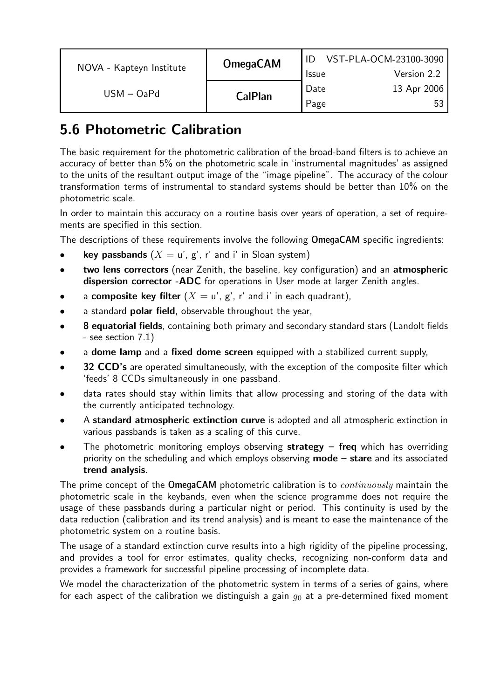| NOVA - Kapteyn Institute | <b>OmegaCAM</b> |              | VST-PLA-OCM-23100-3090 |
|--------------------------|-----------------|--------------|------------------------|
|                          |                 | <b>Issue</b> | Version 2.2            |
| $USM - OaPd$             | <b>CalPlan</b>  | Date         | 13 Apr 2006            |
|                          |                 | Page         | -53                    |

# 5.6 Photometric Calibration

The basic requirement for the photometric calibration of the broad-band filters is to achieve an accuracy of better than 5% on the photometric scale in 'instrumental magnitudes' as assigned to the units of the resultant output image of the "image pipeline". The accuracy of the colour transformation terms of instrumental to standard systems should be better than 10% on the photometric scale.

In order to maintain this accuracy on a routine basis over years of operation, a set of requirements are specified in this section.

The descriptions of these requirements involve the following OmegaCAM specific ingredients:

- **key passbands**  $(X = u', g', r'$  and i' in Sloan system)
- two lens correctors (near Zenith, the baseline, key configuration) and an atmospheric dispersion corrector -ADC for operations in User mode at larger Zenith angles.
- a composite key filter  $(X = u', g', r'$  and i' in each quadrant),
- a standard **polar field**, observable throughout the year,
- 8 equatorial fields, containing both primary and secondary standard stars (Landolt fields - see section 7.1)
- a dome lamp and a fixed dome screen equipped with a stabilized current supply,
- 32 CCD's are operated simultaneously, with the exception of the composite filter which 'feeds' 8 CCDs simultaneously in one passband.
- data rates should stay within limits that allow processing and storing of the data with the currently anticipated technology.
- A standard atmospheric extinction curve is adopted and all atmospheric extinction in various passbands is taken as a scaling of this curve.
- The photometric monitoring employs observing strategy freq which has overriding priority on the scheduling and which employs observing  $mode - share$  and its associated trend analysis.

The prime concept of the OmegaCAM photometric calibration is to *continuously* maintain the photometric scale in the keybands, even when the science programme does not require the usage of these passbands during a particular night or period. This continuity is used by the data reduction (calibration and its trend analysis) and is meant to ease the maintenance of the photometric system on a routine basis.

The usage of a standard extinction curve results into a high rigidity of the pipeline processing, and provides a tool for error estimates, quality checks, recognizing non-conform data and provides a framework for successful pipeline processing of incomplete data.

We model the characterization of the photometric system in terms of a series of gains, where for each aspect of the calibration we distinguish a gain  $q_0$  at a pre-determined fixed moment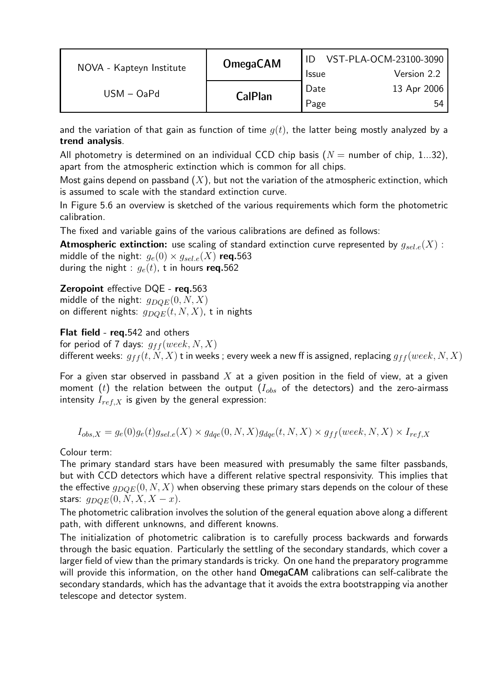|                          | <b>OmegaCAM</b> |                   | VST-PLA-OCM-23100-3090 |
|--------------------------|-----------------|-------------------|------------------------|
| NOVA - Kapteyn Institute |                 | <b>Issue</b>      | Version 2.2            |
| $USM - OaPd$             | <b>CalPlan</b>  | <sup>'</sup> Date | 13 Apr 2006            |
|                          |                 | Page              | 54                     |

and the variation of that gain as function of time  $g(t)$ , the latter being mostly analyzed by a trend analysis.

All photometry is determined on an individual CCD chip basis ( $N =$  number of chip, 1...32), apart from the atmospheric extinction which is common for all chips.

Most gains depend on passband  $(X)$ , but not the variation of the atmospheric extinction, which is assumed to scale with the standard extinction curve.

In Figure 5.6 an overview is sketched of the various requirements which form the photometric calibration.

The fixed and variable gains of the various calibrations are defined as follows:

**Atmospheric extinction:** use scaling of standard extinction curve represented by  $g_{sel,e}(X)$ : middle of the night:  $g_e(0) \times g_{sel,e}(X)$  req.563 during the night :  $g_e(t)$ , t in hours req.562

## **Zeropoint** effective DQE - req.563

middle of the night:  $g_{DOE}(0, N, X)$ on different nights:  $g_{DQE}(t, N, X)$ , t in nights

## Flat field - req.542 and others

for period of 7 days:  $g_{ff}(week, N, X)$ different weeks:  $g_{ff}(t, N, X)$  t in weeks; every week a new ff is assigned, replacing  $g_{ff}(week, N, X)$ 

For a given star observed in passband  $X$  at a given position in the field of view, at a given moment (t) the relation between the output ( $I_{obs}$  of the detectors) and the zero-airmass intensity  $I_{ref,X}$  is given by the general expression:

$$
I_{obs,X} = g_e(0)g_e(t)g_{sel.e}(X) \times g_{dqe}(0, N, X)g_{dqe}(t, N, X) \times g_{ff}(week, N, X) \times I_{ref,X}
$$

Colour term:

The primary standard stars have been measured with presumably the same filter passbands, but with CCD detectors which have a different relative spectral responsivity. This implies that the effective  $q_{DOE}(0, N, X)$  when observing these primary stars depends on the colour of these stars:  $g_{DOE}(0, N, X, X - x)$ .

The photometric calibration involves the solution of the general equation above along a different path, with different unknowns, and different knowns.

The initialization of photometric calibration is to carefully process backwards and forwards through the basic equation. Particularly the settling of the secondary standards, which cover a larger field of view than the primary standards is tricky. On one hand the preparatory programme will provide this information, on the other hand **OmegaCAM** calibrations can self-calibrate the secondary standards, which has the advantage that it avoids the extra bootstrapping via another telescope and detector system.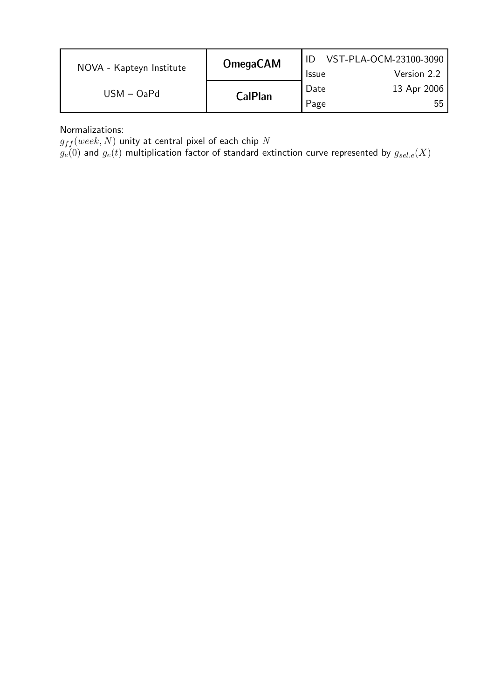| NOVA - Kapteyn Institute | <b>OmegaCAM</b> | <b>Issue</b> | VST-PLA-OCM-23100-3090<br>Version 2.2 |
|--------------------------|-----------------|--------------|---------------------------------------|
| $USM - OaPd$             | <b>CalPlan</b>  | Date<br>Page | 13 Apr 2006<br>55                     |

Normalizations:

 $g_{ff} (week, N)$  unity at central pixel of each chip  $N$ 

 $g_{e}(0)$  and  $g_{e}(t)$  multiplication factor of standard extinction curve represented by  $g_{sel.e}(X)$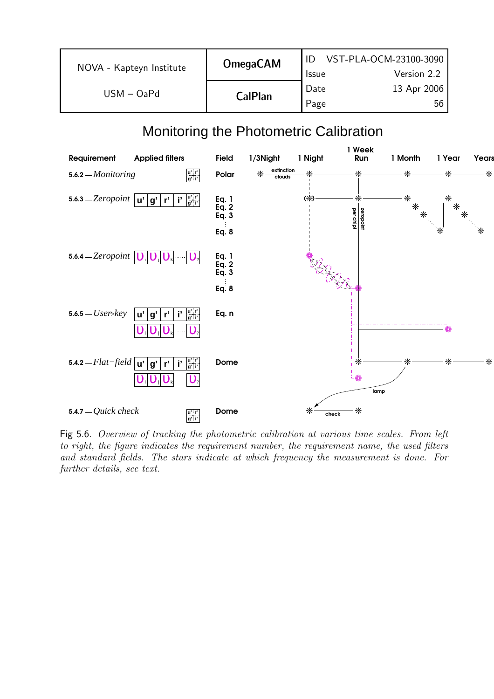| NOVA - Kapteyn Institute | <b>OmegaCAM</b> | <b>Issue</b> | VST-PLA-OCM-23100-3090  <br>Version 2.2 |
|--------------------------|-----------------|--------------|-----------------------------------------|
| $USM - OaPd$             | <b>CalPlan</b>  | Date<br>Page | 13 Apr 2006<br>56                       |

# Monitoring the Photometric Calibration



Fig 5.6. Overview of tracking the photometric calibration at various time scales. From left to right, the figure indicates the requirement number, the requirement name, the used filters and standard fields. The stars indicate at which frequency the measurement is done. For further details, see text.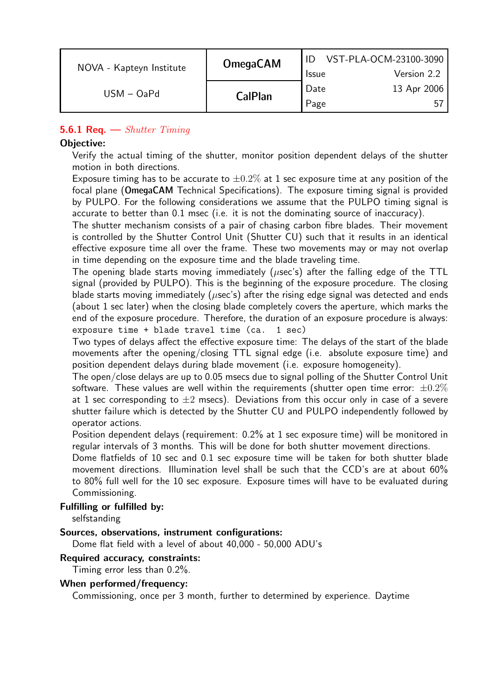|              | <b>OmegaCAM</b><br>NOVA - Kapteyn Institute |                   | VST-PLA-OCM-23100-3090 |
|--------------|---------------------------------------------|-------------------|------------------------|
|              |                                             | <b>Issue</b>      | Version 2.2            |
| $USM - OaPd$ | <b>CalPlan</b>                              | <sup>'</sup> Date | 13 Apr 2006            |
|              |                                             | Page              | .h                     |

## **5.6.1 Req.**  $\rightarrow$  *Shutter Timing*

### Objective:

Verify the actual timing of the shutter, monitor position dependent delays of the shutter motion in both directions.

Exposure timing has to be accurate to  $\pm 0.2\%$  at 1 sec exposure time at any position of the focal plane (OmegaCAM Technical Specifications). The exposure timing signal is provided by PULPO. For the following considerations we assume that the PULPO timing signal is accurate to better than 0.1 msec (i.e. it is not the dominating source of inaccuracy).

The shutter mechanism consists of a pair of chasing carbon fibre blades. Their movement is controlled by the Shutter Control Unit (Shutter CU) such that it results in an identical effective exposure time all over the frame. These two movements may or may not overlap in time depending on the exposure time and the blade traveling time.

The opening blade starts moving immediately ( $\mu$ sec's) after the falling edge of the TTL signal (provided by PULPO). This is the beginning of the exposure procedure. The closing blade starts moving immediately ( $\mu$ sec's) after the rising edge signal was detected and ends (about 1 sec later) when the closing blade completely covers the aperture, which marks the end of the exposure procedure. Therefore, the duration of an exposure procedure is always: exposure time + blade travel time (ca. 1 sec)

Two types of delays affect the effective exposure time: The delays of the start of the blade movements after the opening/closing TTL signal edge (i.e. absolute exposure time) and position dependent delays during blade movement (i.e. exposure homogeneity).

The open/close delays are up to 0.05 msecs due to signal polling of the Shutter Control Unit software. These values are well within the requirements (shutter open time error:  $\pm 0.2\%$ at 1 sec corresponding to  $\pm 2$  msecs). Deviations from this occur only in case of a severe shutter failure which is detected by the Shutter CU and PULPO independently followed by operator actions.

Position dependent delays (requirement: 0.2% at 1 sec exposure time) will be monitored in regular intervals of 3 months. This will be done for both shutter movement directions.

Dome flatfields of 10 sec and 0.1 sec exposure time will be taken for both shutter blade movement directions. Illumination level shall be such that the CCD's are at about 60% to 80% full well for the 10 sec exposure. Exposure times will have to be evaluated during Commissioning.

#### Fulfilling or fulfilled by:

selfstanding

#### Sources, observations, instrument configurations:

Dome flat field with a level of about 40,000 - 50,000 ADU's

#### Required accuracy, constraints:

Timing error less than 0.2%.

#### When performed/frequency:

Commissioning, once per 3 month, further to determined by experience. Daytime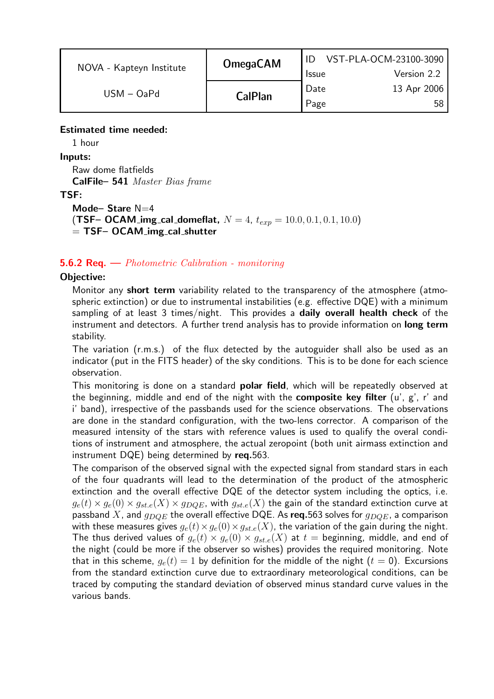| NOVA - Kapteyn Institute | <b>OmegaCAM</b> |              | VST-PLA-OCM-23100-3090 |
|--------------------------|-----------------|--------------|------------------------|
|                          |                 | <b>Issue</b> | Version 2.2            |
| $USM - OaPd$             | <b>CalPlan</b>  | Date         | 13 Apr 2006            |
|                          |                 | Page         | 58.                    |

## Estimated time needed:

1 hour

Inputs:

Raw dome flatfields CalFile– 541 Master Bias frame

## TSF:

Mode-Stare N=4 **(TSF– OCAM img cal domeflat,**  $N = 4$ ,  $t_{exp} = 10.0, 0.1, 0.1, 10.0$ )  $=$  TSF– OCAM img cal shutter

## **5.6.2 Req.** — *Photometric Calibration - monitoring*

## Objective:

Monitor any **short term** variability related to the transparency of the atmosphere (atmospheric extinction) or due to instrumental instabilities (e.g. effective DQE) with a minimum sampling of at least 3 times/night. This provides a daily overall health check of the instrument and detectors. A further trend analysis has to provide information on long term stability.

The variation (r.m.s.) of the flux detected by the autoguider shall also be used as an indicator (put in the FITS header) of the sky conditions. This is to be done for each science observation.

This monitoring is done on a standard **polar field**, which will be repeatedly observed at the beginning, middle and end of the night with the **composite key filter**  $(u', g', r'$  and i' band), irrespective of the passbands used for the science observations. The observations are done in the standard configuration, with the two-lens corrector. A comparison of the measured intensity of the stars with reference values is used to qualify the overal conditions of instrument and atmosphere, the actual zeropoint (both unit airmass extinction and instrument DQE) being determined by req.563.

The comparison of the observed signal with the expected signal from standard stars in each of the four quadrants will lead to the determination of the product of the atmospheric extinction and the overall effective DQE of the detector system including the optics, i.e.  $g_e(t) \times g_e(0) \times g_{st,e}(X) \times g_{DOE}$ , with  $g_{st,e}(X)$  the gain of the standard extinction curve at passband X, and  $g_{DOE}$  the overall effective DQE. As req.563 solves for  $g_{DOE}$ , a comparison with these measures gives  $g_e(t) \times g_{e}(0) \times g_{st,e}(X)$ , the variation of the gain during the night. The thus derived values of  $g_e(t) \times g_e(0) \times g_{st.e}(X)$  at  $t =$  beginning, middle, and end of the night (could be more if the observer so wishes) provides the required monitoring. Note that in this scheme,  $g_e(t) = 1$  by definition for the middle of the night  $(t = 0)$ . Excursions from the standard extinction curve due to extraordinary meteorological conditions, can be traced by computing the standard deviation of observed minus standard curve values in the various bands.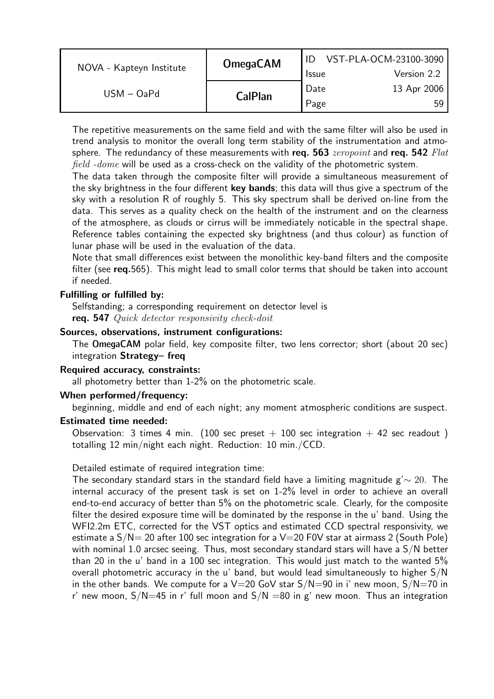| NOVA - Kapteyn Institute | <b>OmegaCAM</b> |              | VST-PLA-OCM-23100-3090 |
|--------------------------|-----------------|--------------|------------------------|
|                          |                 | <b>Issue</b> | Version 2.2            |
| $USM - OaPd$             | <b>CalPlan</b>  | Date         | 13 Apr 2006            |
|                          |                 | Page         | 59.                    |

The repetitive measurements on the same field and with the same filter will also be used in trend analysis to monitor the overall long term stability of the instrumentation and atmosphere. The redundancy of these measurements with req. 563 *zeropoint* and req. 542  $Flat$ *field -dome* will be used as a cross-check on the validity of the photometric system.

The data taken through the composite filter will provide a simultaneous measurement of the sky brightness in the four different key bands; this data will thus give a spectrum of the sky with a resolution R of roughly 5. This sky spectrum shall be derived on-line from the data. This serves as a quality check on the health of the instrument and on the clearness of the atmosphere, as clouds or cirrus will be immediately noticable in the spectral shape. Reference tables containing the expected sky brightness (and thus colour) as function of lunar phase will be used in the evaluation of the data.

Note that small differences exist between the monolithic key-band filters and the composite filter (see req.565). This might lead to small color terms that should be taken into account if needed.

#### Fulfilling or fulfilled by:

Selfstanding; a corresponding requirement on detector level is req. 547 Quick detector responsivity check-doit

#### Sources, observations, instrument configurations:

The OmegaCAM polar field, key composite filter, two lens corrector; short (about 20 sec) integration Strategy– freq

#### Required accuracy, constraints:

all photometry better than 1-2% on the photometric scale.

### When performed/frequency:

beginning, middle and end of each night; any moment atmospheric conditions are suspect.

#### Estimated time needed:

Observation: 3 times 4 min. (100 sec preset  $+$  100 sec integration  $+$  42 sec readout) totalling 12 min/night each night. Reduction: 10 min./CCD.

#### Detailed estimate of required integration time:

The secondary standard stars in the standard field have a limiting magnitude g' $\sim 20$ . The internal accuracy of the present task is set on 1-2% level in order to achieve an overall end-to-end accuracy of better than 5% on the photometric scale. Clearly, for the composite filter the desired exposure time will be dominated by the response in the u' band. Using the WFI2.2m ETC, corrected for the VST optics and estimated CCD spectral responsivity, we estimate a  $S/N= 20$  after 100 sec integration for a V $=$ 20 F0V star at airmass 2 (South Pole) with nominal 1.0 arcsec seeing. Thus, most secondary standard stars will have a S/N better than 20 in the u' band in a 100 sec integration. This would just match to the wanted 5% overall photometric accuracy in the u' band, but would lead simultaneously to higher S/N in the other bands. We compute for a  $V=20$  GoV star  $S/N=90$  in i' new moon,  $S/N=70$  in r' new moon,  $S/N=45$  in r' full moon and  $S/N=80$  in g' new moon. Thus an integration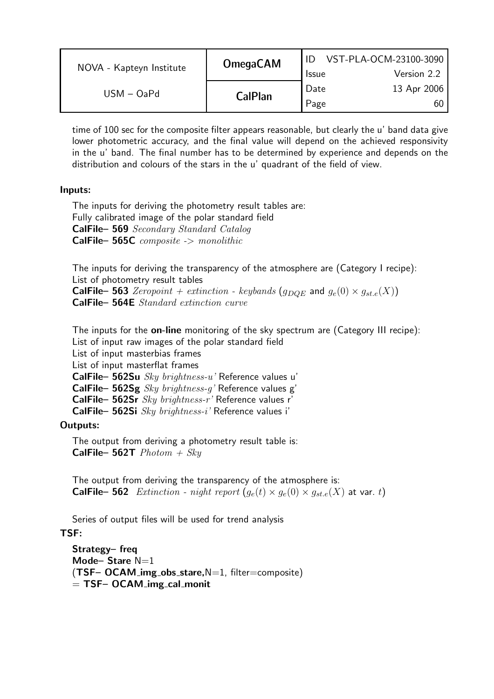|                          | <b>OmegaCAM</b> |                   | VST-PLA-OCM-23100-3090 |
|--------------------------|-----------------|-------------------|------------------------|
| NOVA - Kapteyn Institute |                 | <b>Issue</b>      | Version 2.2            |
| $USM - OaPd$             |                 | <sup>'</sup> Date | 13 Apr 2006            |
|                          | <b>CalPlan</b>  | Page              |                        |

time of 100 sec for the composite filter appears reasonable, but clearly the u' band data give lower photometric accuracy, and the final value will depend on the achieved responsivity in the u' band. The final number has to be determined by experience and depends on the distribution and colours of the stars in the u' quadrant of the field of view.

## Inputs:

The inputs for deriving the photometry result tables are: Fully calibrated image of the polar standard field CalFile– 569 Secondary Standard Catalog CalFile- 565C composite -> monolithic

The inputs for deriving the transparency of the atmosphere are (Category I recipe): List of photometry result tables **CalFile– 563** Zeropoint + extinction - keybands  $(g_{DQE}$  and  $g_e(0) \times g_{st.e}(X)$ 

CalFile– 564E Standard extinction curve

The inputs for the **on-line** monitoring of the sky spectrum are (Category III recipe): List of input raw images of the polar standard field

List of input masterbias frames

List of input masterflat frames

CalFile– 562Su Sky brightness-u' Reference values u'

CalFile– 562Sg  $Sky~brightness-q'$  Reference values g'

CalFile– 562Sr Sky brightness-r' Reference values r'

CalFile– 562Si Sky brightness-i' Reference values i'

## Outputs:

The output from deriving a photometry result table is: **CalFile– 562T**  $Photom + Sky$ 

The output from deriving the transparency of the atmosphere is: **CalFile– 562** Extinction - night report  $(g_e(t) \times g_e(0) \times g_{st,e}(X)$  at var. t)

Series of output files will be used for trend analysis

## TSF:

Strategy– freq Mode– Stare  $N=1$  $(TSF-OCAM_img_obs_stance,N=1, filter=composite)$  $=$  TSF– OCAM img cal monit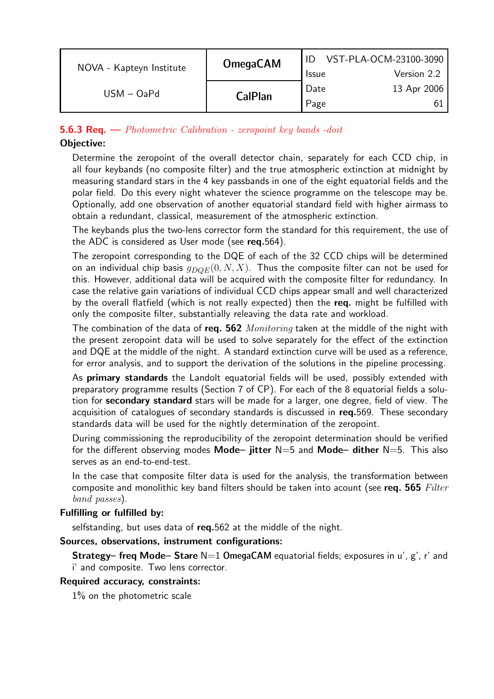| NOVA - Kapteyn Institute | <b>OmegaCAM</b> | VST-PLA-OCM-23100-3090 |             |
|--------------------------|-----------------|------------------------|-------------|
|                          |                 | <b>Issue</b>           | Version 2.2 |
| $USM - OaPd$             | <b>CalPlan</b>  | Date                   | 13 Apr 2006 |
|                          |                 | Page                   |             |

## **5.6.3 Req.** — *Photometric Calibration - zeropoint key bands -doit*

## Objective:

Determine the zeropoint of the overall detector chain, separately for each CCD chip, in all four keybands (no composite filter) and the true atmospheric extinction at midnight by measuring standard stars in the 4 key passbands in one of the eight equatorial fields and the polar field. Do this every night whatever the science programme on the telescope may be. Optionally, add one observation of another equatorial standard field with higher airmass to obtain a redundant, classical, measurement of the atmospheric extinction.

The keybands plus the two-lens corrector form the standard for this requirement, the use of the ADC is considered as User mode (see req.564).

The zeropoint corresponding to the DQE of each of the 32 CCD chips will be determined on an individual chip basis  $g_{DOE}(0, N, X)$ . Thus the composite filter can not be used for this. However, additional data will be acquired with the composite filter for redundancy. In case the relative gain variations of individual CCD chips appear small and well characterized by the overall flatfield (which is not really expected) then the req. might be fulfilled with only the composite filter, substantially releaving the data rate and workload.

The combination of the data of req. 562  $Monitoring$  taken at the middle of the night with the present zeropoint data will be used to solve separately for the effect of the extinction and DQE at the middle of the night. A standard extinction curve will be used as a reference, for error analysis, and to support the derivation of the solutions in the pipeline processing.

As primary standards the Landolt equatorial fields will be used, possibly extended with preparatory programme results (Section 7 of CP). For each of the 8 equatorial fields a solution for secondary standard stars will be made for a larger, one degree, field of view. The acquisition of catalogues of secondary standards is discussed in req.569. These secondary standards data will be used for the nightly determination of the zeropoint.

During commissioning the reproducibility of the zeropoint determination should be verified for the different observing modes Mode- jitter  $N=5$  and Mode- dither  $N=5$ . This also serves as an end-to-end-test.

In the case that composite filter data is used for the analysis, the transformation between composite and monolithic key band filters should be taken into acount (see req.  $565$  Filter band passes).

#### Fulfilling or fulfilled by:

selfstanding, but uses data of req.562 at the middle of the night.

#### Sources, observations, instrument configurations:

**Strategy– freq Mode– Stare**  $N=1$  OmegaCAM equatorial fields; exposures in u', g', r' and i' and composite. Two lens corrector.

#### Required accuracy, constraints:

1% on the photometric scale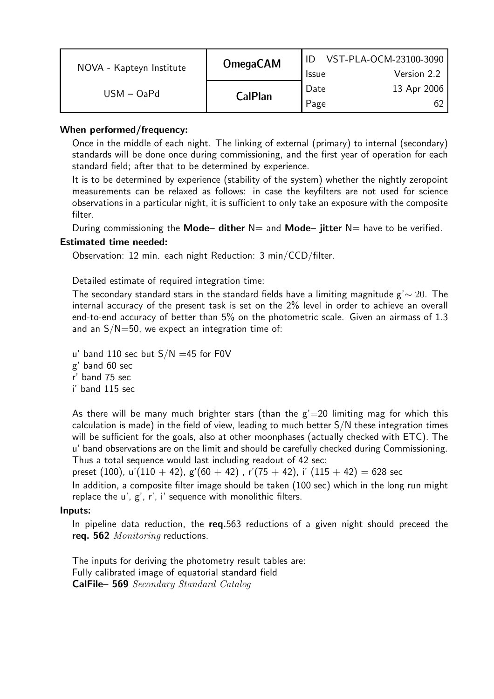| NOVA - Kapteyn Institute | <b>OmegaCAM</b> | VST-PLA-OCM-23100-3090 |             |
|--------------------------|-----------------|------------------------|-------------|
|                          |                 | <b>Issue</b>           | Version 2.2 |
| $USM - OaPd$             |                 | Date                   | 13 Apr 2006 |
|                          | <b>CalPlan</b>  | Page                   |             |

## When performed/frequency:

Once in the middle of each night. The linking of external (primary) to internal (secondary) standards will be done once during commissioning, and the first year of operation for each standard field; after that to be determined by experience.

It is to be determined by experience (stability of the system) whether the nightly zeropoint measurements can be relaxed as follows: in case the keyfilters are not used for science observations in a particular night, it is sufficient to only take an exposure with the composite filter.

During commissioning the Mode– dither  $N=$  and Mode– jitter  $N=$  have to be verified.

## Estimated time needed:

Observation: 12 min. each night Reduction: 3 min/CCD/filter.

Detailed estimate of required integration time:

The secondary standard stars in the standard fields have a limiting magnitude  $g' \sim 20$ . The internal accuracy of the present task is set on the 2% level in order to achieve an overall end-to-end accuracy of better than 5% on the photometric scale. Given an airmass of 1.3 and an  $S/N=50$ , we expect an integration time of:

u' band 110 sec but  $S/N = 45$  for F0V

g' band 60 sec

r' band 75 sec

i' band 115 sec

As there will be many much brighter stars (than the  $g' = 20$  limiting mag for which this calculation is made) in the field of view, leading to much better S/N these integration times will be sufficient for the goals, also at other moonphases (actually checked with ETC). The u' band observations are on the limit and should be carefully checked during Commissioning. Thus a total sequence would last including readout of 42 sec:

preset (100), u'(110 + 42), g'(60 + 42), r'(75 + 42), i' (115 + 42) = 628 sec

In addition, a composite filter image should be taken (100 sec) which in the long run might replace the u', g', r', i' sequence with monolithic filters.

#### Inputs:

In pipeline data reduction, the req.563 reductions of a given night should preceed the req. 562 Monitoring reductions.

The inputs for deriving the photometry result tables are: Fully calibrated image of equatorial standard field CalFile– 569 Secondary Standard Catalog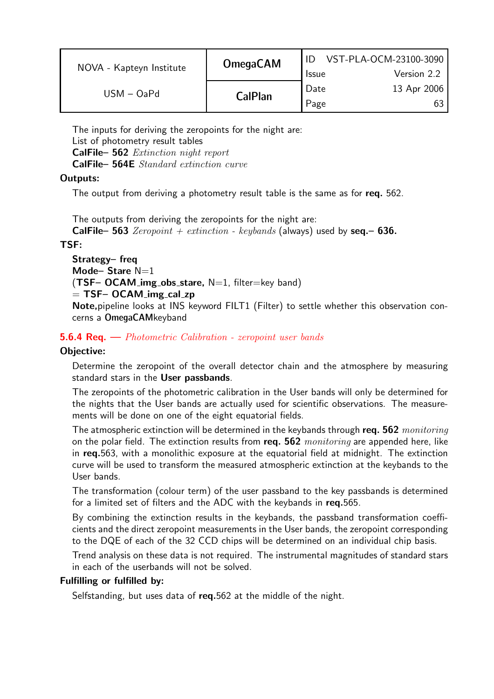| NOVA - Kapteyn Institute |                | <b>Issue</b> | Version 2.2 |
|--------------------------|----------------|--------------|-------------|
| $USM - OaPd$             | <b>CalPlan</b> | Date<br>Page | 13 Apr 2006 |

The inputs for deriving the zeropoints for the night are: List of photometry result tables CalFile– 562 Extinction night report CalFile– 564E Standard extinction curve

## Outputs:

The output from deriving a photometry result table is the same as for req. 562.

The outputs from deriving the zeropoints for the night are: **CalFile– 563** Zeropoint + extinction - keybands (always) used by seq. – 636.

## TSF:

```
Strategy– freq
Mode-Stare N=1
(TSF– OCAM_img_obs_stare, N=1, filter=key band)
= TSF– OCAM img cal zp
```
Note,pipeline looks at INS keyword FILT1 (Filter) to settle whether this observation concerns a OmegaCAMkeyband

## 5.6.4 Req. — Photometric Calibration - zeropoint user bands

## Objective:

Determine the zeropoint of the overall detector chain and the atmosphere by measuring standard stars in the User passbands.

The zeropoints of the photometric calibration in the User bands will only be determined for the nights that the User bands are actually used for scientific observations. The measurements will be done on one of the eight equatorial fields.

The atmospheric extinction will be determined in the keybands through req. 562 *monitoring* on the polar field. The extinction results from req.  $562$  monitoring are appended here, like in req.563, with a monolithic exposure at the equatorial field at midnight. The extinction curve will be used to transform the measured atmospheric extinction at the keybands to the User bands.

The transformation (colour term) of the user passband to the key passbands is determined for a limited set of filters and the ADC with the keybands in req.565.

By combining the extinction results in the keybands, the passband transformation coefficients and the direct zeropoint measurements in the User bands, the zeropoint corresponding to the DQE of each of the 32 CCD chips will be determined on an individual chip basis.

Trend analysis on these data is not required. The instrumental magnitudes of standard stars in each of the userbands will not be solved.

## Fulfilling or fulfilled by:

Selfstanding, but uses data of req.562 at the middle of the night.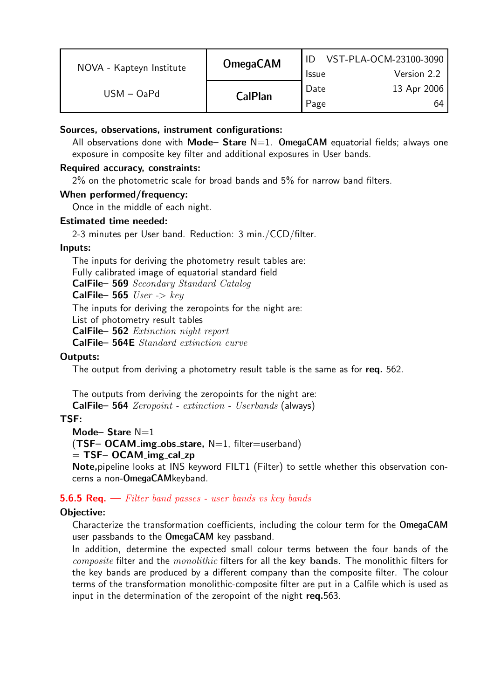| NOVA - Kapteyn Institute | <b>OmegaCAM</b> | <b>Issue</b> | VST-PLA-OCM-23100-3090<br>Version 2.2 |
|--------------------------|-----------------|--------------|---------------------------------------|
| $USM - OaPd$             | <b>CalPlan</b>  | Date<br>Page | 13 Apr 2006<br>64                     |

## Sources, observations, instrument configurations:

All observations done with **Mode– Stare**  $N=1$ . OmegaCAM equatorial fields; always one exposure in composite key filter and additional exposures in User bands.

### Required accuracy, constraints:

2% on the photometric scale for broad bands and 5% for narrow band filters.

#### When performed/frequency:

Once in the middle of each night.

## Estimated time needed:

2-3 minutes per User band. Reduction: 3 min./CCD/filter.

## Inputs:

The inputs for deriving the photometry result tables are: Fully calibrated image of equatorial standard field CalFile– 569 Secondary Standard Catalog CalFile– 565  $User \rightarrow key$ The inputs for deriving the zeropoints for the night are: List of photometry result tables CalFile– 562 Extinction night report CalFile– 564E Standard extinction curve

## Outputs:

The output from deriving a photometry result table is the same as for req. 562.

The outputs from deriving the zeropoints for the night are:

CalFile– 564 Zeropoint - extinction - Userbands (always)

## TSF:

Mode– Stare  $N=1$ 

 $(TSF-OCAM_img_obs_stance, N=1, filter=userband)$ 

 $=$  TSF– OCAM img cal zp

Note,pipeline looks at INS keyword FILT1 (Filter) to settle whether this observation concerns a non-OmegaCAMkeyband.

#### **5.6.5 Req.**  $\rightarrow$  Filter band passes - user bands vs key bands

## Objective:

Characterize the transformation coefficients, including the colour term for the OmegaCAM user passbands to the OmegaCAM key passband.

In addition, determine the expected small colour terms between the four bands of the composite filter and the monolithic filters for all the key bands. The monolithic filters for the key bands are produced by a different company than the composite filter. The colour terms of the transformation monolithic-composite filter are put in a Calfile which is used as input in the determination of the zeropoint of the night req.563.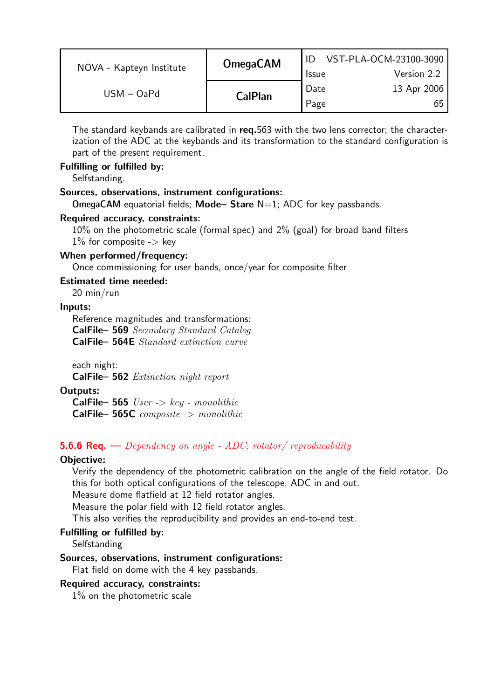| NOVA - Kapteyn Institute | <b>OmegaCAM</b> | <b>Issue</b> | VST-PLA-OCM-23100-3090<br>Version 2.2 |
|--------------------------|-----------------|--------------|---------------------------------------|
| $USM - OaPd$             |                 | Date         | 13 Apr 2006                           |
|                          | <b>CalPlan</b>  | Page         | 65                                    |

The standard keybands are calibrated in req.563 with the two lens corrector; the characterization of the ADC at the keybands and its transformation to the standard configuration is part of the present requirement.

### Fulfilling or fulfilled by:

Selfstanding.

#### Sources, observations, instrument configurations:

OmegaCAM equatorial fields; Mode- Stare  $N=1$ ; ADC for key passbands.

#### Required accuracy, constraints:

10% on the photometric scale (formal spec) and 2% (goal) for broad band filters  $1\%$  for composite -> key

#### When performed/frequency:

Once commissioning for user bands, once/year for composite filter

#### Estimated time needed:

20 min/run

#### Inputs:

Reference magnitudes and transformations: CalFile– 569 Secondary Standard Catalog CalFile– 564E Standard extinction curve

each night:

CalFile– 562 Extinction night report

#### Outputs:

**CalFile– 565** *User -> key - monolithic* CalFile- 565C composite -> monolithic

#### **5.6.6 Req.** — Dependency on angle - ADC, rotator/ reproducability

#### Objective:

Verify the dependency of the photometric calibration on the angle of the field rotator. Do this for both optical configurations of the telescope, ADC in and out.

Measure dome flatfield at 12 field rotator angles.

Measure the polar field with 12 field rotator angles.

This also verifies the reproducibility and provides an end-to-end test.

#### Fulfilling or fulfilled by:

**Selfstanding** 

#### Sources, observations, instrument configurations:

Flat field on dome with the 4 key passbands.

#### Required accuracy, constraints:

1% on the photometric scale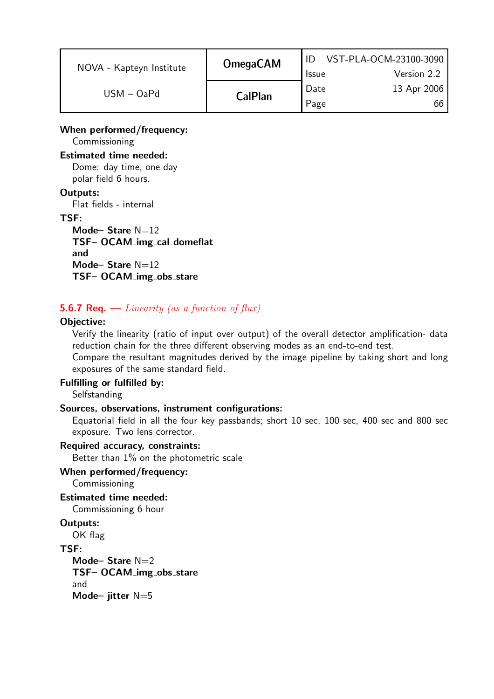| NOVA - Kapteyn Institute | <b>OmegaCAM</b> | <b>Issue</b> | VST-PLA-OCM-23100-3090<br>Version 2.2 |
|--------------------------|-----------------|--------------|---------------------------------------|
| $USM - OaPd$             | <b>CalPlan</b>  | Date         | 13 Apr 2006                           |
|                          |                 | Page         |                                       |

### When performed/frequency:

Commissioning

#### Estimated time needed:

Dome: day time, one day polar field 6 hours.

#### Outputs:

Flat fields - internal

#### TSF:

Mode-Stare  $N=12$ TSF- OCAM\_img\_cal\_domeflat and Mode-Stare  $N=12$ TSF- OCAM\_img\_obs\_stare

## **5.6.7 Req.** — Linearity (as a function of flux)

#### Objective:

Verify the linearity (ratio of input over output) of the overall detector amplification- data reduction chain for the three different observing modes as an end-to-end test.

Compare the resultant magnitudes derived by the image pipeline by taking short and long exposures of the same standard field.

#### Fulfilling or fulfilled by:

Selfstanding

#### Sources, observations, instrument configurations:

Equatorial field in all the four key passbands; short 10 sec, 100 sec, 400 sec and 800 sec exposure. Two lens corrector.

#### Required accuracy, constraints:

Better than 1% on the photometric scale

## When performed/frequency:

Commissioning

## Estimated time needed:

Commissioning 6 hour

## Outputs:

OK flag

#### TSF:

Mode– Stare  $N=2$ TSF- OCAM\_img\_obs\_stare and Mode- jitter N=5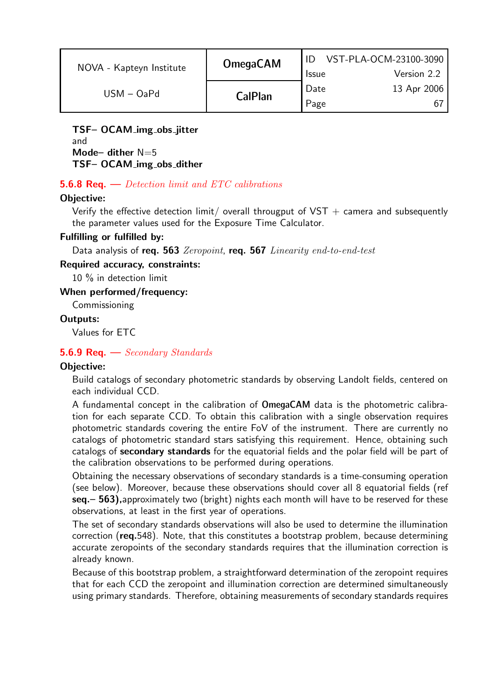| NOVA - Kapteyn Institute | <b>OmegaCAM</b> | <b>Issue</b> | VST-PLA-OCM-23100-3090<br>Version 2.2 |
|--------------------------|-----------------|--------------|---------------------------------------|
| $USM - OaPd$             | <b>CalPlan</b>  | Date<br>Page | 13 Apr 2006                           |

TSF– OCAM img obs jitter and Mode– dither  $N=5$ TSF- OCAM\_img\_obs\_dither

## **5.6.8 Req.** — Detection limit and ETC calibrations

#### Objective:

Verify the effective detection limit/ overall througput of VST  $+$  camera and subsequently the parameter values used for the Exposure Time Calculator.

#### Fulfilling or fulfilled by:

Data analysis of req. 563 Zeropoint, req. 567 Linearity end-to-end-test

#### Required accuracy, constraints:

10 % in detection limit

When performed/frequency:

Commissioning

#### Outputs:

Values for ETC

#### **5.6.9 Req.**  $\rightarrow$  *Secondary Standards*

#### Objective:

Build catalogs of secondary photometric standards by observing Landolt fields, centered on each individual CCD.

A fundamental concept in the calibration of OmegaCAM data is the photometric calibration for each separate CCD. To obtain this calibration with a single observation requires photometric standards covering the entire FoV of the instrument. There are currently no catalogs of photometric standard stars satisfying this requirement. Hence, obtaining such catalogs of secondary standards for the equatorial fields and the polar field will be part of the calibration observations to be performed during operations.

Obtaining the necessary observations of secondary standards is a time-consuming operation (see below). Moreover, because these observations should cover all 8 equatorial fields (ref seq. - 563), approximately two (bright) nights each month will have to be reserved for these observations, at least in the first year of operations.

The set of secondary standards observations will also be used to determine the illumination correction (req.548). Note, that this constitutes a bootstrap problem, because determining accurate zeropoints of the secondary standards requires that the illumination correction is already known.

Because of this bootstrap problem, a straightforward determination of the zeropoint requires that for each CCD the zeropoint and illumination correction are determined simultaneously using primary standards. Therefore, obtaining measurements of secondary standards requires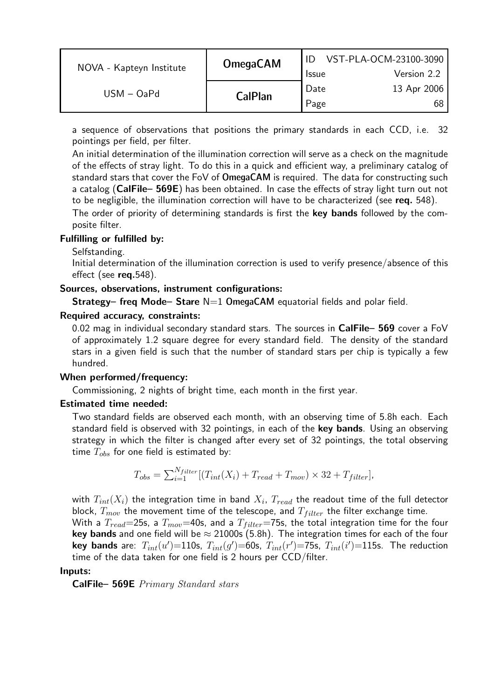| NOVA - Kapteyn Institute | <b>OmegaCAM</b> |                   | VST-PLA-OCM-23100-3090 |
|--------------------------|-----------------|-------------------|------------------------|
|                          |                 | <b>Issue</b>      | Version 2.2            |
| $USM - OaPd$             | <b>CalPlan</b>  | <sup>1</sup> Date | 13 Apr 2006            |
|                          |                 | Page              |                        |

a sequence of observations that positions the primary standards in each CCD, i.e. 32 pointings per field, per filter.

An initial determination of the illumination correction will serve as a check on the magnitude of the effects of stray light. To do this in a quick and efficient way, a preliminary catalog of standard stars that cover the FoV of OmegaCAM is required. The data for constructing such a catalog (CalFile- 569E) has been obtained. In case the effects of stray light turn out not to be negligible, the illumination correction will have to be characterized (see req. 548).

The order of priority of determining standards is first the key bands followed by the composite filter.

#### Fulfilling or fulfilled by:

Selfstanding.

Initial determination of the illumination correction is used to verify presence/absence of this effect (see  $req.548$ ).

## Sources, observations, instrument configurations:

**Strategy– freq Mode– Stare**  $N=1$  **OmegaCAM** equatorial fields and polar field.

#### Required accuracy, constraints:

0.02 mag in individual secondary standard stars. The sources in  $CalFile- 569$  cover a FoV of approximately 1.2 square degree for every standard field. The density of the standard stars in a given field is such that the number of standard stars per chip is typically a few hundred.

#### When performed/frequency:

Commissioning, 2 nights of bright time, each month in the first year.

## Estimated time needed:

Two standard fields are observed each month, with an observing time of 5.8h each. Each standard field is observed with 32 pointings, in each of the key bands. Using an observing strategy in which the filter is changed after every set of 32 pointings, the total observing time  $T_{obs}$  for one field is estimated by:

$$
T_{obs} = \sum_{i=1}^{N_{filter}} [(T_{int}(X_i) + T_{read} + T_{mov}) \times 32 + T_{filter}],
$$

with  $T_{int}(X_i)$  the integration time in band  $X_i. \; T_{read}$  the readout time of the full detector block,  $T_{mov}$  the movement time of the telescope, and  $T_{filter}$  the filter exchange time.

With a  $T_{read}$ =25s, a  $T_{mov}$ =40s, and a  $T_{filter}$ =75s, the total integration time for the four key bands and one field will be  $\approx 21000$ s (5.8h). The integration times for each of the four key bands are:  $T_{int}(u')$ =110s,  $T_{int}(g')$ =60s,  $T_{int}(r')$ =75s,  $T_{int}(i')$ =115s. The reduction time of the data taken for one field is 2 hours per CCD/filter.

#### Inputs:

CalFile– 569E Primary Standard stars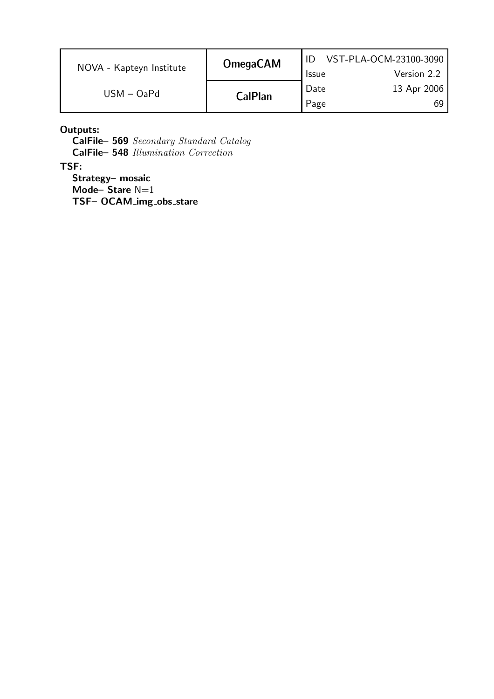|                          | <b>OmegaCAM</b> |              | VST-PLA-OCM-23100-3090 |
|--------------------------|-----------------|--------------|------------------------|
| NOVA - Kapteyn Institute |                 | <b>Issue</b> | Version 2.2            |
|                          | $USM - OaPd$    | Date         | 13 Apr 2006            |
|                          | <b>CalPlan</b>  | Page         | 69                     |

Outputs:

CalFile– 569 Secondary Standard Catalog CalFile– 548 Illumination Correction

TSF:

Strategy– mosaic Mode–Stare  $N=1$ TSF- OCAM\_img\_obs\_stare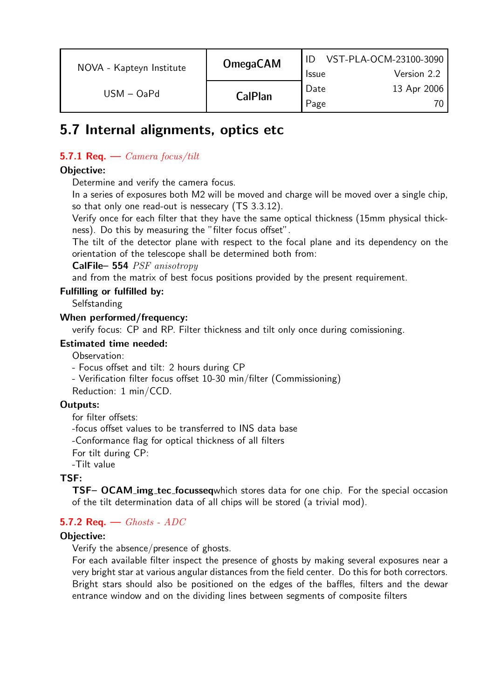| NOVA - Kapteyn Institute | <b>OmegaCAM</b> | <b>Issue</b> | VST-PLA-OCM-23100-3090<br>Version 2.2 |
|--------------------------|-----------------|--------------|---------------------------------------|
| $USM - OaPd$             | <b>CalPlan</b>  | Date<br>Page | 13 Apr 2006<br>70.                    |

# 5.7 Internal alignments, optics etc

## **5.7.1 Req.** — *Camera focus/tilt*

## Objective:

Determine and verify the camera focus.

In a series of exposures both M2 will be moved and charge will be moved over a single chip, so that only one read-out is nessecary (TS 3.3.12).

Verify once for each filter that they have the same optical thickness (15mm physical thickness). Do this by measuring the "filter focus offset".

The tilt of the detector plane with respect to the focal plane and its dependency on the orientation of the telescope shall be determined both from:

CalFile– 554 PSF anisotropy

and from the matrix of best focus positions provided by the present requirement.

## Fulfilling or fulfilled by:

**Selfstanding** 

## When performed/frequency:

verify focus: CP and RP. Filter thickness and tilt only once during comissioning.

### Estimated time needed:

Observation:

- Focus offset and tilt: 2 hours during CP

- Verification filter focus offset 10-30 min/filter (Commissioning)

Reduction: 1 min/CCD.

## Outputs:

for filter offsets: -focus offset values to be transferred to INS data base -Conformance flag for optical thickness of all filters For tilt during CP: -Tilt value

## TSF:

TSF– OCAM img tec focusseqwhich stores data for one chip. For the special occasion of the tilt determination data of all chips will be stored (a trivial mod).

## 5.7.2 Req.  $-$  Ghosts - ADC

## Objective:

Verify the absence/presence of ghosts.

For each available filter inspect the presence of ghosts by making several exposures near a very bright star at various angular distances from the field center. Do this for both correctors. Bright stars should also be positioned on the edges of the baffles, filters and the dewar entrance window and on the dividing lines between segments of composite filters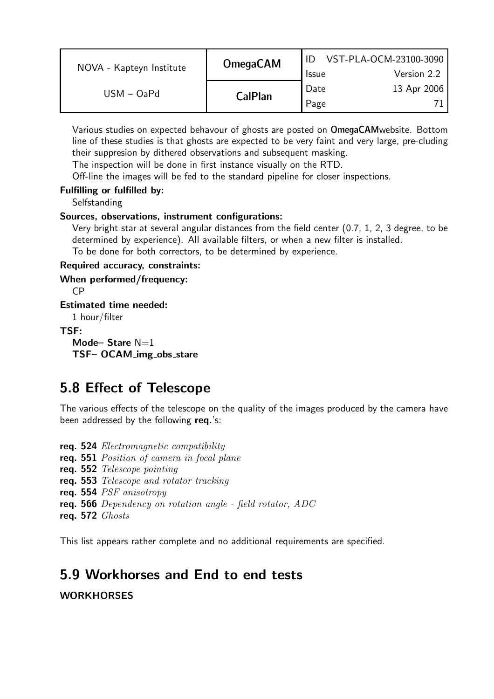| NOVA - Kapteyn Institute | <b>OmegaCAM</b> | <b>Issue</b> | VST-PLA-OCM-23100-3090<br>Version 2.2 |
|--------------------------|-----------------|--------------|---------------------------------------|
| $USM - OaPd$             | <b>CalPlan</b>  | Date<br>Page | 13 Apr 2006                           |
|                          |                 |              |                                       |

Various studies on expected behavour of ghosts are posted on OmegaCAMwebsite. Bottom line of these studies is that ghosts are expected to be very faint and very large, pre-cluding their suppresion by dithered observations and subsequent masking.

The inspection will be done in first instance visually on the RTD.

Off-line the images will be fed to the standard pipeline for closer inspections.

## Fulfilling or fulfilled by:

**Selfstanding** 

## Sources, observations, instrument configurations:

Very bright star at several angular distances from the field center (0.7, 1, 2, 3 degree, to be determined by experience). All available filters, or when a new filter is installed.

To be done for both correctors, to be determined by experience.

#### Required accuracy, constraints:

When performed/frequency:

CP

Estimated time needed:

1 hour/filter

## TSF:

Mode-Stare  $N=1$ TSF- OCAM\_img\_obs\_stare

# 5.8 Effect of Telescope

The various effects of the telescope on the quality of the images produced by the camera have been addressed by the following req.'s:

req. 524 Electromagnetic compatibility req. 551 Position of camera in focal plane req. 552 Telescope pointing req. 553 Telescope and rotator tracking req. 554 PSF anisotropy req. 566 Dependency on rotation angle - field rotator, ADC req. 572 Ghosts

This list appears rather complete and no additional requirements are specified.

## 5.9 Workhorses and End to end tests

**WORKHORSES**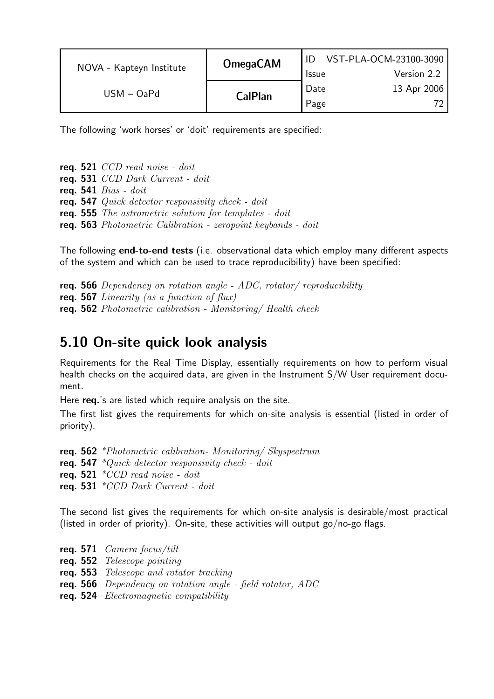|              | <b>OmegaCAM</b><br>NOVA - Kapteyn Institute |              | VST-PLA-OCM-23100-3090 |
|--------------|---------------------------------------------|--------------|------------------------|
|              |                                             | <b>Issue</b> | Version 2.2            |
| $USM - OaPd$ | <b>CalPlan</b>                              | ' Date       | 13 Apr 2006            |
|              |                                             | Page         |                        |

The following 'work horses' or 'doit' requirements are specified:

req. 521 CCD read noise - doit req. 531 CCD Dark Current - doit req.  $541 \; Bias \cdot doit$ req. 547 Quick detector responsivity check - doit req. 555 The astrometric solution for templates - doit req. 563 Photometric Calibration - zeropoint keybands - doit

The following **end-to-end tests** (i.e. observational data which employ many different aspects of the system and which can be used to trace reproducibility) have been specified:

**req. 566** Dependency on rotation angle - ADC, rotator/ reproducibility req. 567 Linearity (as a function of  $flux)$ req. 562 Photometric calibration - Monitoring/ Health check

## 5.10 On-site quick look analysis

Requirements for the Real Time Display, essentially requirements on how to perform visual health checks on the acquired data, are given in the Instrument S/W User requirement document.

Here req.'s are listed which require analysis on the site.

The first list gives the requirements for which on-site analysis is essential (listed in order of priority).

req. 562 \*Photometric calibration- Monitoring/ Skyspectrum req. 547  $*Quick$  detector responsivity check - doit req. 521  $*CCD$  read noise - doit req. 531  $*CCD$  Dark Current - doit

The second list gives the requirements for which on-site analysis is desirable/most practical (listed in order of priority). On-site, these activities will output go/no-go flags.

req. 571  $\emph{Camera focus/tilt}$ req. 552 Telescope pointing req. 553 Telescope and rotator tracking req. 566 Dependency on rotation angle - field rotator, ADC req. 524 Electromagnetic compatibility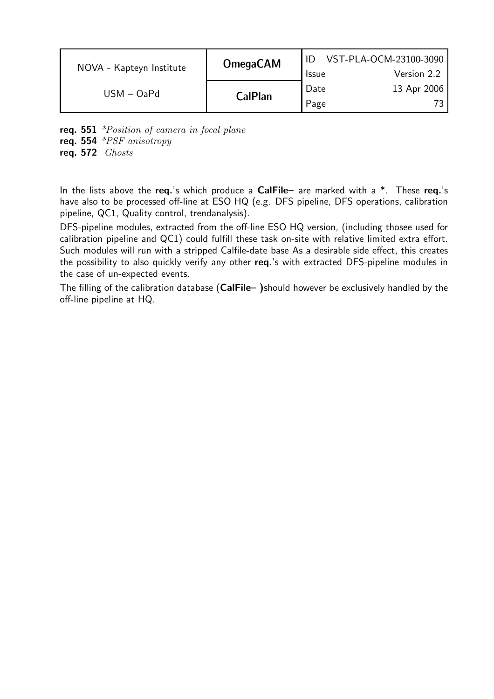| NOVA - Kapteyn Institute | <b>OmegaCAM</b> | VST-PLA-OCM-23100-3090 |             |  |
|--------------------------|-----------------|------------------------|-------------|--|
|                          |                 | <b>Issue</b>           | Version 2.2 |  |
| $USM - OaPd$             |                 | Date                   | 13 Apr 2006 |  |
|                          | <b>CalPlan</b>  | Page                   |             |  |

req. 551 \*Position of camera in focal plane req. 554  $*PSF$  anisotropy req. 572 Ghosts

In the lists above the req.'s which produce a CalFile– are marked with a  $*$ . These req.'s have also to be processed off-line at ESO HQ (e.g. DFS pipeline, DFS operations, calibration pipeline, QC1, Quality control, trendanalysis).

DFS-pipeline modules, extracted from the off-line ESO HQ version, (including thosee used for calibration pipeline and QC1) could fulfill these task on-site with relative limited extra effort. Such modules will run with a stripped Calfile-date base As a desirable side effect, this creates the possibility to also quickly verify any other req.'s with extracted DFS-pipeline modules in the case of un-expected events.

The filling of the calibration database (CalFile– )should however be exclusively handled by the off-line pipeline at HQ.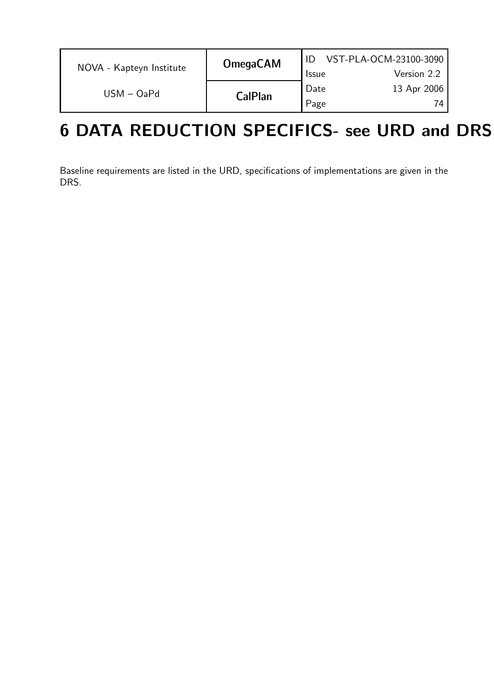| NOVA - Kapteyn Institute | <b>OmegaCAM</b> | <b>Issue</b> | VST-PLA-OCM-23100-3090<br>Version 2.2 |
|--------------------------|-----------------|--------------|---------------------------------------|
| $USM - OaPd$             | <b>CalPlan</b>  | Date<br>Page | 13 Apr 2006<br>74                     |

# 6 DATA REDUCTION SPECIFICS- see URD and DRS

Baseline requirements are listed in the URD, specifications of implementations are given in the DRS.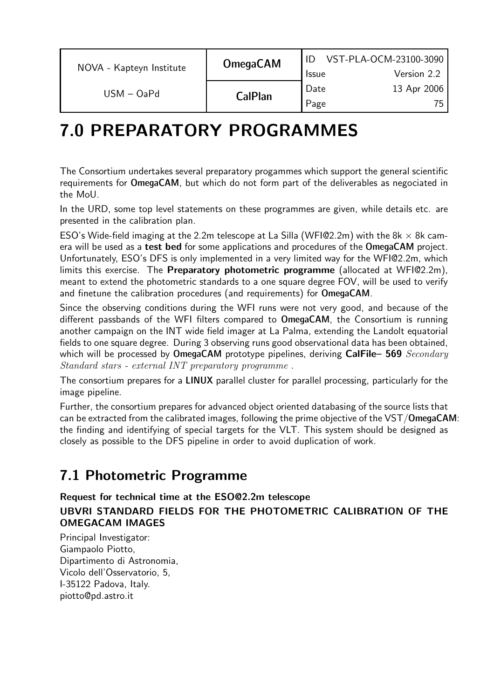|              | <b>OmegaCAM</b><br>NOVA - Kapteyn Institute |              | VST-PLA-OCM-23100-3090 |
|--------------|---------------------------------------------|--------------|------------------------|
|              |                                             | <b>Issue</b> | Version 2.2            |
| $USM - OaPd$ |                                             | Date         | 13 Apr 2006            |
|              | <b>CalPlan</b>                              | Page         |                        |

### 7.0 PREPARATORY PROGRAMMES

The Consortium undertakes several preparatory progammes which support the general scientific requirements for OmegaCAM, but which do not form part of the deliverables as negociated in the MoU.

In the URD, some top level statements on these programmes are given, while details etc. are presented in the calibration plan.

ESO's Wide-field imaging at the 2.2m telescope at La Silla (WFI@2.2m) with the 8k  $\times$  8k camera will be used as a test bed for some applications and procedures of the OmegaCAM project. Unfortunately, ESO's DFS is only implemented in a very limited way for the WFI@2.2m, which limits this exercise. The Preparatory photometric programme (allocated at WFI@2.2m), meant to extend the photometric standards to a one square degree FOV, will be used to verify and finetune the calibration procedures (and requirements) for OmegaCAM.

Since the observing conditions during the WFI runs were not very good, and because of the different passbands of the WFI filters compared to OmegaCAM, the Consortium is running another campaign on the INT wide field imager at La Palma, extending the Landolt equatorial fields to one square degree. During 3 observing runs good observational data has been obtained, which will be processed by OmegaCAM prototype pipelines, deriving CalFile– 569  $Secondary$ Standard stars - external INT preparatory programme .

The consortium prepares for a LINUX parallel cluster for parallel processing, particularly for the image pipeline.

Further, the consortium prepares for advanced object oriented databasing of the source lists that can be extracted from the calibrated images, following the prime objective of the VST/OmegaCAM: the finding and identifying of special targets for the VLT. This system should be designed as closely as possible to the DFS pipeline in order to avoid duplication of work.

### 7.1 Photometric Programme

#### Request for technical time at the ESO@2.2m telescope UBVRI STANDARD FIELDS FOR THE PHOTOMETRIC CALIBRATION OF THE OMEGACAM IMAGES

Principal Investigator: Giampaolo Piotto, Dipartimento di Astronomia, Vicolo dell'Osservatorio, 5, I-35122 Padova, Italy. piotto@pd.astro.it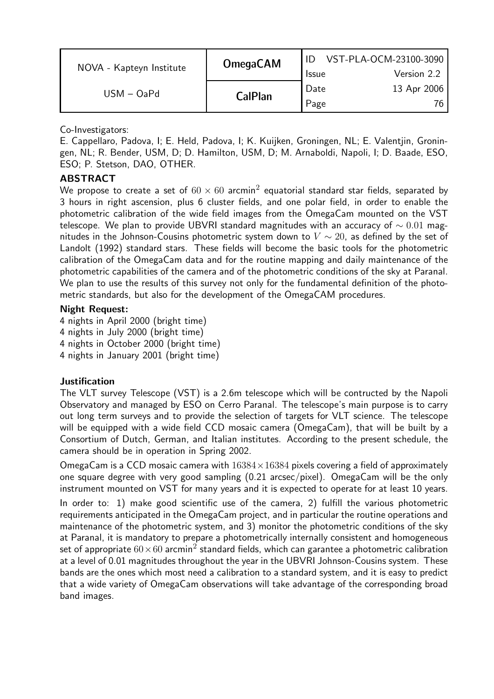| NOVA - Kapteyn Institute | <b>OmegaCAM</b> |              | VST-PLA-OCM-23100-3090 |
|--------------------------|-----------------|--------------|------------------------|
|                          |                 | <b>Issue</b> | Version 2.2            |
| $USM - OaPd$             |                 | Date         | 13 Apr 2006            |
|                          | <b>CalPlan</b>  | Page         |                        |

Co-Investigators:

E. Cappellaro, Padova, I; E. Held, Padova, I; K. Kuijken, Groningen, NL; E. Valentjin, Groningen, NL; R. Bender, USM, D; D. Hamilton, USM, D; M. Arnaboldi, Napoli, I; D. Baade, ESO, ESO; P. Stetson, DAO, OTHER.

#### ABSTRACT

We propose to create a set of  $60 \times 60$  arcmin<sup>2</sup> equatorial standard star fields, separated by 3 hours in right ascension, plus 6 cluster fields, and one polar field, in order to enable the photometric calibration of the wide field images from the OmegaCam mounted on the VST telescope. We plan to provide UBVRI standard magnitudes with an accuracy of  $\sim 0.01$  magnitudes in the Johnson-Cousins photometric system down to  $V \sim 20$ , as defined by the set of Landolt (1992) standard stars. These fields will become the basic tools for the photometric calibration of the OmegaCam data and for the routine mapping and daily maintenance of the photometric capabilities of the camera and of the photometric conditions of the sky at Paranal. We plan to use the results of this survey not only for the fundamental definition of the photometric standards, but also for the development of the OmegaCAM procedures.

#### Night Request:

 nights in April 2000 (bright time) nights in July 2000 (bright time) nights in October 2000 (bright time) nights in January 2001 (bright time)

#### Justification

The VLT survey Telescope (VST) is a 2.6m telescope which will be contructed by the Napoli Observatory and managed by ESO on Cerro Paranal. The telescope's main purpose is to carry out long term surveys and to provide the selection of targets for VLT science. The telescope will be equipped with a wide field CCD mosaic camera (OmegaCam), that will be built by a Consortium of Dutch, German, and Italian institutes. According to the present schedule, the camera should be in operation in Spring 2002.

OmegaCam is a CCD mosaic camera with  $16384 \times 16384$  pixels covering a field of approximately one square degree with very good sampling (0.21 arcsec/pixel). OmegaCam will be the only instrument mounted on VST for many years and it is expected to operate for at least 10 years. In order to: 1) make good scientific use of the camera, 2) fulfill the various photometric requirements anticipated in the OmegaCam project, and in particular the routine operations and maintenance of the photometric system, and 3) monitor the photometric conditions of the sky at Paranal, it is mandatory to prepare a photometrically internally consistent and homogeneous set of appropriate  $60 \times 60$  arcmin<sup>2</sup> standard fields, which can garantee a photometric calibration at a level of 0.01 magnitudes throughout the year in the UBVRI Johnson-Cousins system. These bands are the ones which most need a calibration to a standard system, and it is easy to predict that a wide variety of OmegaCam observations will take advantage of the corresponding broad band images.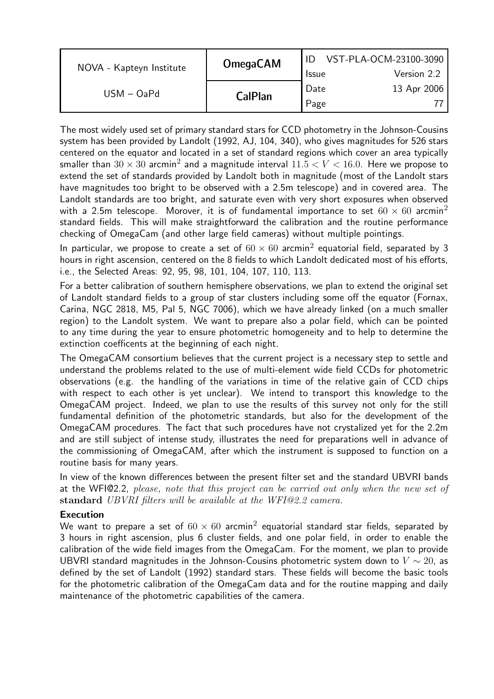|                          | <b>OmegaCAM</b> | VST-PLA-OCM-23100-3090 |             |  |
|--------------------------|-----------------|------------------------|-------------|--|
| NOVA - Kapteyn Institute |                 | <b>Issue</b>           | Version 2.2 |  |
| $USM - OaPd$             |                 | Date                   | 13 Apr 2006 |  |
|                          | <b>CalPlan</b>  | Page                   |             |  |

The most widely used set of primary standard stars for CCD photometry in the Johnson-Cousins system has been provided by Landolt (1992, AJ, 104, 340), who gives magnitudes for 526 stars centered on the equator and located in a set of standard regions which cover an area typically smaller than  $30 \times 30$  arcmin<sup>2</sup> and a magnitude interval  $11.5 < V < 16.0$ . Here we propose to extend the set of standards provided by Landolt both in magnitude (most of the Landolt stars have magnitudes too bright to be observed with a 2.5m telescope) and in covered area. The Landolt standards are too bright, and saturate even with very short exposures when observed with a 2.5m telescope. Morover, it is of fundamental importance to set  $60 \times 60$  arcmin<sup>2</sup> standard fields. This will make straightforward the calibration and the routine performance checking of OmegaCam (and other large field cameras) without multiple pointings.

In particular, we propose to create a set of  $60 \times 60$  arcmin<sup>2</sup> equatorial field, separated by 3 hours in right ascension, centered on the 8 fields to which Landolt dedicated most of his efforts, i.e., the Selected Areas: 92, 95, 98, 101, 104, 107, 110, 113.

For a better calibration of southern hemisphere observations, we plan to extend the original set of Landolt standard fields to a group of star clusters including some off the equator (Fornax, Carina, NGC 2818, M5, Pal 5, NGC 7006), which we have already linked (on a much smaller region) to the Landolt system. We want to prepare also a polar field, which can be pointed to any time during the year to ensure photometric homogeneity and to help to determine the extinction coefficents at the beginning of each night.

The OmegaCAM consortium believes that the current project is a necessary step to settle and understand the problems related to the use of multi-element wide field CCDs for photometric observations (e.g. the handling of the variations in time of the relative gain of CCD chips with respect to each other is yet unclear). We intend to transport this knowledge to the OmegaCAM project. Indeed, we plan to use the results of this survey not only for the still fundamental definition of the photometric standards, but also for the development of the OmegaCAM procedures. The fact that such procedures have not crystalized yet for the 2.2m and are still subject of intense study, illustrates the need for preparations well in advance of the commissioning of OmegaCAM, after which the instrument is supposed to function on a routine basis for many years.

In view of the known differences between the present filter set and the standard UBVRI bands at the WFI@2.2, please, note that this project can be carried out only when the new set of standard UBVRI filters will be available at the WFI@2.2 camera.

#### Execution

We want to prepare a set of  $60 \times 60$  arcmin<sup>2</sup> equatorial standard star fields, separated by 3 hours in right ascension, plus 6 cluster fields, and one polar field, in order to enable the calibration of the wide field images from the OmegaCam. For the moment, we plan to provide UBVRI standard magnitudes in the Johnson-Cousins photometric system down to  $V \sim 20$ , as defined by the set of Landolt (1992) standard stars. These fields will become the basic tools for the photometric calibration of the OmegaCam data and for the routine mapping and daily maintenance of the photometric capabilities of the camera.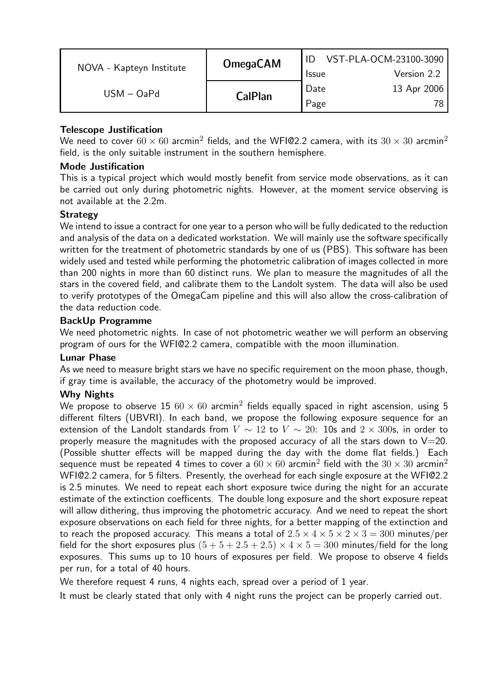| NOVA - Kapteyn Institute | <b>OmegaCAM</b> |              | VST-PLA-OCM-23100-3090 |
|--------------------------|-----------------|--------------|------------------------|
|                          |                 | <b>Issue</b> | Version 2.2            |
| $USM - OaPd$             | <b>CalPlan</b>  | Date         | 13 Apr 2006            |
|                          |                 | Page         | 78.                    |

#### Telescope Justification

We need to cover  $60 \times 60$  arcmin<sup>2</sup> fields, and the WFI@2.2 camera, with its  $30 \times 30$  arcmin<sup>2</sup> field, is the only suitable instrument in the southern hemisphere.

#### Mode Justification

This is a typical project which would mostly benefit from service mode observations, as it can be carried out only during photometric nights. However, at the moment service observing is not available at the 2.2m.

#### **Strategy**

We intend to issue a contract for one year to a person who will be fully dedicated to the reduction and analysis of the data on a dedicated workstation. We will mainly use the software specifically written for the treatment of photometric standards by one of us (PBS). This software has been widely used and tested while performing the photometric calibration of images collected in more than 200 nights in more than 60 distinct runs. We plan to measure the magnitudes of all the stars in the covered field, and calibrate them to the Landolt system. The data will also be used to verify prototypes of the OmegaCam pipeline and this will also allow the cross-calibration of the data reduction code.

#### BackUp Programme

We need photometric nights. In case of not photometric weather we will perform an observing program of ours for the WFI@2.2 camera, compatible with the moon illumination.

#### Lunar Phase

As we need to measure bright stars we have no specific requirement on the moon phase, though, if gray time is available, the accuracy of the photometry would be improved.

#### Why Nights

We propose to observe 15  $60 \times 60$  arcmin<sup>2</sup> fields equally spaced in right ascension, using 5 different filters (UBVRI). In each band, we propose the following exposure sequence for an extension of the Landolt standards from  $V \sim 12$  to  $V \sim 20$ : 10s and  $2 \times 300$ s, in order to properly measure the magnitudes with the proposed accuracy of all the stars down to  $V=20$ . (Possible shutter effects will be mapped during the day with the dome flat fields.) Each sequence must be repeated 4 times to cover a  $60 \times 60$  arcmin<sup>2</sup> field with the  $30 \times 30$  arcmin<sup>2</sup> WFI@2.2 camera, for 5 filters. Presently, the overhead for each single exposure at the WFI@2.2 is 2.5 minutes. We need to repeat each short exposure twice during the night for an accurate estimate of the extinction coefficents. The double long exposure and the short exposure repeat will allow dithering, thus improving the photometric accuracy. And we need to repeat the short exposure observations on each field for three nights, for a better mapping of the extinction and to reach the proposed accuracy. This means a total of  $2.5 \times 4 \times 5 \times 2 \times 3 = 300$  minutes/per field for the short exposures plus  $(5 + 5 + 2.5 + 2.5) \times 4 \times 5 = 300$  minutes/field for the long exposures. This sums up to 10 hours of exposures per field. We propose to observe 4 fields per run, for a total of 40 hours.

We therefore request 4 runs, 4 nights each, spread over a period of 1 year.

It must be clearly stated that only with 4 night runs the project can be properly carried out.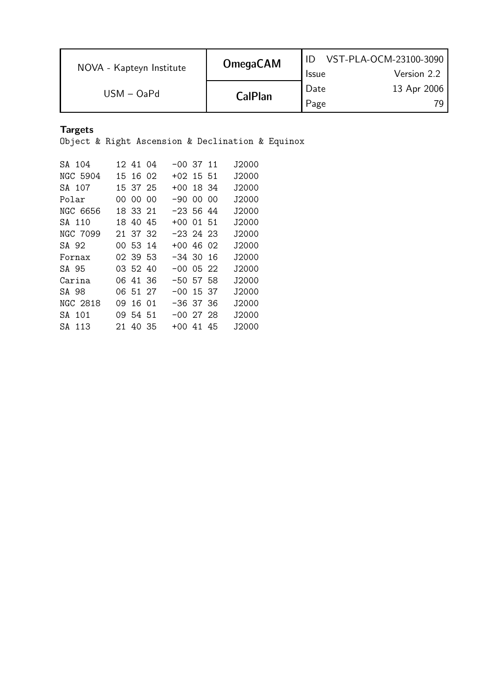| NOVA - Kapteyn Institute | <b>OmegaCAM</b> | <b>Issue</b> | VST-PLA-OCM-23100-3090<br>Version 2.2 |
|--------------------------|-----------------|--------------|---------------------------------------|
| $USM - OaPd$             | <b>CalPlan</b>  | Date<br>Page | 13 Apr 2006                           |

Targets

Object & Right Ascension & Declination & Equinox

| SA 104     |     | 12.41.04 | -00 37 11 |     | .J2000 |
|------------|-----|----------|-----------|-----|--------|
| NGC 5904   |     | 15 16 02 | +02 15 51 |     | J2000  |
| SA 107     |     | 153725   | +00 18 34 |     | J2000  |
| Polar      |     | 00 00 00 | -90 00    | ററ  | .J2000 |
| NGC 6656   |     | 18 33 21 | -23 56 44 |     | J2000  |
| SA 110     | 18. | 40 45    | +00 01    | -51 | .12000 |
| NGC 7099   |     | 21 37 32 | -23 24 23 |     | .J2000 |
| SA 92      |     | 00 53 14 | +00 46 02 |     | .J2000 |
| Fornax     |     | 02 39 53 | -3430     | 16  | J2000  |
| SA 95      |     | 03 52 40 | $-00052$  |     | J2000  |
| Carina     |     | 06 41 36 | -50 57 58 |     | J2000  |
| SA 98      |     | 06 51 27 | -00 15 37 |     | .J2000 |
| NGC 2818   | 09. | 16 01    | -36 37 36 |     | .J2000 |
| SA 101     |     | 09 54 51 | -00 27 28 |     | J2000  |
| S A<br>113 | 21  | 40 35    | +00 41    | 45  | .12000 |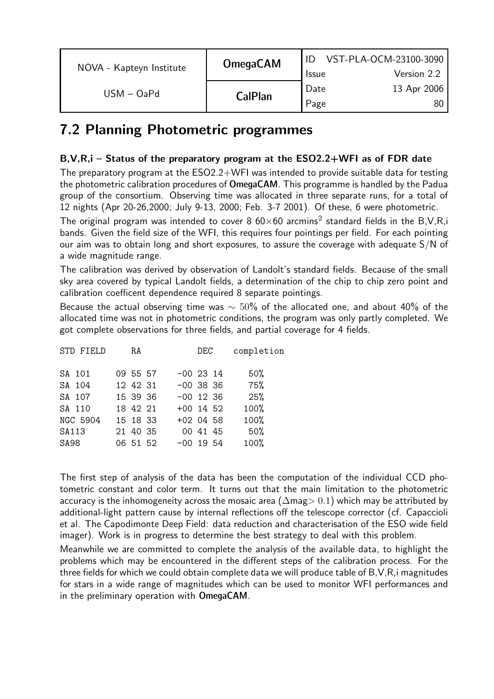|                          | <b>OmegaCAM</b> | VST-PLA-OCM-23100-3090 |             |  |
|--------------------------|-----------------|------------------------|-------------|--|
| NOVA - Kapteyn Institute |                 | <b>Issue</b>           | Version 2.2 |  |
| $USM - OaPd$             |                 | Date                   | 13 Apr 2006 |  |
|                          | <b>CalPlan</b>  | Page                   |             |  |

### 7.2 Planning Photometric programmes

#### B,V,R,i – Status of the preparatory program at the ESO2.2+WFI as of FDR date

The preparatory program at the ESO2.2+WFI was intended to provide suitable data for testing the photometric calibration procedures of OmegaCAM. This programme is handled by the Padua group of the consortium. Observing time was allocated in three separate runs, for a total of 12 nights (Apr 20-26,2000; July 9-13, 2000; Feb. 3-7 2001). Of these, 6 were photometric.

The original program was intended to cover 8  $60\times60$  arcmins<sup>2</sup> standard fields in the B,V,R,i bands. Given the field size of the WFI, this requires four pointings per field. For each pointing our aim was to obtain long and short exposures, to assure the coverage with adequate S/N of a wide magnitude range.

The calibration was derived by observation of Landolt's standard fields. Because of the small sky area covered by typical Landolt fields, a determination of the chip to chip zero point and calibration coefficent dependence required 8 separate pointings.

Because the actual observing time was  $\sim$  50% of the allocated one, and about 40% of the allocated time was not in photometric conditions, the program was only partly completed. We got complete observations for three fields, and partial coverage for 4 fields.

| STD FIELD       | RA       | DEC         | completion |
|-----------------|----------|-------------|------------|
| SA 101          | 09 55 57 | $-00$ 23 14 | 50%        |
| SA 104          | 12 42 31 | $-00$ 38 36 | 75%        |
| SA 107          | 15 39 36 | $-00$ 12 36 | 25%        |
| SA 110          | 18 42 21 | $+00$ 14 52 | 100%       |
| <b>NGC 5904</b> | 15 18 33 | $+02$ 04 58 | 100%       |
| SA113           | 21 40 35 | 00 41 45    | $50\%$     |
| SA98            | 06 51 52 | $-00$ 19 54 | 100%       |
|                 |          |             |            |

The first step of analysis of the data has been the computation of the individual CCD photometric constant and color term. It turns out that the main limitation to the photometric accuracy is the inhomogeneity across the mosaic area ( $\Delta$ mag> 0.1) which may be attributed by additional-light pattern cause by internal reflections off the telescope corrector (cf. Capaccioli et al. The Capodimonte Deep Field: data reduction and characterisation of the ESO wide field imager). Work is in progress to determine the best strategy to deal with this problem.

Meanwhile we are committed to complete the analysis of the available data, to highlight the problems which may be encountered in the different steps of the calibration process. For the three fields for which we could obtain complete data we will produce table of B,V,R,i magnitudes for stars in a wide range of magnitudes which can be used to monitor WFI performances and in the preliminary operation with OmegaCAM.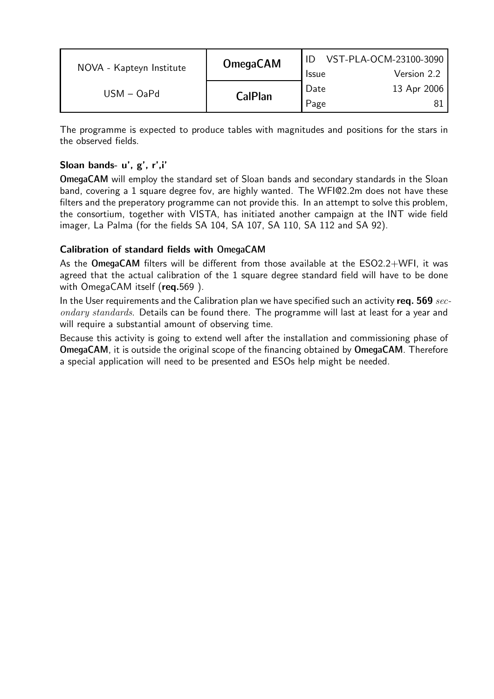| NOVA - Kapteyn Institute | <b>OmegaCAM</b> |              | VST-PLA-OCM-23100-3090 |
|--------------------------|-----------------|--------------|------------------------|
|                          |                 | <b>Issue</b> | Version 2.2            |
| $USM - OaPd$             | CalPlan         | Date         | 13 Apr 2006            |
|                          |                 | Page         |                        |

The programme is expected to produce tables with magnitudes and positions for the stars in the observed fields.

#### Sloan bands- u', g', r',i'

OmegaCAM will employ the standard set of Sloan bands and secondary standards in the Sloan band, covering a 1 square degree fov, are highly wanted. The WFI@2.2m does not have these filters and the preperatory programme can not provide this. In an attempt to solve this problem, the consortium, together with VISTA, has initiated another campaign at the INT wide field imager, La Palma (for the fields SA 104, SA 107, SA 110, SA 112 and SA 92).

#### Calibration of standard fields with OmegaCAM

As the OmegaCAM filters will be different from those available at the ESO2.2+WFI, it was agreed that the actual calibration of the 1 square degree standard field will have to be done with OmegaCAM itself (req.569).

In the User requirements and the Calibration plan we have specified such an activity req.  $569$  secondary standards. Details can be found there. The programme will last at least for a year and will require a substantial amount of observing time.

Because this activity is going to extend well after the installation and commissioning phase of OmegaCAM, it is outside the original scope of the financing obtained by OmegaCAM. Therefore a special application will need to be presented and ESOs help might be needed.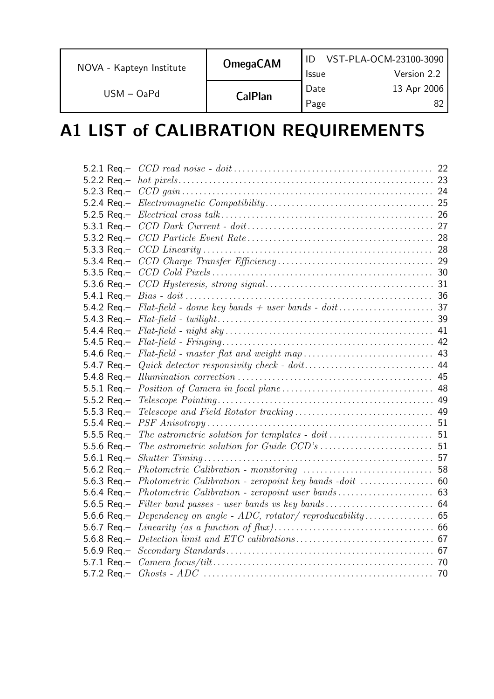| NOVA - Kapteyn Institute | <b>OmegaCAM</b> | <b>Issue</b> | VST-PLA-OCM-23100-3090<br>Version 2.2 |
|--------------------------|-----------------|--------------|---------------------------------------|
| $USM - OaPd$             | <b>CalPlan</b>  | Date<br>Page | 13 Apr 2006                           |

# A1 LIST of CALIBRATION REQUIREMENTS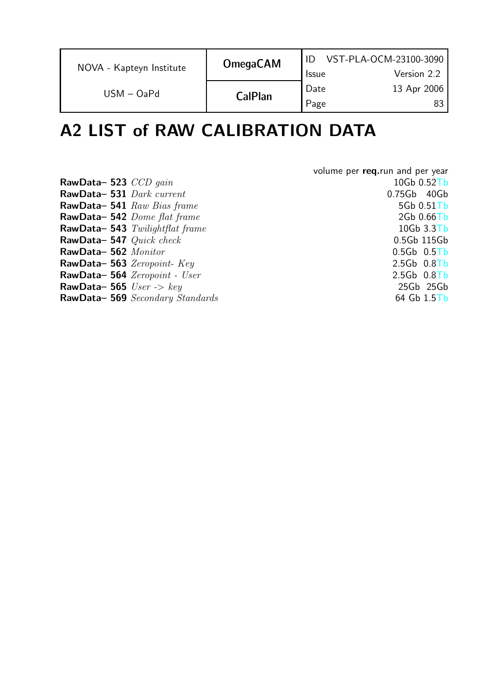| NOVA - Kapteyn Institute | <b>OmegaCAM</b> | <b>Issue</b> | VST-PLA-OCM-23100-3090<br>Version 2.2 |
|--------------------------|-----------------|--------------|---------------------------------------|
| $USM - OaPd$             | <b>CalPlan</b>  | Date<br>Page | 13 Apr 2006                           |

# A2 LIST of RAW CALIBRATION DATA

|                                    | volume per req.run and per year |
|------------------------------------|---------------------------------|
| RawData-523 $CCD$ gain             | 10Gb 0.52Tb                     |
| RawData-531 Dark current           | 0.75Gb 40Gb                     |
| RawData-541 Raw Bias frame         | 5Gb 0.51Tb                      |
| RawData-542 Dome flat frame        | 2Gb 0.66Tb                      |
| RawData-543 Twilightflat frame     | $10Gb$ $3.3Tb$                  |
| RawData-547 Quick check            | 0.5Gb 115Gb                     |
| RawData-562 Monitor                | $0.5Gb$ $0.5Tb$                 |
| RawData-563 Zeropoint-Key          | $2.5Gb$ 0.8Tb                   |
| RawData-564 Zeropoint - User       | $2.5Gb$ 0.8Tb                   |
| RawData-565 $User \rightarrow key$ | 25Gb 25Gb                       |
| RawData-569 Secondary Standards    | $64$ Gb $1.5$ Tb                |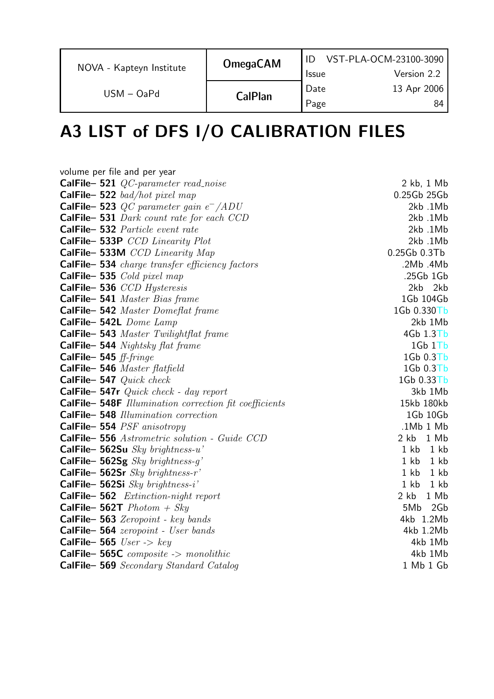| NOVA - Kapteyn Institute | <b>OmegaCAM</b> | <b>Issue</b> | VST-PLA-OCM-23100-3090<br>Version 2.2 |
|--------------------------|-----------------|--------------|---------------------------------------|
| $USM - OaPd$             | <b>CalPlan</b>  | Date<br>Page | 13 Apr 2006<br>84                     |

# A3 LIST of DFS I/O CALIBRATION FILES

| volume per file and per year                          |               |
|-------------------------------------------------------|---------------|
| CalFile-521 QC-parameter read_noise                   | 2 kb, 1 Mb    |
| CalFile-522 bad/hot pixel map                         | 0.25Gb 25Gb   |
| <b>CalFile-523</b> QC parameter gain $e^-$ /ADU       | 2kb.1Mb       |
| CalFile-531 Dark count rate for each CCD              | 2kb.1Mb       |
| CalFile-532 Particle event rate                       | 2kb.1Mb       |
| CalFile-533P CCD Linearity Plot                       | 2kb.1Mb       |
| CalFile-533M CCD Linearity Map                        | 0.25Gb 0.3Tb  |
| <b>CalFile-534</b> charge transfer efficiency factors | .2Mb .4Mb     |
| CalFile-535 Cold pixel map                            | .25Gb 1Gb     |
| CalFile-536 CCD Hysteresis                            | 2kb 2kb       |
| CalFile-541 Master Bias frame                         | 1Gb 104Gb     |
| CalFile-542 Master Domeflat frame                     | 1Gb 0.330Tb   |
| CalFile-542L Dome Lamp                                | 2kb 1Mb       |
| CalFile-543 Master Twilightflat frame                 | $4Gb$ $1.3Tb$ |
| <b>CalFile- 544</b> Nightsky flat frame               | 1Gb1Tb        |
| CalFile- 545 $ff\text{-}fringe$                       | 1Gb 0.3Tb     |
| CalFile-546 Master flatfield                          | 1Gb 0.3Tb     |
| CalFile- 547 $Quick \ check$                          | 1Gb 0.33Tb    |
| CalFile- 547r $Quick$ check - day report              | 3kb 1Mb       |
| CalFile-548F Illumination correction fit coefficients | 15kb 180kb    |
| CalFile-548 Illumination correction                   | 1Gb 10Gb      |
| CalFile-554 PSF anisotropy                            | .1Mb 1 Mb     |
| CalFile-556 Astrometric solution - Guide CCD          | 2 kb 1 Mb     |
| CalFile- 562Su $Sky~brightness-u'$                    | 1 kb 1 kb     |
| CalFile-562Sg $Sky~brightness-g'$                     | 1 kb 1 kb     |
| CalFile- 562Sr $Sky~brightness-r'$                    | 1 kb 1 kb     |
| CalFile- 562Si $Sky~brightness-i'$                    | 1 kb 1 kb     |
| CalFile-562 Extinction-night report                   | 2 kb 1 Mb     |
| <b>CalFile- 562T</b> $Photom + Sky$                   | 5Mb 2Gb       |
| CalFile-563 Zeropoint - key bands                     | 4kb 1.2Mb     |
| CalFile-564 zeropoint - User bands                    | 4kb 1.2Mb     |
| CalFile- 565 $User \rightarrow key$                   | 4kb 1Mb       |
| CalFile-565C composite -> monolithic                  | 4kb 1Mb       |
| <b>CalFile-569</b> Secondary Standard Catalog         | 1 Mb 1 Gb     |
|                                                       |               |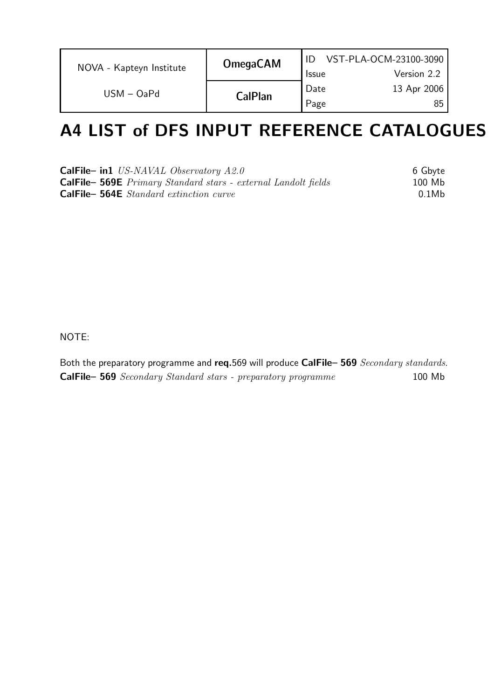| NOVA - Kapteyn Institute | <b>OmegaCAM</b> | <b>Issue</b> | VST-PLA-OCM-23100-3090<br>Version 2.2 |
|--------------------------|-----------------|--------------|---------------------------------------|
| $USM - OaPd$             | <b>CalPlan</b>  | Date<br>Page | 13 Apr 2006<br>85                     |

### A4 LIST of DFS INPUT REFERENCE CATALOGUES

| <b>CalFile- in1</b> US-NAVAL Observatory $A2.0$                      | 6 Gbyte |
|----------------------------------------------------------------------|---------|
| <b>CalFile-569E</b> Primary Standard stars - external Landolt fields | 100 Mb  |
| <b>CalFile- 564E</b> Standard extinction curve                       | 0.1Mb   |

NOTE:

Both the preparatory programme and req.569 will produce CalFile- 569 Secondary standards. CalFile– 569 Secondary Standard stars - preparatory programme 100 Mb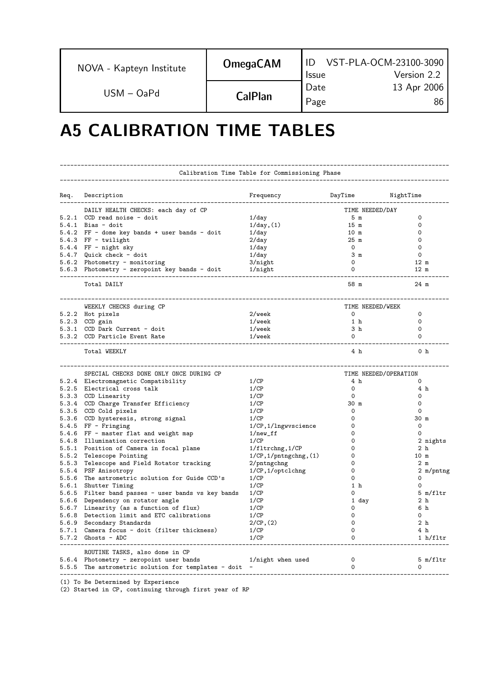| NOVA - Kapteyn Institute | <b>OmegaCAM</b> | <b>Issue</b> | VST-PLA-OCM-23100-3090<br>Version 2.2 |
|--------------------------|-----------------|--------------|---------------------------------------|
| $USM - OaPd$             | CalPlan         | Date         | 13 Apr 2006                           |
|                          |                 | Page         | 86                                    |

### A5 CALIBRATION TIME TABLES

|      | Calibration Time Table for Commissioning Phase                                                   |                                |                  |                           |  |
|------|--------------------------------------------------------------------------------------------------|--------------------------------|------------------|---------------------------|--|
| Req. | Description                                                                                      | Frequency                      | DayTime          | NightTime                 |  |
|      | DAILY HEALTH CHECKS: each day of CP                                                              |                                | TIME NEEDED/DAY  |                           |  |
|      | 5.2.1 CCD read noise - doit                                                                      | $1$ /day                       | 5 m              | 0                         |  |
|      | $5.4.1$ Bias - doit                                                                              | 1/day, (1)                     | 15 m             | 0                         |  |
|      | 5.4.2 FF - dome key bands + user bands - doit                                                    | $1$ /day                       | 10 <sub>m</sub>  | $\Omega$                  |  |
|      | $5.4.3$ FF - twilight                                                                            | $2$ /day                       | 25m              | $\circ$                   |  |
|      | $5.4.4$ FF - night sky                                                                           | 1/day                          | $\Omega$         | $\Omega$                  |  |
|      | 5.4.7 Quick check - doit                                                                         | $1$ /day                       | 3 <sub>m</sub>   | $\circ$                   |  |
|      | 5.6.2 Photometry - monitoring                                                                    | $3/n$ ight                     | 0                | 12 m                      |  |
|      | 5.6.3 Photometry - zeropoint key bands - doit                                                    | $1/n$ ight                     | 0                | $12 \text{ m}$            |  |
|      | Total DAILY                                                                                      |                                | 58 m             | 24 m                      |  |
|      | WEEKLY CHECKS during CP                                                                          |                                | TIME NEEDED/WEEK |                           |  |
|      | 5.2.2 Hot pixels                                                                                 | $2/$ wee $k$                   | 0                | 0                         |  |
|      | 5.2.3 CCD gain                                                                                   | $1/$ wee $k$                   | 1 h              | 0                         |  |
|      | 5.3.1 CCD Dark Current - doit                                                                    | $1/$ wee $k$                   | 3 h              | $\Omega$                  |  |
|      | 5.3.2 CCD Particle Event Rate                                                                    | $1/$ wee $k$                   | 0                | 0                         |  |
|      | Total WEEKLY                                                                                     |                                | 4 h              | 0 <sub>h</sub>            |  |
|      |                                                                                                  |                                |                  |                           |  |
|      | SPECIAL CHECKS DONE ONLY ONCE DURING CP                                                          |                                |                  | TIME NEEDED/OPERATION     |  |
|      | 5.2.4 Electromagnetic Compatibility                                                              | 1/CP                           | 4 h              | 0                         |  |
|      | 5.2.5 Electrical cross talk                                                                      | 1/CP                           | 0                | 4 h                       |  |
|      | 5.3.3 CCD Linearity                                                                              | 1/CP                           | 0                | 0                         |  |
|      | 5.3.4 CCD Charge Transfer Efficiency                                                             | 1/CP                           | 30 m             | 0                         |  |
|      | 5.3.5 CCD Cold pixels                                                                            | 1/CP                           | 0                | 0                         |  |
|      | 5.3.6 CCD hysteresis, strong signal                                                              | 1/CP                           | 0                | 30 m                      |  |
|      | $5.4.5$ FF - Fringing                                                                            | 1/CP, 1/lngwyscience           | 0                | 0                         |  |
|      | 5.4.6 FF - master flat and weight map                                                            | $1/$ new_ff                    | 0                | 0                         |  |
|      | 5.4.8 Illumination correction                                                                    | 1/CP                           | 0                | 2 nights                  |  |
|      | 5.5.1 Position of Camera in focal plane                                                          | 1/fltrchng, 1/CP               | 0                | 2 h                       |  |
|      | 5.5.2 Telescope Pointing                                                                         | $1/CP$ , $1/putngchng$ , $(1)$ | 0                | 10 m                      |  |
|      | 5.5.3 Telescope and Field Rotator tracking                                                       | 2/pntngchng                    | 0                | 2 <sub>m</sub>            |  |
|      | 5.5.4 PSF Anisotropy                                                                             | $1/CP$ , $1/optclchng$         | 0                | 2 m/pntng                 |  |
|      | 5.5.6 The astrometric solution for Guide CCD's                                                   | 1/CP                           | 0                | 0                         |  |
|      | 5.6.1 Shutter Timing                                                                             | 1/CP                           | 1 h              | $\Omega$                  |  |
|      | 5.6.5 Filter band passes - user bands vs key bands                                               | 1/CP                           | 0                | $5 \text{ m}/\text{fltr}$ |  |
|      | 5.6.6 Dependency on rotator angle                                                                | 1/CP                           | 1 day            | 2 <sub>h</sub>            |  |
|      | 5.6.7 Linearity (as a function of flux)                                                          | 1/CP                           | 0                | 6 h                       |  |
|      | 5.6.8 Detection limit and ETC calibrations                                                       | 1/CP                           | 0                | $\Omega$                  |  |
|      | 5.6.9 Secondary Standards                                                                        | $2/CP$ , $(2)$                 | 0                | 2 <sub>h</sub>            |  |
|      | 5.7.1 Camera focus - doit (filter thickness)<br>$5.7.2$ Ghosts - ADC                             | 1/CP<br>1/CP                   | 0<br>$\Omega$    | 4 h<br>1 h/fltr           |  |
|      |                                                                                                  |                                |                  |                           |  |
|      | ROUTINE TASKS, also done in CP                                                                   | 1/night when used              | 0                | 5 m/fltr                  |  |
|      | 5.6.4 Photometry - zeropoint user bands<br>5.5.5 The astrometric solution for templates - doit - |                                | 0                | $\Omega$                  |  |
|      |                                                                                                  |                                |                  |                           |  |

(1) To Be Determined by Experience

(2) Started in CP, continuing through first year of RP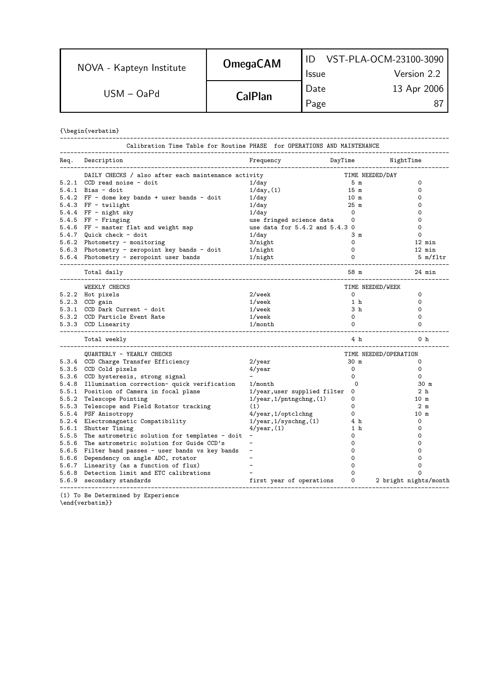| NOVA - Kapteyn Institute | <b>OmegaCAM</b> |              | VST-PLA-OCM-23100-3090 |
|--------------------------|-----------------|--------------|------------------------|
|                          |                 | <b>Issue</b> | Version 2.2            |
| $USM - OaPd$             | <b>CalPlan</b>  | Date         | 13 Apr 2006            |
|                          |                 | Page         |                        |

{\begin{verbatim}

| Calibration Time Table for Routine PHASE for OPERATIONS AND MAINTENANCE<br>---------------------------------- |                                  |                 |                            |
|---------------------------------------------------------------------------------------------------------------|----------------------------------|-----------------|----------------------------|
| Req. Description<br>--------------------------                                                                | Frequency                        | DayTime         | NightTime                  |
| DAILY CHECKS / also after each maintenance activity                                                           |                                  |                 | TIME NEEDED/DAY            |
| 5.2.1 CCD read noise - doit                                                                                   | $1$ /day                         | 5 m             | 0                          |
| $5.4.1$ Bias - doit                                                                                           | 1/day, (1)                       | 15 <sub>m</sub> | 0                          |
| 5.4.2 FF - dome key bands + user bands - doit                                                                 | $1$ /day                         | 10 m            | 0                          |
| $5.4.3$ FF - twilight                                                                                         | $1$ /day                         | 25 m            | 0                          |
| $5.4.4$ FF - night sky                                                                                        | $1$ /day                         | 0               | 0                          |
| $5.4.5$ FF - Fringing                                                                                         | use fringed science data         | 0               | 0                          |
| 5.4.6 FF - master flat and weight map                                                                         | use data for 5.4.2 and 5.4.3 0   |                 | 0                          |
| 5.4.7 Quick check - doit                                                                                      | $1$ /day                         | 3 m             | $\Omega$                   |
| 5.6.2 Photometry - monitoring                                                                                 | $3/n$ ight                       | $\mathbf 0$     | 12 min                     |
| 5.6.3 Photometry - zeropoint key bands - doit                                                                 | $1/n$ ight                       | $\Omega$        | 12 min                     |
| 5.6.4 Photometry - zeropoint user bands<br>---------------------------                                        | 1/night                          | $\Omega$        | $5 \text{ m}/\text{f}$ ltr |
| Total daily                                                                                                   |                                  | 58 m            | 24 min                     |
| WEEKLY CHECKS                                                                                                 |                                  |                 | TIME NEEDED/WEEK           |
| 5.2.2 Hot pixels                                                                                              | 2/week                           | 0               | 0                          |
| 5.2.3 CCD gain                                                                                                | 1/week                           | 1 <sub>h</sub>  | 0                          |
| 5.3.1 CCD Dark Current - doit                                                                                 | $1/$ wee $k$                     | 3 <sub>h</sub>  | 0                          |
| 5.3.2 CCD Particle Event Rate                                                                                 | $1/$ wee $k$                     | $\Omega$        | $\Omega$                   |
| 5.3.3 CCD Linearity                                                                                           | 1/morth                          | 0               | 0                          |
| Total weekly                                                                                                  |                                  | 4 h             | 0 <sub>h</sub>             |
| QUARTERLY - YEARLY CHECKS                                                                                     |                                  |                 | TIME NEEDED/OPERATION      |
| 5.3.4 CCD Charge Transfer Efficiency                                                                          | $2/\text{year}$                  | 30 m            | 0                          |
| 5.3.5 CCD Cold pixels                                                                                         | $4$ /year                        | 0               | 0                          |
| 5.3.6 CCD hysteresis, strong signal                                                                           |                                  | 0               | 0                          |
| 5.4.8 Illumination correction- quick verification                                                             | 1/month                          | $\Omega$        | 30 m                       |
| 5.5.1 Position of Camera in focal plane                                                                       | 1/year, user supplied filter     | 0               | 2 <sub>h</sub>             |
| 5.5.2 Telescope Pointing                                                                                      | $1$ /year, $1$ /pntngchng, $(1)$ | 0               | 10 m                       |
| 5.5.3 Telescope and Field Rotator tracking                                                                    | (1)                              | 0               | 2 m                        |
| 5.5.4 PSF Anisotropy                                                                                          | 4/year, 1/optclchng              | 0               | 10 m                       |
| 5.2.4 Electromagnetic Compatibility                                                                           | $1$ /year, $1$ /syschng, $(1)$   | 4 h             | 0                          |
| 5.6.1 Shutter Timing                                                                                          | $4$ /year, $(1)$                 | 1 <sub>h</sub>  | 0                          |
| 5.5.5 The astrometric solution for templates - doit                                                           |                                  | 0               | 0                          |
| 5.5.6 The astrometric solution for Guide CCD's                                                                |                                  | 0               | 0                          |
| 5.6.5 Filter band passes - user bands vs key bands                                                            |                                  | 0               | 0                          |
| 5.6.6 Dependency on angle ADC, rotator                                                                        |                                  | 0               | 0                          |
| 5.6.7 Linearity (as a function of flux)                                                                       |                                  |                 | 0                          |
| 5.6.8 Detection limit and ETC calibrations                                                                    |                                  | 0               | $\Omega$                   |
| 5.6.9 secondary standards                                                                                     | first year of operations         | 0               | 2 bright nights/month      |

(1) To Be Determined by Experience \end{verbatim}}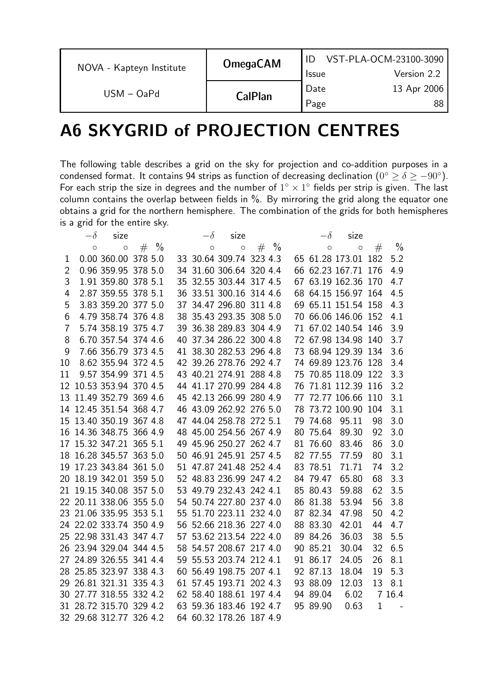|                          | <b>OmegaCAM</b> | VST-PLA-OCM-23100-3090 |             |
|--------------------------|-----------------|------------------------|-------------|
| NOVA - Kapteyn Institute |                 | <b>Issue</b>           | Version 2.2 |
| $USM - OaPd$             | <b>CalPlan</b>  | Date                   | 13 Apr 2006 |
|                          |                 | Page                   | 88          |

### A6 SKYGRID of PROJECTION CENTRES

The following table describes a grid on the sky for projection and co-addition purposes in a condensed format. It contains 94 strips as function of decreasing declination  $(0^{\circ} \ge \delta \ge -90^{\circ})$ . For each strip the size in degrees and the number of  $1^{\circ} \times 1^{\circ}$  fields per strip is given. The last column contains the overlap between fields in %. By mirroring the grid along the equator one obtains a grid for the northern hemisphere. The combination of the grids for both hemispheres is a grid for the entire sky.

|                | $-\delta$ | size                    |        |    | $-\delta$ | size                    |        |    | $-\delta$ | size                |             |               |
|----------------|-----------|-------------------------|--------|----|-----------|-------------------------|--------|----|-----------|---------------------|-------------|---------------|
|                | $\circ$   | $\circ$                 | $# \%$ |    | $\circ$   | $\circ$                 | $# \%$ |    | $\circ$   | $\circ$             | #           | $\frac{0}{0}$ |
| 1              |           | 0.00 360.00 378 5.0     |        |    |           | 33 30.64 309.74 323 4.3 |        |    |           | 65 61.28 173.01 182 |             | 5.2           |
| 2              |           | 0.96 359.95 378 5.0     |        |    |           | 34 31.60 306.64 320 4.4 |        |    |           | 66 62.23 167.71 176 |             | 4.9           |
| 3              |           | 1.91 359.80 378 5.1     |        |    |           | 35 32.55 303.44 317 4.5 |        |    |           | 67 63.19 162.36 170 |             | 4.7           |
| 4              |           | 2.87 359.55 378 5.1     |        |    |           | 36 33.51 300.16 314 4.6 |        |    |           | 68 64.15 156.97 164 |             | 4.5           |
| 5              |           | 3.83 359.20 377 5.0     |        |    |           | 37 34.47 296.80 311 4.8 |        |    |           | 69 65.11 151.54 158 |             | 4.3           |
| 6              |           | 4.79 358.74 376 4.8     |        |    |           | 38 35.43 293.35 308 5.0 |        |    |           | 70 66.06 146.06 152 |             | 4.1           |
| $\overline{7}$ |           | 5.74 358.19 375 4.7     |        |    |           | 39 36.38 289.83 304 4.9 |        |    |           | 71 67.02 140.54 146 |             | 3.9           |
| 8              |           | 6.70 357.54 374 4.6     |        |    |           | 40 37.34 286.22 300 4.8 |        |    |           | 72 67.98 134.98 140 |             | 3.7           |
| 9              |           | 7.66 356.79 373 4.5     |        |    |           | 41 38.30 282.53 296 4.8 |        |    |           | 73 68.94 129.39 134 |             | 3.6           |
| 10             |           | 8.62 355.94 372 4.5     |        |    |           | 42 39.26 278.76 292 4.7 |        |    |           | 74 69.89 123.76 128 |             | 3.4           |
| 11             |           | 9.57 354.99 371 4.5     |        |    |           | 43 40.21 274.91 288 4.8 |        |    |           | 75 70.85 118.09 122 |             | 3.3           |
|                |           | 12 10.53 353.94 370 4.5 |        |    |           | 44 41.17 270.99 284 4.8 |        |    |           | 76 71.81 112.39 116 |             | 3.2           |
|                |           | 13 11.49 352.79 369 4.6 |        |    |           | 45 42.13 266.99 280 4.9 |        |    |           | 77 72.77 106.66 110 |             | 3.1           |
|                |           | 14 12.45 351.54 368 4.7 |        |    |           | 46 43.09 262.92 276 5.0 |        |    |           | 78 73.72 100.90 104 |             | 3.1           |
|                |           | 15 13.40 350.19 367 4.8 |        |    |           | 47 44.04 258.78 272 5.1 |        |    | 79 74.68  | 95.11               | 98          | 3.0           |
|                |           | 16 14.36 348.75 366 4.9 |        |    |           | 48 45.00 254.56 267 4.9 |        | 80 | 75.64     | 89.30               | 92          | 3.0           |
|                |           | 17 15.32 347.21 365 5.1 |        |    |           | 49 45.96 250.27 262 4.7 |        |    | 81 76.60  | 83.46               | 86          | 3.0           |
|                |           | 18 16.28 345.57 363 5.0 |        |    |           | 50 46.91 245.91 257 4.5 |        |    | 82 77.55  | 77.59               | 80          | 3.1           |
|                |           | 19 17.23 343.84 361 5.0 |        |    |           | 51 47.87 241.48 252 4.4 |        |    | 83 78.51  | 71.71               | 74          | 3.2           |
|                |           | 20 18.19 342.01 359 5.0 |        |    |           | 52 48.83 236.99 247 4.2 |        |    | 84 79.47  | 65.80               | 68          | 3.3           |
|                |           | 21 19.15 340.08 357 5.0 |        |    |           | 53 49.79 232.43 242 4.1 |        |    | 85 80.43  | 59.88               | 62          | 3.5           |
|                |           | 22 20.11 338.06 355 5.0 |        |    |           | 54 50.74 227.80 237 4.0 |        |    | 86 81.38  | 53.94               | 56          | 3.8           |
|                |           | 23 21.06 335.95 353 5.1 |        |    |           | 55 51.70 223.11 232 4.0 |        |    | 87 82.34  | 47.98               | 50          | 4.2           |
|                |           | 24 22.02 333.74 350 4.9 |        |    |           | 56 52.66 218.36 227 4.0 |        |    | 88 83.30  | 42.01               | 44          | 4.7           |
|                |           | 25 22.98 331.43 347 4.7 |        | 57 |           | 53.62 213.54 222 4.0    |        |    | 89 84.26  | 36.03               | 38          | 5.5           |
|                |           | 26 23.94 329.04 344 4.5 |        |    |           | 58 54.57 208.67 217 4.0 |        |    | 90 85.21  | 30.04               | 32          | 6.5           |
|                |           | 27 24.89 326.55 341 4.4 |        |    |           | 59 55.53 203.74 212 4.1 |        |    | 91 86.17  | 24.05               | 26          | 8.1           |
|                |           | 28 25.85 323.97 338 4.3 |        |    |           | 60 56.49 198.75 207 4.1 |        |    | 92 87.13  | 18.04               | 19          | 5.3           |
|                |           | 29 26.81 321.31 335 4.3 |        |    |           | 61 57.45 193.71 202 4.3 |        |    | 93 88.09  | 12.03               | 13          | 8.1           |
|                |           | 30 27.77 318.55 332 4.2 |        |    |           | 62 58.40 188.61 197 4.4 |        |    | 94 89.04  | 6.02                |             | 7 16.4        |
|                |           | 31 28.72 315.70 329 4.2 |        |    |           | 63 59.36 183.46 192 4.7 |        |    | 95 89.90  | 0.63                | $\mathbf 1$ |               |
|                |           | 32 29.68 312.77 326 4.2 |        |    |           | 64 60.32 178.26 187 4.9 |        |    |           |                     |             |               |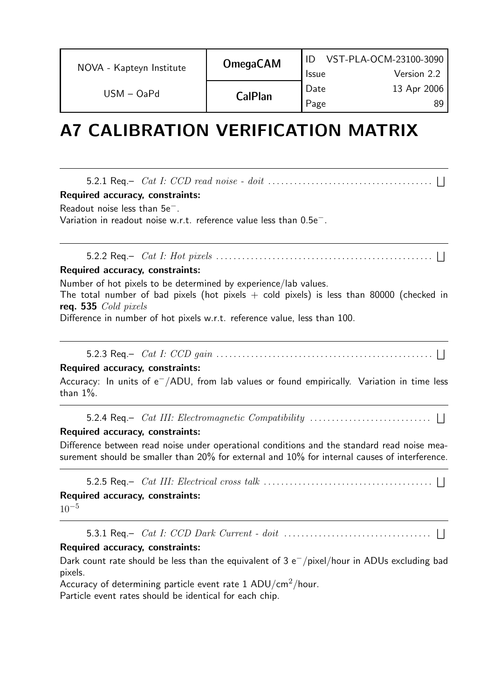| NOVA - Kapteyn Institute | <b>OmegaCAM</b> | <b>Issue</b> | VST-PLA-OCM-23100-3090<br>Version 2.2 |
|--------------------------|-----------------|--------------|---------------------------------------|
| $USM - OaPd$             | <b>CalPlan</b>  | Date<br>Page | 13 Apr 2006<br>89                     |

### A7 CALIBRATION VERIFICATION MATRIX

5.2.1 Req.– Cat I: CCD read noise - doit . . . . . . . . . . . . . . . . . . . . . . . . . . . . . . . . . . . . . . F

#### Required accuracy, constraints:

Readout noise less than 5e−.

Variation in readout noise w.r.t. reference value less than 0.5e−.

5.2.2 Req.– Cat I: Hot pixels . . . . . . . . . . . . . . . . . . . . . . . . . . . . . . . . . . . . . . . . . . . . . . . . . . F

#### Required accuracy, constraints:

Number of hot pixels to be determined by experience/lab values.

The total number of bad pixels (hot pixels  $+$  cold pixels) is less than 80000 (checked in req. 535 Cold pixels

Difference in number of hot pixels w.r.t. reference value, less than 100.

5.2.3 Req.–  $\;Cat\;I: \;CCD\; gain\;.\dots.\dots.\dots.\dots.\dots.\dots.\dots.\dots.\dots.\dots.\dots.\;...$ 

#### Required accuracy, constraints:

Accuracy: In units of  $\mathrm{e}^{-}/\mathrm{ADU}$ , from lab values or found empirically. Variation in time less than  $1\%$ .

5.2.4 Req.–  $\hspace{0.2cm} Cat \hspace{0.2cm} III: \hspace{0.2cm} Electronic \hspace{0.2cm} Compatibility \hspace{0.2cm}.\hspace{0.2cm}.\hspace{0.2cm}.\hspace{0.2cm}.\hspace{0.2cm}.\hspace{0.2cm}.\hspace{0.2cm} \Box$ 

#### Required accuracy, constraints:

Difference between read noise under operational conditions and the standard read noise measurement should be smaller than 20% for external and 10% for internal causes of interference.

5.2.5 Req.–  $\hspace{0.2cm} Cat \hspace{0.2cm} III: \hspace{0.2cm} Electrical \hspace{0.2cm} cross \hspace{0.2cm} talk \hspace{0.2cm}.\hspace{0.2cm}.\hspace{0.2cm}.\hspace{0.2cm}.\hspace{0.2cm}.\hspace{0.2cm}.\hspace{0.2cm}.\hspace{0.2cm}.\hspace{0.2cm}.\hspace{0.2cm}.\hspace{0.2cm}.\hspace{0.2cm}.\hspace{0.2cm}.\hspace{0.2cm}.\hspace{0.2cm}.\hspace{0.2cm}.\hspace{0.2cm}.\hspace$ 

#### Required accuracy, constraints:

 $10^{-5}$ 

5.3.1 Req.– Cat I: CCD Dark Current - doit . . . . . . . . . . . . . . . . . . . . . . . . . . . . . . . . . . F

#### Required accuracy, constraints:

Dark count rate should be less than the equivalent of 3  $\rm e^{-}/$ pixel/hour in ADUs excluding bad pixels.

Accuracy of determining particle event rate  $1$  ADU/cm<sup>2</sup>/hour.

Particle event rates should be identical for each chip.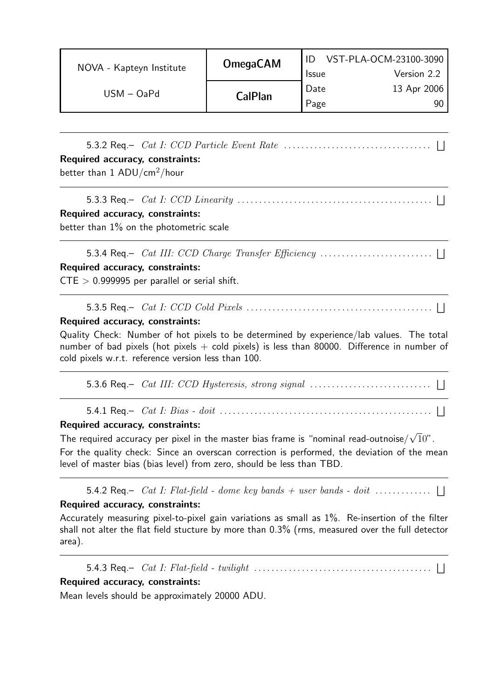|                          | <b>OmegaCAM</b> | VST-PLA-OCM-23100-3090 |             |  |
|--------------------------|-----------------|------------------------|-------------|--|
| NOVA - Kapteyn Institute |                 | <b>Issue</b>           | Version 2.2 |  |
| $USM - OaPd$             | <b>CalPlan</b>  | Date                   | 13 Apr 2006 |  |
|                          |                 | Page                   | 90.         |  |

5.3.2 Req.– Cat I: CCD Particle Event Rate . . . . . . . . . . . . . . . . . . . . . . . . . . . . . . . . . . F Required accuracy, constraints:

better than  $1$  ADU/cm<sup>2</sup>/hour

5.3.3 Req.– Cat I: CCD Linearity . . . . . . . . . . . . . . . . . . . . . . . . . . . . . . . . . . . . . . . . . . . . . F

#### Required accuracy, constraints:

better than 1% on the photometric scale

5.3.4 Req.– Cat III: CCD Charge Transfer Efficiency . . . . . . . . . . . . . . . . . . . . . . . . . . F

#### Required accuracy, constraints:

 $CTE > 0.999995$  per parallel or serial shift.

#### 5.3.5 Req.– Cat I: CCD Cold Pixels . . . . . . . . . . . . . . . . . . . . . . . . . . . . . . . . . . . . . . . . . . . F

#### Required accuracy, constraints:

Quality Check: Number of hot pixels to be determined by experience/lab values. The total number of bad pixels (hot pixels  $+$  cold pixels) is less than 80000. Difference in number of cold pixels w.r.t. reference version less than 100.

5.3.6 Req.–  $\;Cat\; III: \; CCD\; Hysteresis, \; strong\; signal\;.\dots.\dots.\dots.\dots.\dots.\dots.\; \; \; \; \; \; \; \; \; \; \;$ 

5.4.1 Req.– Cat I: Bias - doit . . . . . . . . . . . . . . . . . . . . . . . . . . . . . . . . . . . . . . . . . . . . . . . . . F

#### Required accuracy, constraints:

The required accuracy per pixel in the master bias frame is "nominal read-outnoise $/\sqrt{1}0$ ".

For the quality check: Since an overscan correction is performed, the deviation of the mean level of master bias (bias level) from zero, should be less than TBD.

5.4.2 Req.–  $Cat$  I: Flat-field - dome key bands + user bands - doit  $\dots\dots\dots\dots$ 

#### Required accuracy, constraints:

Accurately measuring pixel-to-pixel gain variations as small as 1%. Re-insertion of the filter shall not alter the flat field stucture by more than 0.3% (rms, measured over the full detector area).

5.4.3 Req.–  $\hspace{.1cm} Cat \hspace{.1cm} I: \hspace{.1cm} Flat-field$  -  $\hspace{.1cm} twilyht \hspace{.1cm} \ldots \ldots \ldots \ldots \ldots \ldots \ldots \ldots \ldots \ldots \ldots \hspace{.1cm} \ldots \hspace{.1cm} \ldots \hspace{.1cm} \ldots \hspace{.1cm} \ldots \hspace{.1cm} \ldots \hspace{.1cm} \ldots \hspace{.1cm} \ldots \hspace{.1cm} \ldots \hspace{.1cm} \ldots \hspace{.1cm} \ldots \hspace{.1cm} \ldots$ 

#### Required accuracy, constraints:

Mean levels should be approximately 20000 ADU.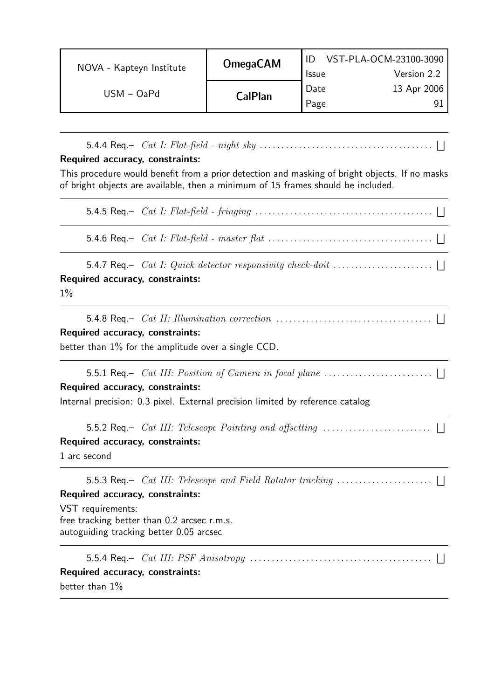| NOVA - Kapteyn Institute | <b>OmegaCAM</b> | VST-PLA-OCM-23100-3090 |             |  |
|--------------------------|-----------------|------------------------|-------------|--|
|                          |                 | <b>Issue</b>           | Version 2.2 |  |
| $USM - OaPd$             |                 | Date                   | 13 Apr 2006 |  |
|                          | <b>CalPlan</b>  | Page                   |             |  |

5.4.4 Req.– Cat I: Flat-field - night sky . . . . . . . . . . . . . . . . . . . . . . . . . . . . . . . . . . . . . . . . F

#### Required accuracy, constraints:

This procedure would benefit from a prior detection and masking of bright objects. If no masks of bright objects are available, then a minimum of 15 frames should be included.

5.4.5 Req.– Cat I: Flat-field - fringing . . . . . . . . . . . . . . . . . . . . . . . . . . . . . . . . . . . . . . . . . F

5.4.6 Req.– Cat I: Flat-field - master flat . . . . . . . . . . . . . . . . . . . . . . . . . . . . . . . . . . . . . . F

5.4.7 Req.–  $\hspace{0.2cm} Cat \hspace{0.2cm} I: \hspace{0.2cm} Quick \hspace{0.2cm} detector \hspace{0.2cm} responsibility \hspace{0.2cm} check-dot \hspace{0.2cm} \ldots \ldots \ldots \ldots \ldots \ldots \hspace{0.2cm} \ldots \hspace{0.2cm} \ldots$ Required accuracy, constraints:

 $1\%$ 

|                                 | 5.4.8 Req. $Cat$ II: Illumination correction $\ldots \ldots \ldots \ldots \ldots \ldots \ldots \ldots \ldots \ldots \ldots$ |  |  |  |  |
|---------------------------------|-----------------------------------------------------------------------------------------------------------------------------|--|--|--|--|
| Required accuracy, constraints: |                                                                                                                             |  |  |  |  |
|                                 | better than 1% for the amplitude over a single CCD.                                                                         |  |  |  |  |

#### Required accuracy, constraints:

Internal precision: 0.3 pixel. External precision limited by reference catalog

5.5.2 Req.– Cat III: Telescope Pointing and offsetting . . . . . . . . . . . . . . . . . . . . . . . . . F

#### Required accuracy, constraints:

1 arc second

5.5.3 Req.– Cat III: Telescope and Field Rotator tracking . . . . . . . . . . . . . . . . . . . . . . F Required accuracy, constraints:

VST requirements: free tracking better than 0.2 arcsec r.m.s. autoguiding tracking better 0.05 arcsec

5.5.4 Req.– Cat III: PSF Anisotropy . . . . . . . . . . . . . . . . . . . . . . . . . . . . . . . . . . . . . . . . . . F Required accuracy, constraints: better than 1%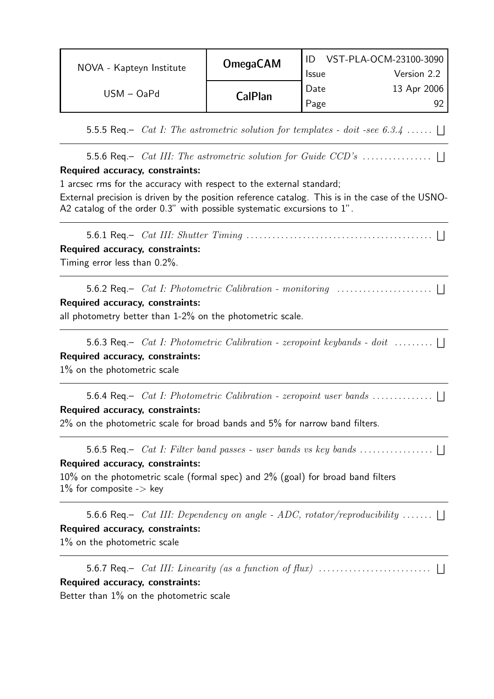|                          | <b>OmegaCAM</b> | VST-PLA-OCM-23100-3090 |             |  |
|--------------------------|-----------------|------------------------|-------------|--|
| NOVA - Kapteyn Institute |                 | <b>Issue</b>           | Version 2.2 |  |
| $USM - OaPd$             |                 | Date                   | 13 Apr 2006 |  |
|                          | <b>CalPlan</b>  | Page                   |             |  |

5.5.5 Req.– *Cat I: The astrometric solution for templates - doit -see 6.3.4* ......  $\Box$ 

5.5.6 Req.– Cat III: The astrometric solution for Guide CCD's . . . . . . . . . . . . . . . . F

#### Required accuracy, constraints:

1 arcsec rms for the accuracy with respect to the external standard;

External precision is driven by the position reference catalog. This is in the case of the USNO-A2 catalog of the order 0.3" with possible systematic excursions to 1".

5.6.1 Req.– Cat III: Shutter Timing . . . . . . . . . . . . . . . . . . . . . . . . . . . . . . . . . . . . . . . . . . . F Required accuracy, constraints: Timing error less than 0.2%.

5.6.2 Req.– Cat I: Photometric Calibration - monitoring . . . . . . . . . . . . . . . . . . . . . . F Required accuracy, constraints:

all photometry better than 1-2% on the photometric scale.

5.6.3 Req.– *Cat I: Photometric Calibration - zeropoint keybands - doit*  $\dots \dots \dots$ Required accuracy, constraints:

1% on the photometric scale

5.6.4 Req.– *Cat I: Photometric Calibration - zeropoint user bands* ...................

#### Required accuracy, constraints:

 $2\%$  on the photometric scale for broad bands and  $5\%$  for narrow band filters.

5.6.5 Req.– Cat I: Filter band passes - user bands vs key bands . . . . . . . . . . . . . . . . . F

#### Required accuracy, constraints:

10% on the photometric scale (formal spec) and 2% (goal) for broad band filters  $1\%$  for composite -> key

5.6.6 Req.– *Cat III: Dependency on angle - ADC, rotator/reproducibility* .......  $\bigsqcup$ Required accuracy, constraints: 1% on the photometric scale

5.6.7 Req.–  $\hspace{0.2cm} Cat \hspace{0.2cm} III: \hspace{0.2cm} Linearity \hspace{0.2cm} (as \hspace{0.2cm} a \hspace{0.2cm} function \hspace{0.2cm} of \hspace{0.2cm} flux) \hspace{0.2cm} \ldots \ldots \ldots \ldots \ldots \ldots \hspace{0.2cm} \ldots \hspace{0.2cm} \ldots \hspace{0.2cm} \ldots \hspace{0.2cm} \ldots \ldots \ldots \ldots \ldots \hspace{0.2cm} \ldots \hspace{0.2cm} \ldots \hspace{0.2cm} \ldots \$ Required accuracy, constraints:

Better than 1% on the photometric scale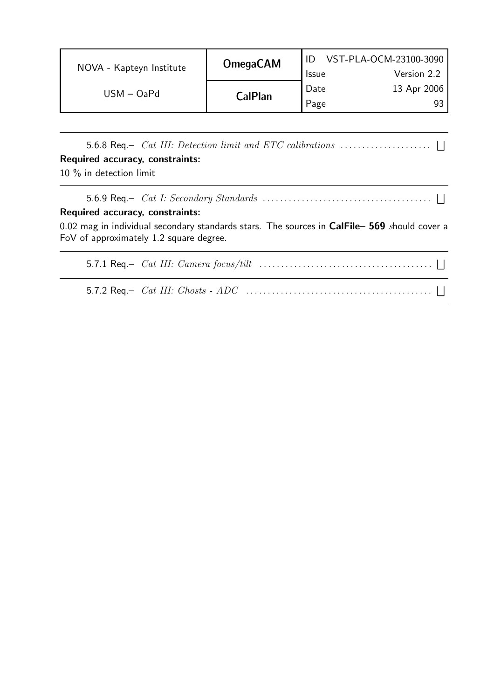|                          | <b>OmegaCAM</b> | VST-PLA-OCM-23100-3090 |             |  |
|--------------------------|-----------------|------------------------|-------------|--|
| NOVA - Kapteyn Institute |                 | <b>Issue</b>           | Version 2.2 |  |
| $USM - OaPd$             |                 | Date                   | 13 Apr 2006 |  |
|                          | <b>CalPlan</b>  | Page                   | 93          |  |

5.6.8 Req.– Cat III: Detection limit and ETC calibrations . . . . . . . . . . . . . . . . . . . . . F Required accuracy, constraints: 10 % in detection limit

5.6.9 Req.–  $\ Cat\ I$ :  $Secondary\ Standards$   $\ \dots\dots\dots\dots\dots\dots\dots\dots\dots\dots\dots\dots\dots\dots\ \ \blacksquare$ Required accuracy, constraints: 0.02 mag in individual secondary standards stars. The sources in CalFile- 569 should cover a FoV of approximately 1.2 square degree. 5.7.1 Req.– Cat III: Camera focus/tilt . . . . . . . . . . . . . . . . . . . . . . . . . . . . . . . . . . . . . . . . F

5.7.2 Req.– Cat III: Ghosts - ADC . . . . . . . . . . . . . . . . . . . . . . . . . . . . . . . . . . . . . . . . . . . F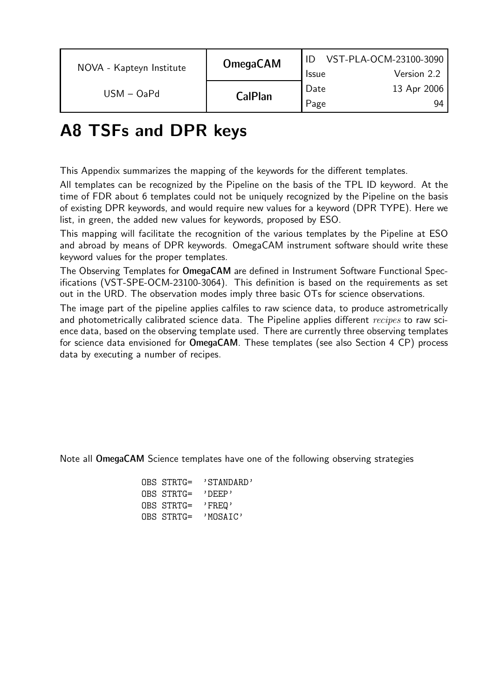|                          | <b>OmegaCAM</b> | VST-PLA-OCM-23100-3090 |             |  |
|--------------------------|-----------------|------------------------|-------------|--|
| NOVA - Kapteyn Institute |                 | <b>Issue</b>           | Version 2.2 |  |
| $USM - OaPd$             |                 | Date                   | 13 Apr 2006 |  |
|                          | <b>CalPlan</b>  | Page                   | 94          |  |

### A8 TSFs and DPR keys

This Appendix summarizes the mapping of the keywords for the different templates.

All templates can be recognized by the Pipeline on the basis of the TPL ID keyword. At the time of FDR about 6 templates could not be uniquely recognized by the Pipeline on the basis of existing DPR keywords, and would require new values for a keyword (DPR TYPE). Here we list, in green, the added new values for keywords, proposed by ESO.

This mapping will facilitate the recognition of the various templates by the Pipeline at ESO and abroad by means of DPR keywords. OmegaCAM instrument software should write these keyword values for the proper templates.

The Observing Templates for OmegaCAM are defined in Instrument Software Functional Specifications (VST-SPE-OCM-23100-3064). This definition is based on the requirements as set out in the URD. The observation modes imply three basic OTs for science observations.

The image part of the pipeline applies calfiles to raw science data, to produce astrometrically and photometrically calibrated science data. The Pipeline applies different recipes to raw science data, based on the observing template used. There are currently three observing templates for science data envisioned for OmegaCAM. These templates (see also Section 4 CP) process data by executing a number of recipes.

Note all OmegaCAM Science templates have one of the following observing strategies

| OBS STRTG= | 'STANDARD' |
|------------|------------|
| OBS STRTG= | י DEEP י   |
| OBS STRTG= | 'FREQ'     |
| OBS STRTG= | 'MOSATC'   |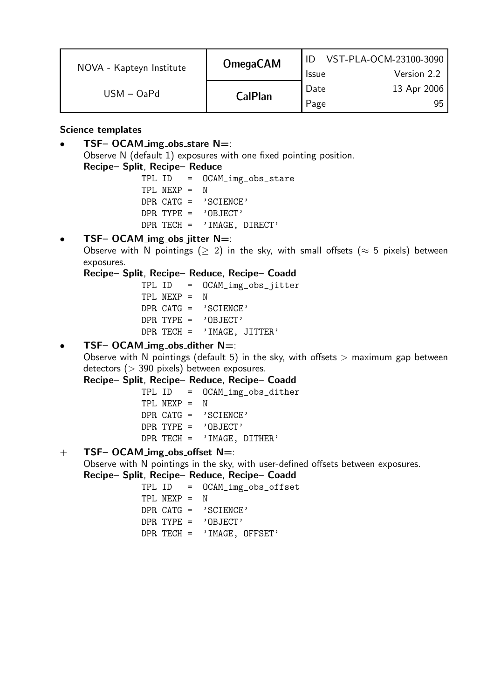|                          | <b>OmegaCAM</b> | VST-PLA-OCM-23100-3090 |             |  |
|--------------------------|-----------------|------------------------|-------------|--|
| NOVA - Kapteyn Institute |                 | <b>Issue</b>           | Version 2.2 |  |
| $USM - OaPd$             |                 | Date                   | 13 Apr 2006 |  |
|                          | <b>CalPlan</b>  | Page                   | 95          |  |

#### Science templates

TSF– OCAM\_img\_obs\_stare  $N=$ :

Observe N (default 1) exposures with one fixed pointing position.

Recipe– Split, Recipe– Reduce

TPL ID = OCAM\_img\_obs\_stare TPL NEXP = N DPR CATG = 'SCIENCE' DPR TYPE = 'OBJECT' DPR TECH = 'IMAGE, DIRECT'

#### TSF– OCAM\_img\_obs\_jitter  $N=$ :

Observe with N pointings ( $> 2$ ) in the sky, with small offsets ( $\approx 5$  pixels) between exposures.

#### Recipe– Split, Recipe– Reduce, Recipe– Coadd

TPL ID = OCAM\_img\_obs\_jitter TPL NEXP = N DPR CATG =  $'SCIENCE'$ DPR TYPE = 'OBJECT' DPR TECH = 'IMAGE, JITTER'

#### TSF– OCAM\_img\_obs\_dither  $N=$ :

Observe with N pointings (default 5) in the sky, with offsets  $>$  maximum gap between detectors ( $>$  390 pixels) between exposures.

#### Recipe– Split, Recipe– Reduce, Recipe– Coadd

TPL ID = OCAM\_img\_obs\_dither TPL NEXP = N DPR CATG = 'SCIENCE' DPR TYPE =  $'$  OBJECT' DPR TECH = 'IMAGE, DITHER'

#### $+$  TSF– OCAM\_img\_obs\_offset N=:

Observe with N pointings in the sky, with user-defined offsets between exposures.

#### Recipe– Split, Recipe– Reduce, Recipe– Coadd

|                 | $TPL ID = OCAM\_img\_obs\_offset$ |
|-----------------|-----------------------------------|
| $TPI. NEXP = N$ |                                   |
|                 | DPR $CATG = 'SCIENCE'$            |
|                 | $DPR$ TYPE = $'ORJECT'$           |
|                 | DPR TECH = $'$ IMAGE, OFFSET'     |
|                 |                                   |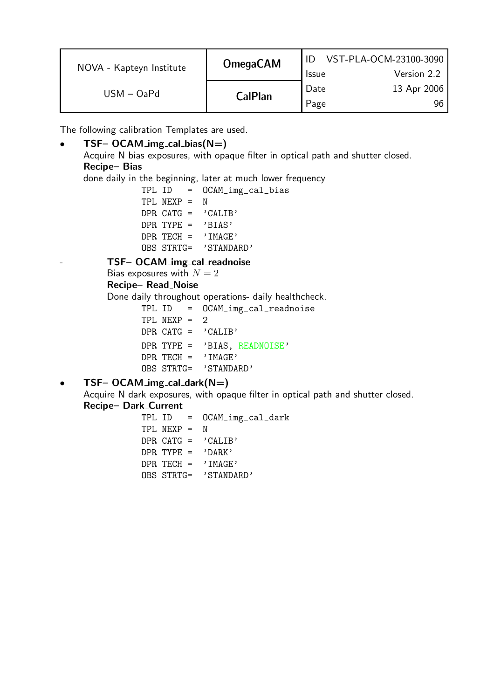| NOVA - Kapteyn Institute | <b>OmegaCAM</b> | <b>Issue</b> | VST-PLA-OCM-23100-3090<br>Version 2.2 |
|--------------------------|-----------------|--------------|---------------------------------------|
| $USM - OaPd$             | <b>CalPlan</b>  | Date<br>Page | 13 Apr 2006                           |

The following calibration Templates are used.

#### $TSF-OCAM\_img\_cal\_bias(N=)$

Acquire N bias exposures, with opaque filter in optical path and shutter closed. Recipe– Bias

done daily in the beginning, later at much lower frequency

TPL ID = OCAM\_img\_cal\_bias TPL NEXP = N DPR  $CATG = 'CALIB'$ DPR TYPE =  $'BIAS'$  $DPR$  TECH =  $'IMAGE'$ OBS STRTG= 'STANDARD'

TSF- OCAM\_img\_cal\_readnoise

#### Bias exposures with  $N = 2$

Recipe– Read Noise

Done daily throughout operations- daily healthcheck.

|                               | TPL ID = OCAM_img_cal_readnoise |
|-------------------------------|---------------------------------|
| $TPL$ NEXP = 2                |                                 |
| DPR $CATG = 'CALIB'$          |                                 |
|                               | DPR TYPE = 'BIAS, READNOISE'    |
| $\texttt{DPR}$ TECH = 'IMAGE' |                                 |
| OBS STRTG= 'STANDARD'         |                                 |

#### •  $TSF-OCAM\_img\_cal\_dark(N=)$

Acquire N dark exposures, with opaque filter in optical path and shutter closed. Recipe– Dark Current

|                       | TPL ID = OCAM_img_cal_dark |
|-----------------------|----------------------------|
| $TPL$ NEXP = N        |                            |
| DPR CATG = $'CHI$     |                            |
| DPR TYPE = $'DARK'$   |                            |
| DPR TECH = $'$ TMAGE' |                            |
| OBS STRTG= 'STANDARD' |                            |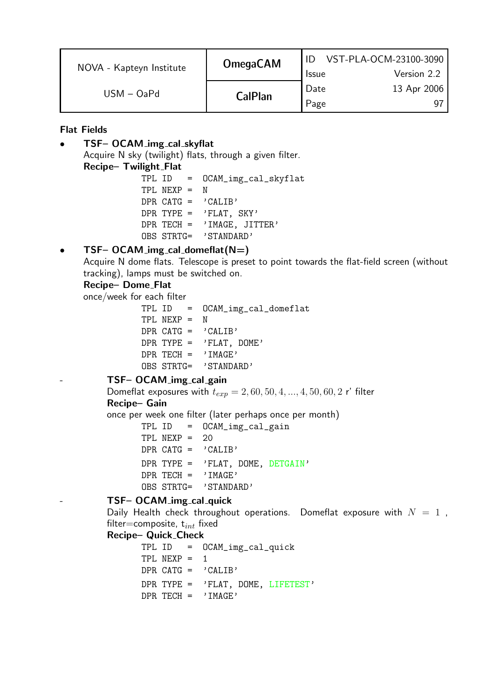| NOVA - Kapteyn Institute | <b>OmegaCAM</b> |              | VST-PLA-OCM-23100-3090 |
|--------------------------|-----------------|--------------|------------------------|
|                          |                 | <b>Issue</b> | Version 2.2            |
| $USM - OaPd$             | <b>CalPlan</b>  | Date         | 13 Apr 2006            |
|                          |                 | Page         |                        |

Flat Fields

• TSF– OCAM img cal skyflat

Acquire N sky (twilight) flats, through a given filter.

Recipe- Twilight\_Flat

TPL ID = OCAM\_img\_cal\_skyflat TPL NEXP = N DPR  $CATG = 'CALIB'$ DPR TYPE =  $'FLAT$ , SKY' DPR TECH = 'IMAGE, JITTER' OBS STRTG= 'STANDARD'

#### TSF– OCAM\_img\_cal\_domeflat $(N=)$

Acquire N dome flats. Telescope is preset to point towards the flat-field screen (without tracking), lamps must be switched on.

#### Recipe-Dome\_Flat

once/week for each filter

TPL ID = OCAM\_img\_cal\_domeflat TPL NEXP = N DPR CATG =  $'$ CALIB' DPR TYPE =  $'$ FLAT, DOME'  $DPR$  TECH =  $'IMAGE'$ OBS STRTG= 'STANDARD'

TSF- OCAM\_img\_cal\_gain

Domeflat exposures with  $t_{exp} = 2, 60, 50, 4, ..., 4, 50, 60, 2$  r' filter Recipe– Gain

once per week one filter (later perhaps once per month)

TPL ID = OCAM\_img\_cal\_gain TPL NEXP = 20 DPR CATG =  $'CALIB'$ DPR TYPE = 'FLAT, DOME, DETGAIN'  $DPR$  TECH = 'IMAGE' OBS STRTG= 'STANDARD'

#### TSF- OCAM\_img\_cal\_quick

Daily Health check throughout operations. Domeflat exposure with  $N = 1$ , filter=composite,  $t_{int}$  fixed

#### Recipe– Quick Check

TPL ID = OCAM\_img\_cal\_quick TPL  $NEXP = 1$ DPR  $CATG = 'CALIB'$ DPR TYPE = 'FLAT, DOME, LIFETEST'  $DPR$  TECH =  $'IMAGE'$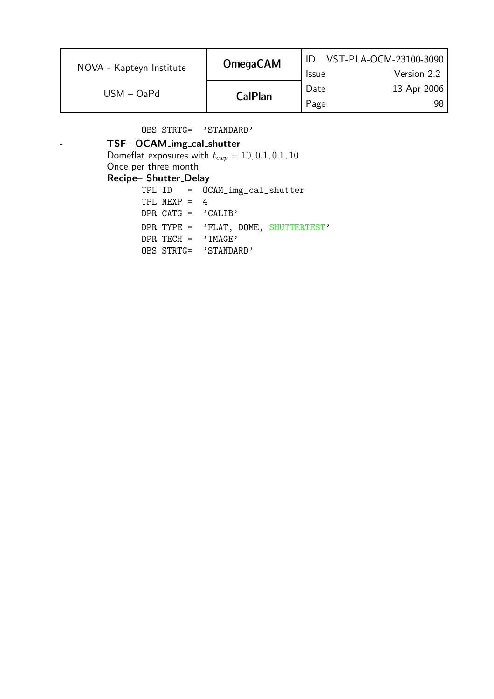| NOVA - Kapteyn Institute | <b>OmegaCAM</b> | <b>Issue</b> | VST-PLA-OCM-23100-3090<br>Version 2.2 |
|--------------------------|-----------------|--------------|---------------------------------------|
| $USM - OaPd$             | <b>CalPlan</b>  | Date<br>Page | 13 Apr 2006<br>98                     |

OBS STRTG= 'STANDARD'

### TSF- OCAM\_img\_cal\_shutter

Domeflat exposures with  $t_{exp} = 10, 0.1, 0.1, 10$ 

Once per three month

#### Recipe– Shutter Delay

|  |                |                       | $TPL ID = OCAM\_img\_cal\_shutter$      |  |
|--|----------------|-----------------------|-----------------------------------------|--|
|  | TPI $NFXP = 4$ |                       |                                         |  |
|  |                | DPR CATG = $'CHI$     |                                         |  |
|  |                |                       | DPR TYPE = $'$ FLAT, DOME, SHUTTERTEST' |  |
|  |                | DPR TECH = $'$ IMAGE' |                                         |  |
|  |                | OBS STRTG= 'STANDARD' |                                         |  |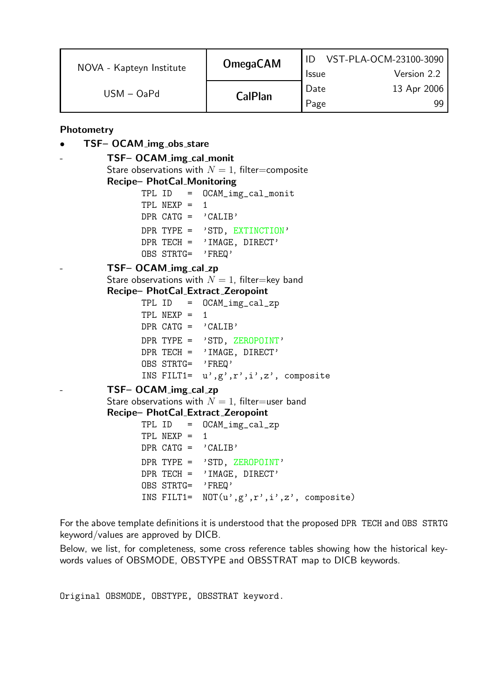| NOVA - Kapteyn Institute | <b>OmegaCAM</b> | <b>Issue</b> | VST-PLA-OCM-23100-3090<br>Version 2.2 |
|--------------------------|-----------------|--------------|---------------------------------------|
| $USM - OaPd$             | <b>CalPlan</b>  | Date<br>Page | 13 Apr 2006<br>gg                     |

Photometry

#### TSF- OCAM\_img\_obs\_stare

TSF- OCAM\_img\_cal\_monit Stare observations with  $N = 1$ , filter=composite Recipe– PhotCal Monitoring TPL ID = OCAM\_img\_cal\_monit TPL  $NEXP = 1$ DPR CATG =  $'CALIB'$ DPR TYPE = 'STD, EXTINCTION' DPR TECH = 'IMAGE, DIRECT' OBS STRTG= 'FREQ' TSF- OCAM\_img\_cal\_zp Stare observations with  $N = 1$ , filter=key band Recipe– PhotCal Extract Zeropoint TPL ID = OCAM\_img\_cal\_zp TPL  $NEXP = 1$ DPR CATG =  $'$ CALIB' DPR TYPE = 'STD, ZEROPOINT' DPR TECH = 'IMAGE, DIRECT'

OBS STRTG= 'FREQ'

INS FILT1=  $u', g', r', i', z'$ , composite

#### TSF- OCAM\_img\_cal\_zp

Stare observations with  $N = 1$ , filter=user band

#### Recipe– PhotCal Extract Zeropoint

 $TPL ID = OCAM\_img\_cal\_zp$ TPL  $NEXP = 1$ DPR CATG =  $'CALIB'$ DPR TYPE = 'STD, ZEROPOINT' DPR TECH = 'IMAGE, DIRECT' OBS STRTG= 'FREQ' INS FILT1=  $NOT(u', g', r', i', z',$  composite)

For the above template definitions it is understood that the proposed DPR TECH and OBS STRTG keyword/values are approved by DICB.

Below, we list, for completeness, some cross reference tables showing how the historical keywords values of OBSMODE, OBSTYPE and OBSSTRAT map to DICB keywords.

Original OBSMODE, OBSTYPE, OBSSTRAT keyword.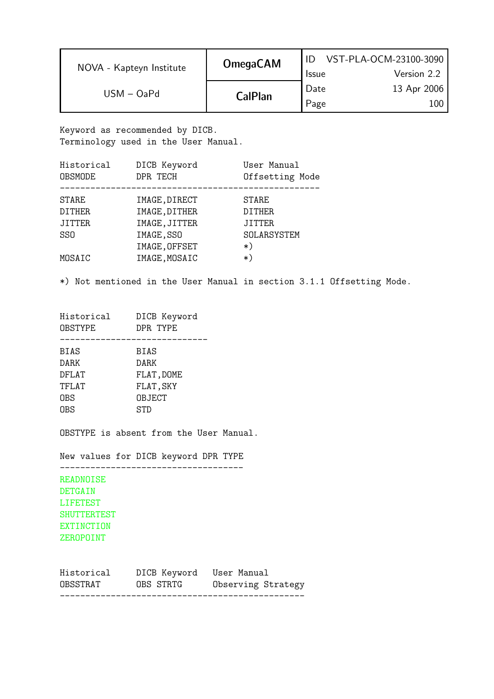| NOVA - Kapteyn Institute | <b>OmegaCAM</b> | <b>Issue</b> | VST-PLA-OCM-23100-3090<br>Version 2.2 |
|--------------------------|-----------------|--------------|---------------------------------------|
| $USM - OaPd$             | <b>CalPlan</b>  | Date<br>Page | 13 Apr 2006                           |

Keyword as recommended by DICB. Terminology used in the User Manual.

| Historical      | DICB Keyword  | User Manual     |
|-----------------|---------------|-----------------|
| <b>OBSMODE</b>  | DPR TECH      | Offsetting Mode |
| STARE           | IMAGE, DIRECT | <b>STARE</b>    |
| <b>DITHER</b>   | IMAGE, DITHER | <b>DITHER</b>   |
| <b>JITTER</b>   | IMAGE, JITTER | <b>JITTER</b>   |
| SS <sub>0</sub> | IMAGE, SSO    | SOLARSYSTEM     |
|                 | IMAGE, OFFSET | $\ast$ )        |
| MOSAIC          | IMAGE, MOSAIC | $\ast$          |
|                 |               |                 |

\*) Not mentioned in the User Manual in section 3.1.1 Offsetting Mode.

| Historical<br><b>OBSTYPE</b> | DICB Keyword<br>DPR TYPE |
|------------------------------|--------------------------|
| <b>BIAS</b>                  | BIAS                     |
| <b>DARK</b>                  | DARK                     |
| DFLAT                        | FLAT, DOME               |
| TFLAT                        | FLAT, SKY                |
| 0BS                          | <b>OBJECT</b>            |
| <b>OBS</b>                   | <b>STD</b>               |
|                              |                          |

OBSTYPE is absent from the User Manual.

New values for DICB keyword DPR TYPE ------------------------------------

READNOISE DETGAIN LIFETEST SHUTTERTEST EXTINCTION ZEROPOINT

| OBSSTRAT   | OBS STRTG                | Observing Strategy |
|------------|--------------------------|--------------------|
| Historical | DICB Keyword User Manual |                    |